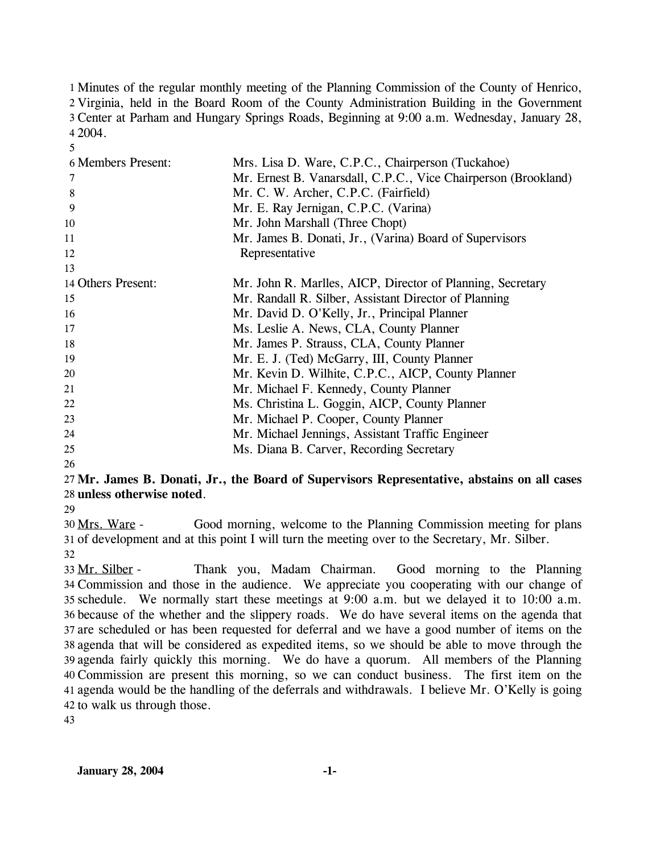1 Minutes of the regular monthly meeting of the Planning Commission of the County of Henrico, 2 Virginia, held in the Board Room of the County Administration Building in the Government Center at Parham and Hungary Springs Roads, Beginning at 9:00 a.m. Wednesday, January 28, 3 2004. 4

| 6 Members Present: | Mrs. Lisa D. Ware, C.P.C., Chairperson (Tuckahoe)              |
|--------------------|----------------------------------------------------------------|
| 7                  | Mr. Ernest B. Vanarsdall, C.P.C., Vice Chairperson (Brookland) |
| 8                  | Mr. C. W. Archer, C.P.C. (Fairfield)                           |
| 9                  | Mr. E. Ray Jernigan, C.P.C. (Varina)                           |
| 10                 | Mr. John Marshall (Three Chopt)                                |
| 11                 | Mr. James B. Donati, Jr., (Varina) Board of Supervisors        |
| 12                 | Representative                                                 |
| 13                 |                                                                |
| 14 Others Present: | Mr. John R. Marlles, AICP, Director of Planning, Secretary     |
| 15                 | Mr. Randall R. Silber, Assistant Director of Planning          |
| 16                 | Mr. David D. O'Kelly, Jr., Principal Planner                   |
| 17                 | Ms. Leslie A. News, CLA, County Planner                        |
| 18                 | Mr. James P. Strauss, CLA, County Planner                      |
| 19                 | Mr. E. J. (Ted) McGarry, III, County Planner                   |
| 20                 | Mr. Kevin D. Wilhite, C.P.C., AICP, County Planner             |
| 21                 | Mr. Michael F. Kennedy, County Planner                         |
| 22                 | Ms. Christina L. Goggin, AICP, County Planner                  |
| 23                 | Mr. Michael P. Cooper, County Planner                          |
| 24                 | Mr. Michael Jennings, Assistant Traffic Engineer               |
| 25                 | Ms. Diana B. Carver, Recording Secretary                       |
| 26                 |                                                                |

# 27 **Mr. James B. Donati, Jr., the Board of Supervisors Representative, abstains on all cases**  28 **unless otherwise noted**.

29

5

Good morning, welcome to the Planning Commission meeting for plans 31 of development and at this point I will turn the meeting over to the Secretary, Mr. Silber. 30 Mrs. Ware -32

Thank you, Madam Chairman. Good morning to the Planning Commission and those in the audience. We appreciate you cooperating with our change of 34 schedule. We normally start these meetings at 9:00 a.m. but we delayed it to 10:00 a.m. 35 36 because of the whether and the slippery roads. We do have several items on the agenda that 37 are scheduled or has been requested for deferral and we have a good number of items on the agenda that will be considered as expedited items, so we should be able to move through the 38 39 agenda fairly quickly this morning. We do have a quorum. All members of the Planning Commission are present this morning, so we can conduct business. The first item on the 40 agenda would be the handling of the deferrals and withdrawals. I believe Mr. O'Kelly is going 41 42 to walk us through those. 33 Mr. Silber -

43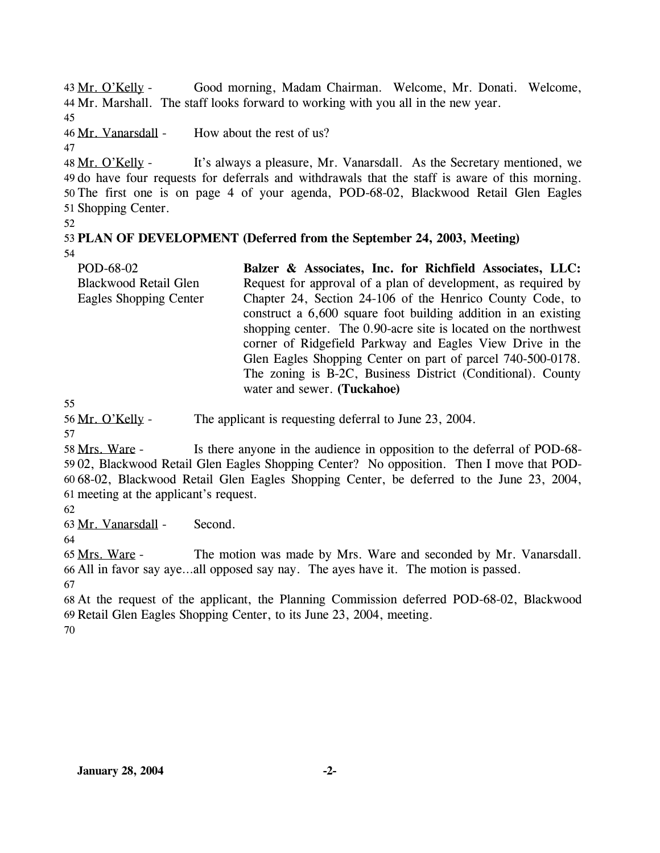Good morning, Madam Chairman. Welcome, Mr. Donati. Welcome, 44 Mr. Marshall. The staff looks forward to working with you all in the new year. 43 Mr. O'Kelly -

45

46 Mr. Vanarsdall - How about the rest of us?

47

It's always a pleasure, Mr. Vanarsdall. As the Secretary mentioned, we 49 do have four requests for deferrals and withdrawals that the staff is aware of this morning. 50 The first one is on page 4 of your agenda, POD-68-02, Blackwood Retail Glen Eagles 51 Shopping Center. 48 Mr. O'Kelly -

52

#### 53 **PLAN OF DEVELOPMENT (Deferred from the September 24, 2003, Meeting)**  54

POD-68-02 Blackwood Retail Glen Eagles Shopping Center **Balzer & Associates, Inc. for Richfield Associates, LLC:**  Request for approval of a plan of development, as required by Chapter 24, Section 24-106 of the Henrico County Code, to construct a 6,600 square foot building addition in an existing shopping center. The 0.90-acre site is located on the northwest corner of Ridgefield Parkway and Eagles View Drive in the Glen Eagles Shopping Center on part of parcel 740-500-0178. The zoning is B-2C, Business District (Conditional). County water and sewer. **(Tuckahoe)** 

55

56 Mr. O'Kelly - The applicant is requesting deferral to June 23, 2004.

57

Is there anyone in the audience in opposition to the deferral of POD-68-59 02, Blackwood Retail Glen Eagles Shopping Center? No opposition. Then I move that POD-68-02, Blackwood Retail Glen Eagles Shopping Center, be deferred to the June 23, 2004, 60 61 meeting at the applicant's request. 58 Mrs. Ware -

62

63 Mr. Vanarsdall - Second.

64

The motion was made by Mrs. Ware and seconded by Mr. Vanarsdall. 66 All in favor say aye...all opposed say nay. The ayes have it. The motion is passed. 65 Mrs. Ware -67

68 At the request of the applicant, the Planning Commission deferred POD-68-02, Blackwood 69 Retail Glen Eagles Shopping Center, to its June 23, 2004, meeting.

70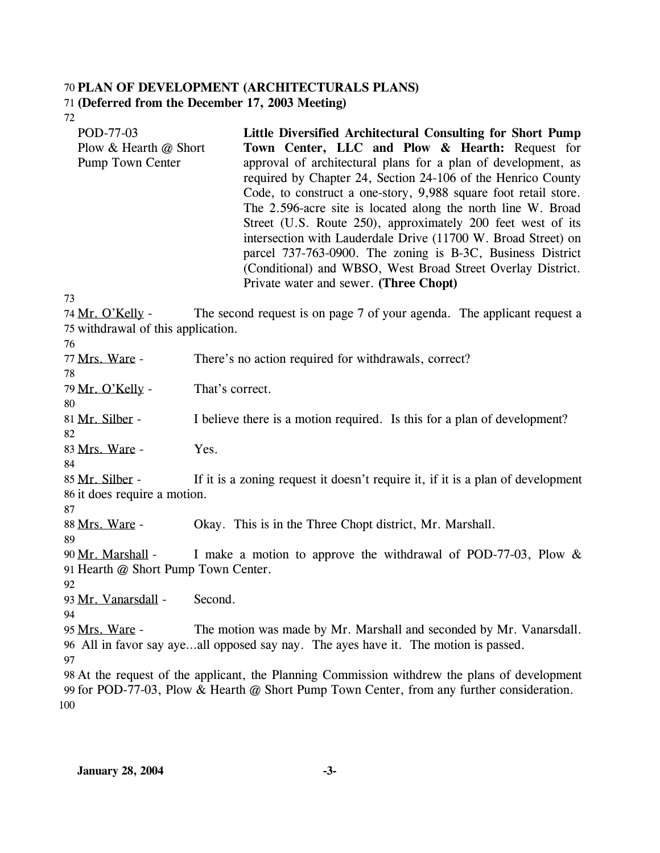#### 70 **PLAN OF DEVELOPMENT (ARCHITECTURALS PLANS)**  71 **(Deferred from the December 17, 2003 Meeting)**

72

| POD-77-03               | Little Diversified Architectural Consulting for Short Pump      |
|-------------------------|-----------------------------------------------------------------|
| Plow & Hearth $@$ Short | Town Center, LLC and Plow & Hearth: Request for                 |
| Pump Town Center        | approval of architectural plans for a plan of development, as   |
|                         | required by Chapter 24, Section 24-106 of the Henrico County    |
|                         | Code, to construct a one-story, 9,988 square foot retail store. |
|                         | The 2.596-acre site is located along the north line W. Broad    |
|                         | Street (U.S. Route 250), approximately 200 feet west of its     |
|                         | intersection with Lauderdale Drive (11700 W. Broad Street) on   |
|                         | parcel 737-763-0900. The zoning is B-3C, Business District      |
|                         | (Conditional) and WBSO, West Broad Street Overlay District.     |
|                         | Private water and sewer. (Three Chopt)                          |
| 73                      |                                                                 |

The second request is on page 7 of your agenda. The applicant request a 75 withdrawal of this application. 74 Mr. O'Kelly -

76

78

80

77 Mrs. Ware - There's no action required for withdrawals, correct?

79 Mr. O'Kelly - That's correct.

81 Mr. Silber - I believe there is a motion required. Is this for a plan of development?

82 83 Mrs. Ware - Yes.

84

If it is a zoning request it doesn't require it, if it is a plan of development 86 it does require a motion. 85 Mr. Silber -

88 Mrs. Ware - Okay. This is in the Three Chopt district, Mr. Marshall.

89

87

I make a motion to approve the withdrawal of POD-77-03, Plow  $&$ 91 Hearth @ Short Pump Town Center. 90 Mr. Marshall -

92

93 Mr. Vanarsdall - Second.

94

The motion was made by Mr. Marshall and seconded by Mr. Vanarsdall. All in favor say aye…all opposed say nay. The ayes have it. The motion is passed. 96 95 Mrs. Ware -97

98 At the request of the applicant, the Planning Commission withdrew the plans of development 99 for POD-77-03, Plow & Hearth @ Short Pump Town Center, from any further consideration. 100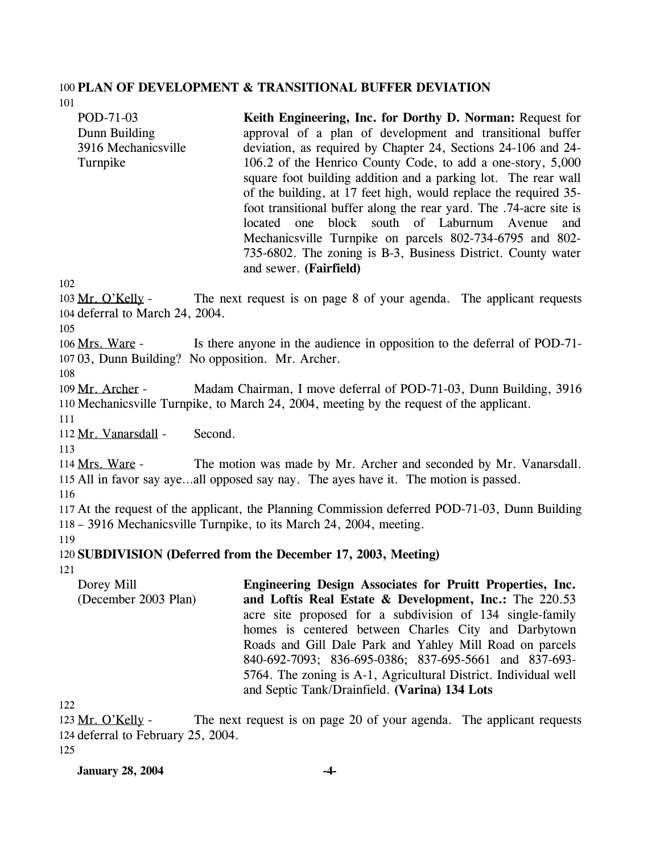#### 100 **PLAN OF DEVELOPMENT & TRANSITIONAL BUFFER DEVIATION**

101

POD-71-03 Dunn Building 3916 Mechanicsville Turnpike

**Keith Engineering, Inc. for Dorthy D. Norman:** Request for approval of a plan of development and transitional buffer deviation, as required by Chapter 24, Sections 24-106 and 24- 106.2 of the Henrico County Code, to add a one-story, 5,000 square foot building addition and a parking lot. The rear wall of the building, at 17 feet high, would replace the required 35 foot transitional buffer along the rear yard. The .74-acre site is located one block south of Laburnum Avenue and Mechanicsville Turnpike on parcels 802-734-6795 and 802- 735-6802. The zoning is B-3, Business District. County water and sewer. **(Fairfield)** 

102

The next request is on page 8 of your agenda. The applicant requests 104 deferral to March 24, 2004. 103 Mr. O'Kelly -

105

Is there anyone in the audience in opposition to the deferral of POD-71-03, Dunn Building? No opposition. Mr. Archer. 107 106 Mrs. Ware -

108

Madam Chairman, I move deferral of POD-71-03, Dunn Building, 3916 110 Mechanicsville Turnpike, to March 24, 2004, meeting by the request of the applicant. 109 Mr. Archer -

111

112 Mr. Vanarsdall - Second.

113

The motion was made by Mr. Archer and seconded by Mr. Vanarsdall. 115 All in favor say aye...all opposed say nay. The ayes have it. The motion is passed. 114 Mrs. Ware -

116

117 At the request of the applicant, the Planning Commission deferred POD-71-03, Dunn Building 118 – 3916 Mechanicsville Turnpike, to its March 24, 2004, meeting.

119

# 120 **SUBDIVISION (Deferred from the December 17, 2003, Meeting)**

121

Dorey Mill (December 2003 Plan) **Engineering Design Associates for Pruitt Properties, Inc. and Loftis Real Estate & Development, Inc.:** The 220.53 acre site proposed for a subdivision of 134 single-family homes is centered between Charles City and Darbytown Roads and Gill Dale Park and Yahley Mill Road on parcels 840-692-7093; 836-695-0386; 837-695-5661 and 837-693- 5764. The zoning is A-1, Agricultural District. Individual well and Septic Tank/Drainfield. **(Varina) 134 Lots** 

122

The next request is on page 20 of your agenda. The applicant requests 124 deferral to February 25, 2004. 123 Mr. O'Kelly -

125

**January 28, 2004 -4-**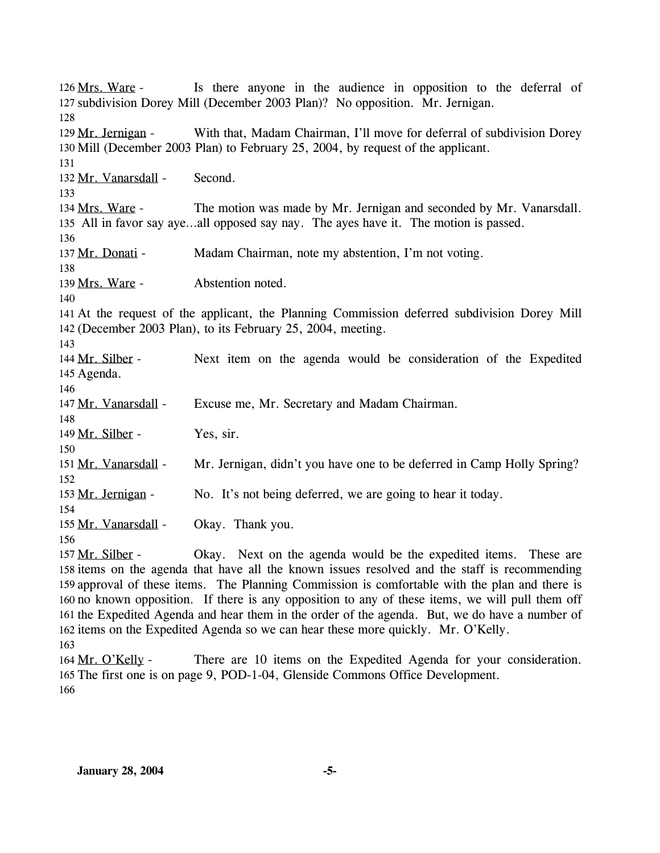Is there anyone in the audience in opposition to the deferral of 127 subdivision Dorey Mill (December 2003 Plan)? No opposition. Mr. Jernigan. 126 Mrs. Ware -128 With that, Madam Chairman, I'll move for deferral of subdivision Dorey 130 Mill (December 2003 Plan) to February 25, 2004, by request of the applicant. 129 Mr. Jernigan -131 132 Mr. Vanarsdall - Second. 133 The motion was made by Mr. Jernigan and seconded by Mr. Vanarsdall. All in favor say aye…all opposed say nay. The ayes have it. The motion is passed. 135 134 Mrs. Ware -136 137 Mr. Donati - Madam Chairman, note my abstention, I'm not voting. 138 139 Mrs. Ware - Abstention noted. 140 141 At the request of the applicant, the Planning Commission deferred subdivision Dorey Mill 142 (December 2003 Plan), to its February 25, 2004, meeting. 143 Next item on the agenda would be consideration of the Expedited 145 Agenda. 144 Mr. Silber -146 147 Mr. Vanarsdall - Excuse me, Mr. Secretary and Madam Chairman. 148 149 Mr. Silber - Yes, sir. 150 151 Mr. Vanarsdall - Mr. Jernigan, didn't you have one to be deferred in Camp Holly Spring? 152 153 Mr. Jernigan - No. It's not being deferred, we are going to hear it today. 154 155 Mr. Vanarsdall - Okay. Thank you. 156 Okay. Next on the agenda would be the expedited items. These are 158 items on the agenda that have all the known issues resolved and the staff is recommending 157 Mr. Silber -

159 approval of these items. The Planning Commission is comfortable with the plan and there is 160 no known opposition. If there is any opposition to any of these items, we will pull them off 161 the Expedited Agenda and hear them in the order of the agenda. But, we do have a number of 162 items on the Expedited Agenda so we can hear these more quickly. Mr. O'Kelly.

There are 10 items on the Expedited Agenda for your consideration. 165 The first one is on page 9, POD-1-04, Glenside Commons Office Development. 164 Mr. O'Kelly -166

<sup>163</sup>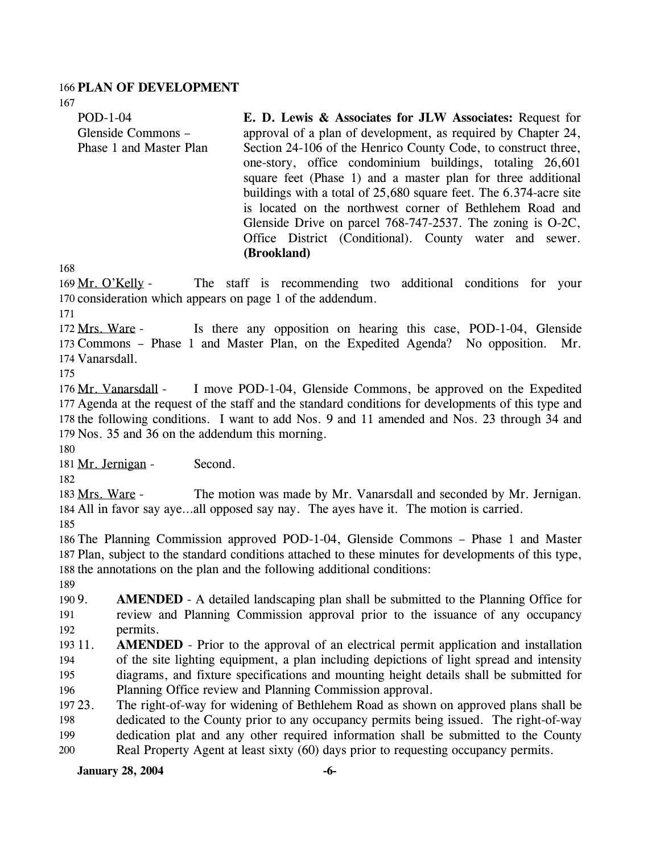#### 166 **PLAN OF DEVELOPMENT**

POD-1-04 Glenside Commons – Phase 1 and Master Plan **E. D. Lewis & Associates for JLW Associates:** Request for approval of a plan of development, as required by Chapter 24, Section 24-106 of the Henrico County Code, to construct three, one-story, office condominium buildings, totaling 26,601 square feet (Phase 1) and a master plan for three additional buildings with a total of 25,680 square feet. The 6.374-acre site is located on the northwest corner of Bethlehem Road and Glenside Drive on parcel 768-747-2537. The zoning is O-2C, Office District (Conditional). County water and sewer. **(Brookland)** 

168

167

The staff is recommending two additional conditions for your 170 consideration which appears on page 1 of the addendum. 169 Mr. O'Kelly -

171

Is there any opposition on hearing this case, POD-1-04, Glenside 173 Commons - Phase 1 and Master Plan, on the Expedited Agenda? No opposition. Mr. 174 Vanarsdall. 172 Mrs. Ware -

175

I move POD-1-04, Glenside Commons, be approved on the Expedited 177 Agenda at the request of the staff and the standard conditions for developments of this type and 178 the following conditions. I want to add Nos. 9 and 11 amended and Nos. 23 through 34 and 179 Nos. 35 and 36 on the addendum this morning. 176 Mr. Vanarsdall -

180

181 Mr. Jernigan - Second.

182

The motion was made by Mr. Vanarsdall and seconded by Mr. Jernigan. All in favor say aye…all opposed say nay. The ayes have it. The motion is carried. 184 183 Mrs. Ware -

185

186 The Planning Commission approved POD-1-04, Glenside Commons – Phase 1 and Master 187 Plan, subject to the standard conditions attached to these minutes for developments of this type, 188 the annotations on the plan and the following additional conditions:

189

190 9. 191 192 AMENDED - A detailed landscaping plan shall be submitted to the Planning Office for review and Planning Commission approval prior to the issuance of any occupancy permits.

193 11. 194 195 196 **AMENDED** - Prior to the approval of an electrical permit application and installation of the site lighting equipment, a plan including depictions of light spread and intensity diagrams, and fixture specifications and mounting height details shall be submitted for Planning Office review and Planning Commission approval.

197 23. 198 199 200 The right-of-way for widening of Bethlehem Road as shown on approved plans shall be dedicated to the County prior to any occupancy permits being issued. The right-of-way dedication plat and any other required information shall be submitted to the County Real Property Agent at least sixty (60) days prior to requesting occupancy permits.

**January 28, 2004 -6-**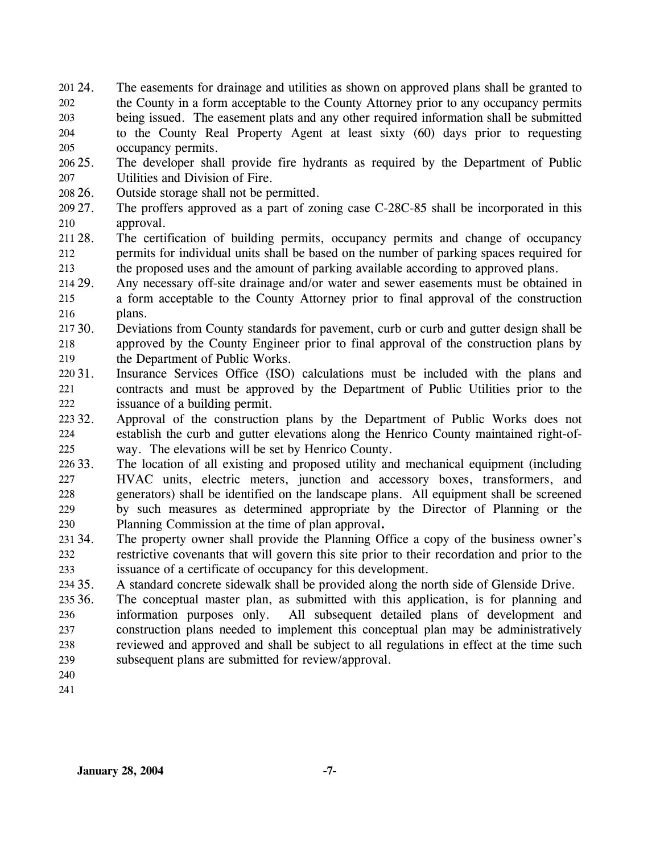- 24. The easements for drainage and utilities as shown on approved plans shall be granted to the County in a form acceptable to the County Attorney prior to any occupancy permits being issued. The easement plats and any other required information shall be submitted to the County Real Property Agent at least sixty (60) days prior to requesting occupancy permits. 201 24. 202 203 204 205
- $206\,25$ . 207 The developer shall provide fire hydrants as required by the Department of Public Utilities and Division of Fire.
- 208 26. Outside storage shall not be permitted.
- 209 27. 210 The proffers approved as a part of zoning case C-28C-85 shall be incorporated in this approval.
- 211 28. 212 213 The certification of building permits, occupancy permits and change of occupancy permits for individual units shall be based on the number of parking spaces required for the proposed uses and the amount of parking available according to approved plans.
- 214 29. 215 216 Any necessary off-site drainage and/or water and sewer easements must be obtained in a form acceptable to the County Attorney prior to final approval of the construction plans.
- 217 30. 218 219 Deviations from County standards for pavement, curb or curb and gutter design shall be approved by the County Engineer prior to final approval of the construction plans by the Department of Public Works.
- 220 31. 221 222 Insurance Services Office (ISO) calculations must be included with the plans and contracts and must be approved by the Department of Public Utilities prior to the issuance of a building permit.
- 223 32. 224 225 32. Approval of the construction plans by the Department of Public Works does not establish the curb and gutter elevations along the Henrico County maintained right-ofway. The elevations will be set by Henrico County.
- 226 33. 227 228 229 230 The location of all existing and proposed utility and mechanical equipment (including HVAC units, electric meters, junction and accessory boxes, transformers, and generators) shall be identified on the landscape plans. All equipment shall be screened by such measures as determined appropriate by the Director of Planning or the Planning Commission at the time of plan approval**.**
- 231 34. 232 233 The property owner shall provide the Planning Office a copy of the business owner's restrictive covenants that will govern this site prior to their recordation and prior to the issuance of a certificate of occupancy for this development.
- 234 35. 35. A standard concrete sidewalk shall be provided along the north side of Glenside Drive.
- 235 36. 236 237 238 239 The conceptual master plan, as submitted with this application, is for planning and information purposes only. All subsequent detailed plans of development and construction plans needed to implement this conceptual plan may be administratively reviewed and approved and shall be subject to all regulations in effect at the time such subsequent plans are submitted for review/approval.
- 240
- 241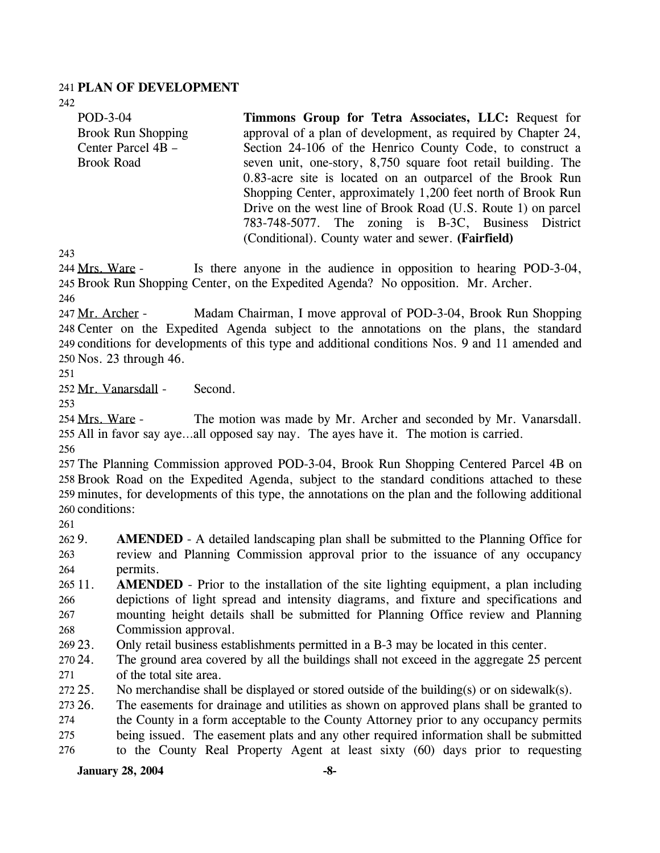#### 241 **PLAN OF DEVELOPMENT**

242

POD-3-04 Brook Run Shopping Center Parcel 4B – Brook Road

**Timmons Group for Tetra Associates, LLC:** Request for approval of a plan of development, as required by Chapter 24, Section 24-106 of the Henrico County Code, to construct a seven unit, one-story, 8,750 square foot retail building. The 0.83-acre site is located on an outparcel of the Brook Run Shopping Center, approximately 1,200 feet north of Brook Run Drive on the west line of Brook Road (U.S. Route 1) on parcel 783-748-5077. The zoning is B-3C, Business District (Conditional). County water and sewer. **(Fairfield)** 

243

Is there anyone in the audience in opposition to hearing POD-3-04, 245 Brook Run Shopping Center, on the Expedited Agenda? No opposition. Mr. Archer. 244 Mrs. Ware -

246

Madam Chairman, I move approval of POD-3-04, Brook Run Shopping Center on the Expedited Agenda subject to the annotations on the plans, the standard 248 249 conditions for developments of this type and additional conditions Nos. 9 and 11 amended and 250 Nos. 23 through 46. 247 Mr. Archer -

251

252 Mr. Vanarsdall - Second.

253

The motion was made by Mr. Archer and seconded by Mr. Vanarsdall. 255 All in favor say aye...all opposed say nay. The ayes have it. The motion is carried. 254 Mrs. Ware -

256

 The Planning Commission approved POD-3-04, Brook Run Shopping Centered Parcel 4B on Brook Road on the Expedited Agenda, subject to the standard conditions attached to these minutes, for developments of this type, the annotations on the plan and the following additional conditions:

261

262 9. 263 264 **AMENDED** - A detailed landscaping plan shall be submitted to the Planning Office for review and Planning Commission approval prior to the issuance of any occupancy permits.

265 11. 266 267 268 **AMENDED** - Prior to the installation of the site lighting equipment, a plan including depictions of light spread and intensity diagrams, and fixture and specifications and mounting height details shall be submitted for Planning Office review and Planning Commission approval.

269 23. 23. Only retail business establishments permitted in a B-3 may be located in this center.

270 24. 271 The ground area covered by all the buildings shall not exceed in the aggregate 25 percent of the total site area.

272 25 No merchandise shall be displayed or stored outside of the building(s) or on sidewalk(s).

273 26. The easements for drainage and utilities as shown on approved plans shall be granted to

274 the County in a form acceptable to the County Attorney prior to any occupancy permits

275 being issued. The easement plats and any other required information shall be submitted

276 to the County Real Property Agent at least sixty (60) days prior to requesting

# **January 28, 2004** -8-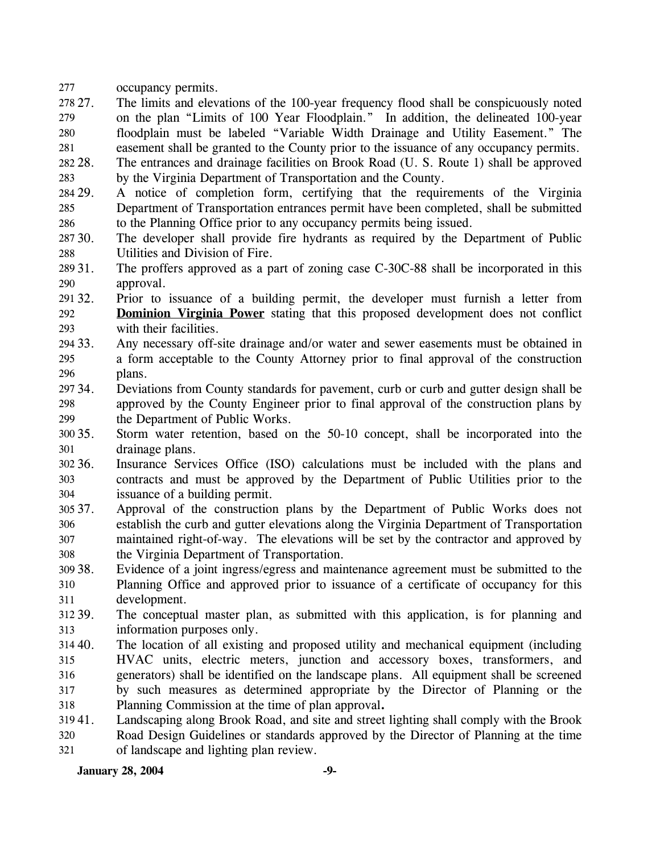277 occupancy permits.

278 27. 279 280 281 27. The limits and elevations of the 100-year frequency flood shall be conspicuously noted on the plan "Limits of 100 Year Floodplain." In addition, the delineated 100-year floodplain must be labeled "Variable Width Drainage and Utility Easement." The easement shall be granted to the County prior to the issuance of any occupancy permits.

282. 283 28. The entrances and drainage facilities on Brook Road (U. S. Route 1) shall be approved by the Virginia Department of Transportation and the County.

284 29. 285 286 29. A notice of completion form, certifying that the requirements of the Virginia Department of Transportation entrances permit have been completed, shall be submitted to the Planning Office prior to any occupancy permits being issued.

287 30. 288 The developer shall provide fire hydrants as required by the Department of Public Utilities and Division of Fire.

289 31. 290 The proffers approved as a part of zoning case C-30C-88 shall be incorporated in this approval.

291 32. 32. Prior to issuance of a building permit, the developer must furnish a letter from **Dominion Virginia Power** stating that this proposed development does not conflict with their facilities. 292 293

294 33. 295 296 Any necessary off-site drainage and/or water and sewer easements must be obtained in a form acceptable to the County Attorney prior to final approval of the construction plans.

297 34. 298 299 34. Deviations from County standards for pavement, curb or curb and gutter design shall be approved by the County Engineer prior to final approval of the construction plans by the Department of Public Works.

300 35. 301 35. Storm water retention, based on the 50-10 concept, shall be incorporated into the drainage plans.

302 36. 303 304 Insurance Services Office (ISO) calculations must be included with the plans and contracts and must be approved by the Department of Public Utilities prior to the issuance of a building permit.

305 37. 306 307 308 Approval of the construction plans by the Department of Public Works does not establish the curb and gutter elevations along the Virginia Department of Transportation maintained right-of-way. The elevations will be set by the contractor and approved by the Virginia Department of Transportation.

309 38. 310 311 Evidence of a joint ingress/egress and maintenance agreement must be submitted to the Planning Office and approved prior to issuance of a certificate of occupancy for this development.

312 39. 313 The conceptual master plan, as submitted with this application, is for planning and information purposes only.

 $314\,40.$ 315 316 317 318 The location of all existing and proposed utility and mechanical equipment (including HVAC units, electric meters, junction and accessory boxes, transformers, and generators) shall be identified on the landscape plans. All equipment shall be screened by such measures as determined appropriate by the Director of Planning or the Planning Commission at the time of plan approval**.** 

31941. Landscaping along Brook Road, and site and street lighting shall comply with the Brook

320 321 Road Design Guidelines or standards approved by the Director of Planning at the time of landscape and lighting plan review.

**January 28, 2004** -9-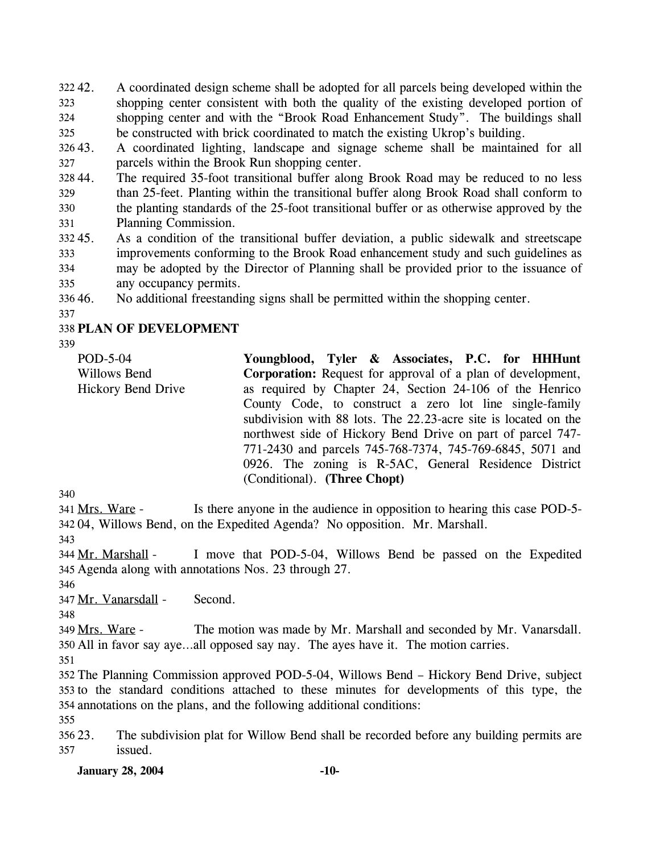42. A coordinated design scheme shall be adopted for all parcels being developed within the shopping center consistent with both the quality of the existing developed portion of shopping center and with the "Brook Road Enhancement Study". The buildings shall be constructed with brick coordinated to match the existing Ukrop's building. 322 42. 323 324 325

326 43. 327 43. A coordinated lighting, landscape and signage scheme shall be maintained for all parcels within the Brook Run shopping center.

328 329 330 331 The required 35-foot transitional buffer along Brook Road may be reduced to no less than 25-feet. Planting within the transitional buffer along Brook Road shall conform to the planting standards of the 25-foot transitional buffer or as otherwise approved by the Planning Commission.

332 45. 333 334 335 45. As a condition of the transitional buffer deviation, a public sidewalk and streetscape improvements conforming to the Brook Road enhancement study and such guidelines as may be adopted by the Director of Planning shall be provided prior to the issuance of any occupancy permits.

336 46. No additional freestanding signs shall be permitted within the shopping center.

337

## 338 **PLAN OF DEVELOPMENT**

339

POD-5-04 Willows Bend Hickory Bend Drive **Youngblood, Tyler & Associates, P.C. for HHHunt Corporation:** Request for approval of a plan of development, as required by Chapter 24, Section 24-106 of the Henrico County Code, to construct a zero lot line single-family subdivision with 88 lots. The 22.23-acre site is located on the northwest side of Hickory Bend Drive on part of parcel 747- 771-2430 and parcels 745-768-7374, 745-769-6845, 5071 and 0926. The zoning is R-5AC, General Residence District (Conditional). **(Three Chopt)** 

340

Is there anyone in the audience in opposition to hearing this case POD-5-04, Willows Bend, on the Expedited Agenda? No opposition. Mr. Marshall. 342 341 Mrs. Ware -

343

I move that POD-5-04, Willows Bend be passed on the Expedited Agenda along with annotations Nos. 23 through 27. 345 344 Mr. Marshall -

346

347 Mr. Vanarsdall - Second.

348

The motion was made by Mr. Marshall and seconded by Mr. Vanarsdall. 350 All in favor say aye...all opposed say nay. The ayes have it. The motion carries. 349 Mrs. Ware -

351

352 The Planning Commission approved POD-5-04, Willows Bend – Hickory Bend Drive, subject 353 to the standard conditions attached to these minutes for developments of this type, the 354 annotations on the plans, and the following additional conditions:

355

356 23. 357 The subdivision plat for Willow Bend shall be recorded before any building permits are issued.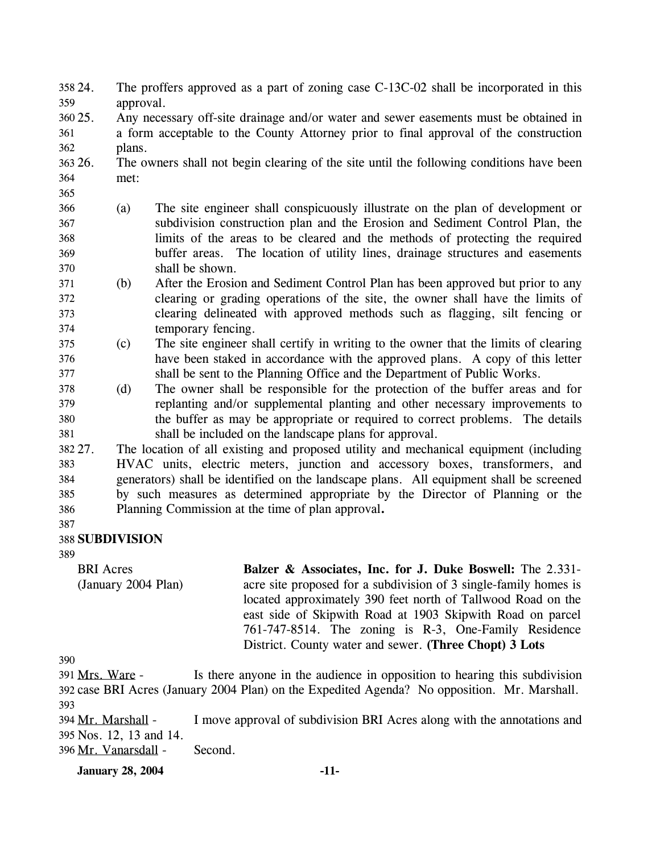- The proffers approved as a part of zoning case  $C-13C-02$  shall be incorporated in this approval. 358 24. 359
- 360 25. 361 362 Any necessary off-site drainage and/or water and sewer easements must be obtained in a form acceptable to the County Attorney prior to final approval of the construction plans.
- 363 26. 364 26. The owners shall not begin clearing of the site until the following conditions have been met:
- 366 367 368 369 370 (a) The site engineer shall conspicuously illustrate on the plan of development or subdivision construction plan and the Erosion and Sediment Control Plan, the limits of the areas to be cleared and the methods of protecting the required buffer areas. The location of utility lines, drainage structures and easements shall be shown.
- 371 372 373 374 (b) After the Erosion and Sediment Control Plan has been approved but prior to any clearing or grading operations of the site, the owner shall have the limits of clearing delineated with approved methods such as flagging, silt fencing or temporary fencing.
- 375 376 377 (c) The site engineer shall certify in writing to the owner that the limits of clearing have been staked in accordance with the approved plans. A copy of this letter shall be sent to the Planning Office and the Department of Public Works.
- 378 379 380 381 (d) The owner shall be responsible for the protection of the buffer areas and for replanting and/or supplemental planting and other necessary improvements to the buffer as may be appropriate or required to correct problems. The details shall be included on the landscape plans for approval.

382 27. 383 384 385 386 The location of all existing and proposed utility and mechanical equipment (including HVAC units, electric meters, junction and accessory boxes, transformers, and generators) shall be identified on the landscape plans. All equipment shall be screened by such measures as determined appropriate by the Director of Planning or the Planning Commission at the time of plan approval**.**

387

365

# 388 **SUBDIVISION**

389

BRI Acres (January 2004 Plan) **Balzer & Associates, Inc. for J. Duke Boswell:** The 2.331 acre site proposed for a subdivision of 3 single-family homes is located approximately 390 feet north of Tallwood Road on the east side of Skipwith Road at 1903 Skipwith Road on parcel 761-747-8514. The zoning is R-3, One-Family Residence District. County water and sewer. **(Three Chopt) 3 Lots** 

390

Is there anyone in the audience in opposition to hearing this subdivision 392 case BRI Acres (January 2004 Plan) on the Expedited Agenda? No opposition. Mr. Marshall. 391 Mrs. Ware -393

I move approval of subdivision BRI Acres along with the annotations and Nos. 12, 13 and 14. 395 394 Mr. Marshall -396 Mr. Vanarsdall - Second.

**January 28, 2004 -11-**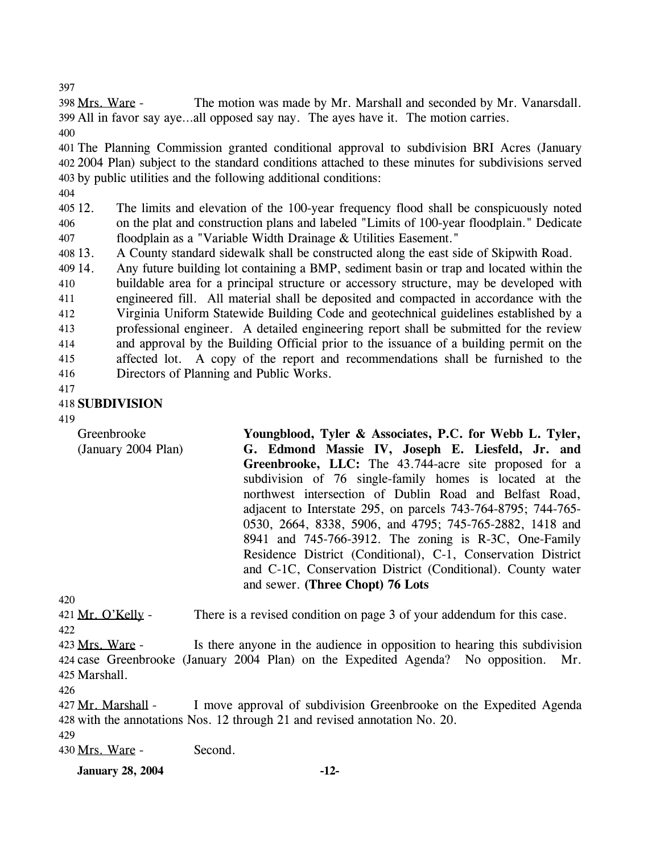397

The motion was made by Mr. Marshall and seconded by Mr. Vanarsdall. All in favor say aye…all opposed say nay. The ayes have it. The motion carries. 399 398 Mrs. Ware -

400

401 The Planning Commission granted conditional approval to subdivision BRI Acres (January 402 2004 Plan) subject to the standard conditions attached to these minutes for subdivisions served 403 by public utilities and the following additional conditions:

404

 $40512.$ 406 407 12. The limits and elevation of the 100-year frequency flood shall be conspicuously noted on the plat and construction plans and labeled "Limits of 100-year floodplain." Dedicate floodplain as a "Variable Width Drainage & Utilities Easement."

408 13. 13. A County standard sidewalk shall be constructed along the east side of Skipwith Road.

409 14. 410 411 412 413 414 415 416 Any future building lot containing a BMP, sediment basin or trap and located within the buildable area for a principal structure or accessory structure, may be developed with engineered fill. All material shall be deposited and compacted in accordance with the Virginia Uniform Statewide Building Code and geotechnical guidelines established by a professional engineer. A detailed engineering report shall be submitted for the review and approval by the Building Official prior to the issuance of a building permit on the affected lot. A copy of the report and recommendations shall be furnished to the Directors of Planning and Public Works.

417

# 418 **SUBDIVISION**

419

Greenbrooke (January 2004 Plan) **Youngblood, Tyler & Associates, P.C. for Webb L. Tyler, G. Edmond Massie IV, Joseph E. Liesfeld, Jr. and Greenbrooke, LLC:** The 43.744-acre site proposed for a subdivision of 76 single-family homes is located at the northwest intersection of Dublin Road and Belfast Road, adjacent to Interstate 295, on parcels 743-764-8795; 744-765- 0530, 2664, 8338, 5906, and 4795; 745-765-2882, 1418 and 8941 and 745-766-3912. The zoning is R-3C, One-Family Residence District (Conditional), C-1, Conservation District and C-1C, Conservation District (Conditional). County water and sewer. **(Three Chopt) 76 Lots** 

420

421 Mr. O'Kelly - There is a revised condition on page 3 of your addendum for this case.  $422$ 

Is there anyone in the audience in opposition to hearing this subdivision 424 case Greenbrooke (January 2004 Plan) on the Expedited Agenda? No opposition. Mr. Marshall. 425 423 Mrs. Ware -

426

I move approval of subdivision Greenbrooke on the Expedited Agenda 428 with the annotations Nos. 12 through 21 and revised annotation No. 20. 427 Mr. Marshall -

429

430 Mrs. Ware - Second.

**January 28, 2004 -12-**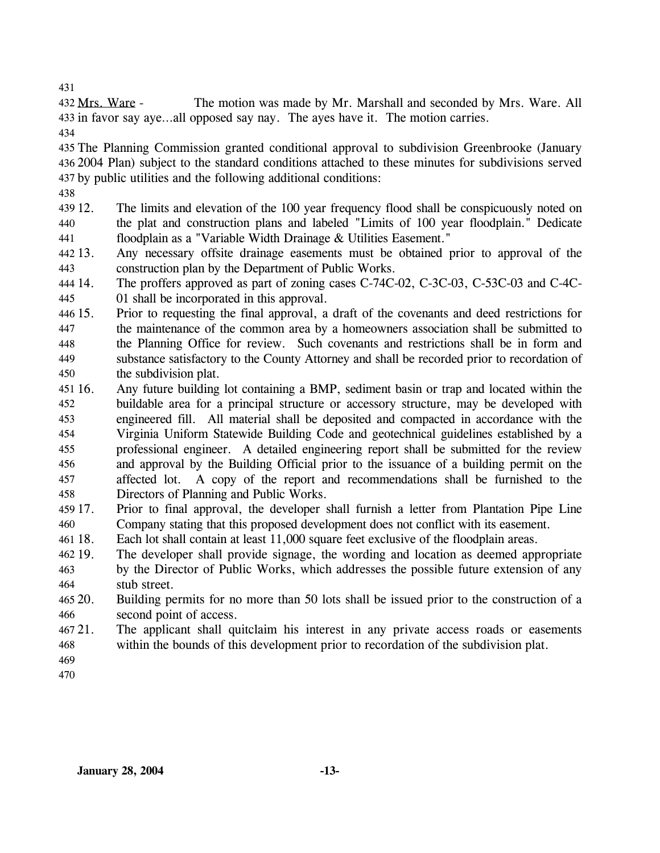431

The motion was made by Mr. Marshall and seconded by Mrs. Ware. All 433 in favor say aye...all opposed say nay. The ayes have it. The motion carries. 432 Mrs. Ware -

434

435 The Planning Commission granted conditional approval to subdivision Greenbrooke (January 436 2004 Plan) subject to the standard conditions attached to these minutes for subdivisions served 437 by public utilities and the following additional conditions:

438

439 12. 440 441 The limits and elevation of the 100 year frequency flood shall be conspicuously noted on the plat and construction plans and labeled "Limits of 100 year floodplain." Dedicate floodplain as a "Variable Width Drainage & Utilities Easement."

442 13. 443 Any necessary offsite drainage easements must be obtained prior to approval of the construction plan by the Department of Public Works.

- 444 14. 445 The proffers approved as part of zoning cases C-74C-02, C-3C-03, C-53C-03 and C-4C-01 shall be incorporated in this approval.
- 446 15. 447 448 449 450 15. Prior to requesting the final approval, a draft of the covenants and deed restrictions for the maintenance of the common area by a homeowners association shall be submitted to the Planning Office for review. Such covenants and restrictions shall be in form and substance satisfactory to the County Attorney and shall be recorded prior to recordation of the subdivision plat.
- 451 16. 452 453 454 455 456 457 458 16. Any future building lot containing a BMP, sediment basin or trap and located within the buildable area for a principal structure or accessory structure, may be developed with engineered fill. All material shall be deposited and compacted in accordance with the Virginia Uniform Statewide Building Code and geotechnical guidelines established by a professional engineer. A detailed engineering report shall be submitted for the review and approval by the Building Official prior to the issuance of a building permit on the affected lot. A copy of the report and recommendations shall be furnished to the Directors of Planning and Public Works.
- 459 17. 460 17. Prior to final approval, the developer shall furnish a letter from Plantation Pipe Line Company stating that this proposed development does not conflict with its easement.
- 461 18. Each lot shall contain at least 11,000 square feet exclusive of the floodplain areas.
- 462 19. 463 464 The developer shall provide signage, the wording and location as deemed appropriate by the Director of Public Works, which addresses the possible future extension of any stub street.
- 465 20. 466 Building permits for no more than 50 lots shall be issued prior to the construction of a second point of access.
- $46721.$ 468 The applicant shall quitclaim his interest in any private access roads or easements within the bounds of this development prior to recordation of the subdivision plat.
- 469
- 470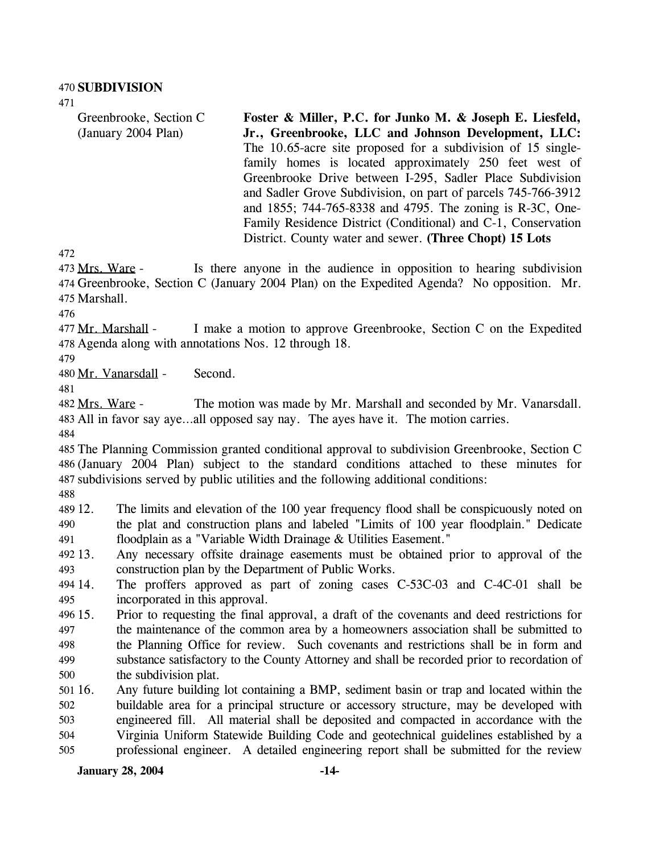471

Greenbrooke, Section C (January 2004 Plan)

**Foster & Miller, P.C. for Junko M. & Joseph E. Liesfeld, Jr., Greenbrooke, LLC and Johnson Development, LLC:**  The 10.65-acre site proposed for a subdivision of 15 singlefamily homes is located approximately 250 feet west of Greenbrooke Drive between I-295, Sadler Place Subdivision and Sadler Grove Subdivision, on part of parcels 745-766-3912 and 1855; 744-765-8338 and 4795. The zoning is R-3C, One-Family Residence District (Conditional) and C-1, Conservation District. County water and sewer. **(Three Chopt) 15 Lots** 

472

Is there anyone in the audience in opposition to hearing subdivision 474 Greenbrooke, Section C (January 2004 Plan) on the Expedited Agenda? No opposition. Mr. 475 Marshall. 473 Mrs. Ware -

476

I make a motion to approve Greenbrooke, Section C on the Expedited Agenda along with annotations Nos. 12 through 18. 478 477 Mr. Marshall -

479

480 Mr. Vanarsdall - Second.

481

The motion was made by Mr. Marshall and seconded by Mr. Vanarsdall. All in favor say aye…all opposed say nay. The ayes have it. The motion carries. 483 482 Mrs. Ware -

484

485 The Planning Commission granted conditional approval to subdivision Greenbrooke, Section C 486 (January 2004 Plan) subject to the standard conditions attached to these minutes for 487 subdivisions served by public utilities and the following additional conditions:

488

489 12. 490 491 The limits and elevation of the 100 year frequency flood shall be conspicuously noted on the plat and construction plans and labeled "Limits of 100 year floodplain." Dedicate floodplain as a "Variable Width Drainage & Utilities Easement."

492 13. 493 Any necessary offsite drainage easements must be obtained prior to approval of the construction plan by the Department of Public Works.

494 14. 495 The proffers approved as part of zoning cases  $C$ -53 $C$ -03 and  $C$ -4 $C$ -01 shall be incorporated in this approval.

 $496\,15$ . 497 498 499 500 15. Prior to requesting the final approval, a draft of the covenants and deed restrictions for the maintenance of the common area by a homeowners association shall be submitted to the Planning Office for review. Such covenants and restrictions shall be in form and substance satisfactory to the County Attorney and shall be recorded prior to recordation of the subdivision plat.

501 16. 502 503 504 505 16. Any future building lot containing a BMP, sediment basin or trap and located within the buildable area for a principal structure or accessory structure, may be developed with engineered fill. All material shall be deposited and compacted in accordance with the Virginia Uniform Statewide Building Code and geotechnical guidelines established by a professional engineer. A detailed engineering report shall be submitted for the review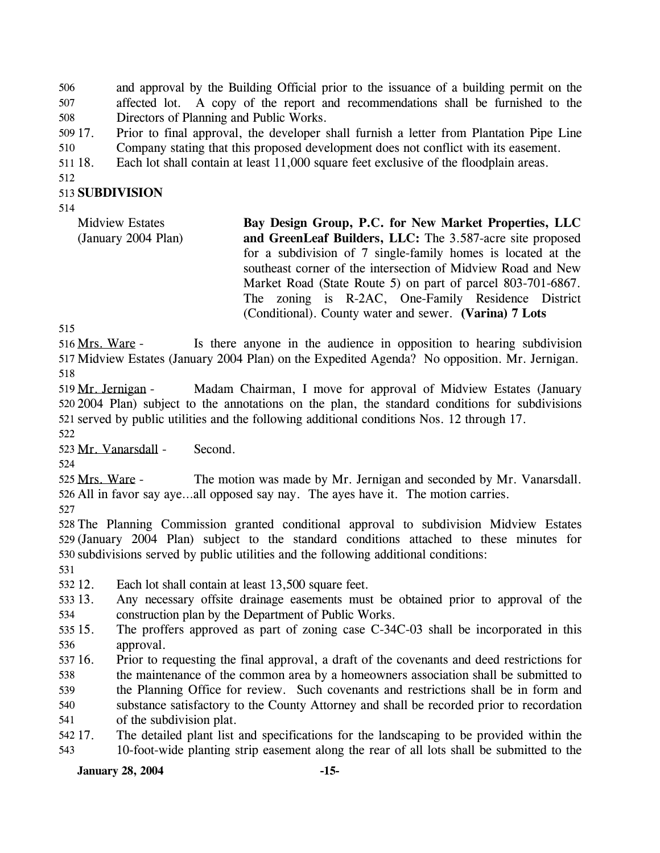and approval by the Building Official prior to the issuance of a building permit on the affected lot. A copy of the report and recommendations shall be furnished to the Directors of Planning and Public Works. 506 507 508

509 17. 510 17. Prior to final approval, the developer shall furnish a letter from Plantation Pipe Line Company stating that this proposed development does not conflict with its easement.

511 18. Each lot shall contain at least 11,000 square feet exclusive of the floodplain areas.

512

# 513 **SUBDIVISION**

514

| <b>Midview Estates</b> | Bay Design Group, P.C. for New Market Properties, LLC        |
|------------------------|--------------------------------------------------------------|
| (January 2004 Plan)    | and GreenLeaf Builders, LLC: The 3.587-acre site proposed    |
|                        | for a subdivision of 7 single-family homes is located at the |
|                        | southeast corner of the intersection of Midview Road and New |
|                        | Market Road (State Route 5) on part of parcel 803-701-6867.  |
|                        | The zoning is R-2AC, One-Family Residence District           |
|                        | (Conditional). County water and sewer. (Varina) 7 Lots       |

515

Is there anyone in the audience in opposition to hearing subdivision 517 Midview Estates (January 2004 Plan) on the Expedited Agenda? No opposition. Mr. Jernigan. 516 Mrs. Ware -518

Madam Chairman, I move for approval of Midview Estates (January 520 2004 Plan) subject to the annotations on the plan, the standard conditions for subdivisions 521 served by public utilities and the following additional conditions Nos. 12 through 17. 519 Mr. Jernigan -

522

523 Mr. Vanarsdall - Second.

524

The motion was made by Mr. Jernigan and seconded by Mr. Vanarsdall. 526 All in favor say aye...all opposed say nay. The ayes have it. The motion carries. 525 Mrs. Ware -

527

528 The Planning Commission granted conditional approval to subdivision Midview Estates 529 (January 2004 Plan) subject to the standard conditions attached to these minutes for 530 subdivisions served by public utilities and the following additional conditions:

531

532 12. Each lot shall contain at least 13,500 square feet.

- 533 13. 534 Any necessary offsite drainage easements must be obtained prior to approval of the construction plan by the Department of Public Works.
- 535 15. 536 The proffers approved as part of zoning case C-34C-03 shall be incorporated in this approval.
- 537 16. 538 16. Prior to requesting the final approval, a draft of the covenants and deed restrictions for the maintenance of the common area by a homeowners association shall be submitted to

539 the Planning Office for review. Such covenants and restrictions shall be in form and

540 substance satisfactory to the County Attorney and shall be recorded prior to recordation

541 of the subdivision plat.

542 17. 543 17. The detailed plant list and specifications for the landscaping to be provided within the 10-foot-wide planting strip easement along the rear of all lots shall be submitted to the

# **January 28, 2004 -15-**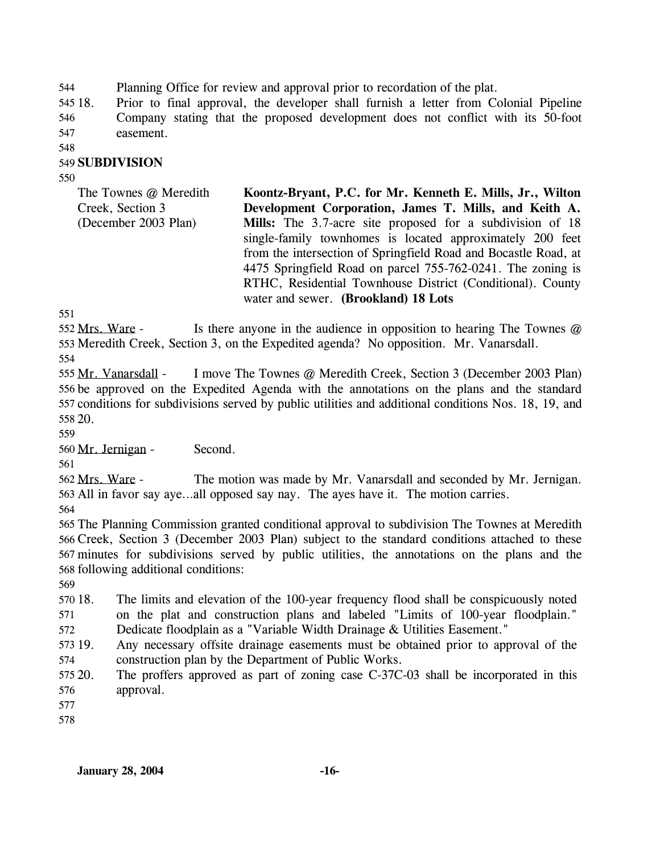544 Planning Office for review and approval prior to recordation of the plat.

545 18. 546 547 18. Prior to final approval, the developer shall furnish a letter from Colonial Pipeline Company stating that the proposed development does not conflict with its 50-foot easement.

548

### 549 **SUBDIVISION**

550

| The Townes @ Meredith | Koontz-Bryant, P.C. for Mr. Kenneth E. Mills, Jr., Wilton        |
|-----------------------|------------------------------------------------------------------|
| Creek, Section 3      | Development Corporation, James T. Mills, and Keith A.            |
| (December 2003 Plan)  | <b>Mills:</b> The 3.7-acre site proposed for a subdivision of 18 |
|                       | single-family townhomes is located approximately 200 feet        |
|                       | from the intersection of Springfield Road and Bocastle Road, at  |
|                       | 4475 Springfield Road on parcel 755-762-0241. The zoning is      |
|                       | RTHC, Residential Townhouse District (Conditional). County       |
|                       | water and sewer. (Brookland) 18 Lots                             |

551

Is there anyone in the audience in opposition to hearing The Townes  $\omega$ 553 Meredith Creek, Section 3, on the Expedited agenda? No opposition. Mr. Vanarsdall. 552 Mrs. Ware -

554

I move The Townes @ Meredith Creek, Section 3 (December 2003 Plan) 556 be approved on the Expedited Agenda with the annotations on the plans and the standard 557 conditions for subdivisions served by public utilities and additional conditions Nos. 18, 19, and 20. 558 555 Mr. Vanarsdall -

559

560 Mr. Jernigan - Second.

561

The motion was made by Mr. Vanarsdall and seconded by Mr. Jernigan. 563 All in favor say aye...all opposed say nay. The ayes have it. The motion carries. 562 Mrs. Ware -

564

 The Planning Commission granted conditional approval to subdivision The Townes at Meredith Creek, Section 3 (December 2003 Plan) subject to the standard conditions attached to these minutes for subdivisions served by public utilities, the annotations on the plans and the following additional conditions:

569

570 18. 571 The limits and elevation of the 100-year frequency flood shall be conspicuously noted on the plat and construction plans and labeled "Limits of 100-year floodplain."

572 Dedicate floodplain as a "Variable Width Drainage & Utilities Easement."

573 19. 574 Any necessary offsite drainage easements must be obtained prior to approval of the construction plan by the Department of Public Works.

575 20. 576 The proffers approved as part of zoning case  $C-37C-03$  shall be incorporated in this approval.

577

578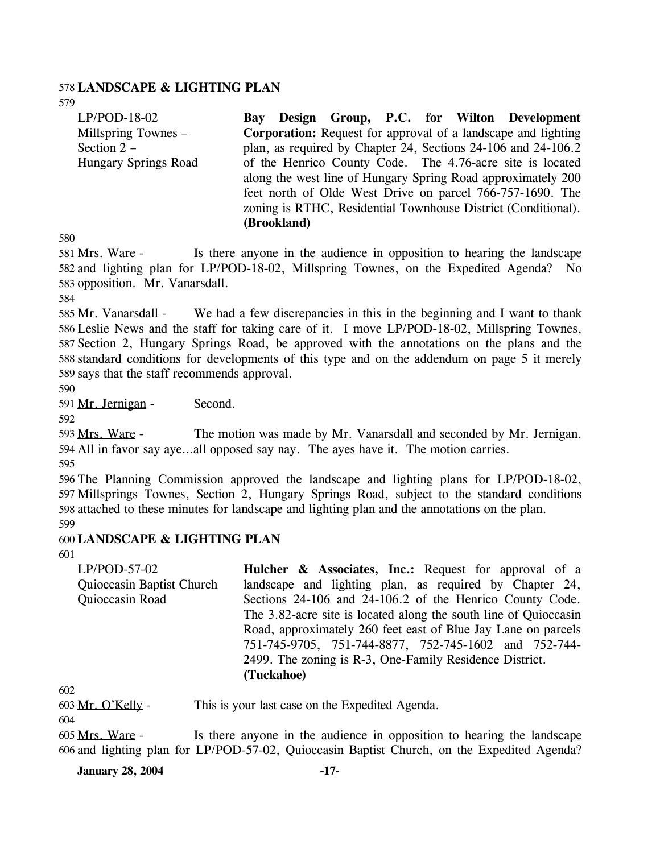#### 578 **LANDSCAPE & LIGHTING PLAN**

579

LP/POD-18-02 Millspring Townes – Section 2 – Hungary Springs Road **Bay Design Group, P.C. for Wilton Development Corporation:** Request for approval of a landscape and lighting plan, as required by Chapter 24, Sections 24-106 and 24-106.2 of the Henrico County Code. The 4.76-acre site is located along the west line of Hungary Spring Road approximately 200 feet north of Olde West Drive on parcel 766-757-1690. The zoning is RTHC, Residential Townhouse District (Conditional). **(Brookland)** 

580

Is there anyone in the audience in opposition to hearing the landscape 582 and lighting plan for LP/POD-18-02, Millspring Townes, on the Expedited Agenda? No 583 opposition. Mr. Vanarsdall. 581 Mrs. Ware -

584

We had a few discrepancies in this in the beginning and I want to thank 586 Leslie News and the staff for taking care of it. I move LP/POD-18-02, Millspring Townes, 587 Section 2, Hungary Springs Road, be approved with the annotations on the plans and the standard conditions for developments of this type and on the addendum on page 5 it merely 588 589 says that the staff recommends approval. 585 Mr. Vanarsdall -

590

591 Mr. Jernigan - Second.

592

The motion was made by Mr. Vanarsdall and seconded by Mr. Jernigan. All in favor say aye…all opposed say nay. The ayes have it. The motion carries. 594 593 Mrs. Ware -

595

 The Planning Commission approved the landscape and lighting plans for LP/POD-18-02, Millsprings Townes, Section 2, Hungary Springs Road, subject to the standard conditions attached to these minutes for landscape and lighting plan and the annotations on the plan. 599

### 600 **LANDSCAPE & LIGHTING PLAN**

601

LP/POD-57-02 Quioccasin Baptist Church Quioccasin Road **Hulcher & Associates, Inc.:** Request for approval of a landscape and lighting plan, as required by Chapter 24, Sections 24-106 and 24-106.2 of the Henrico County Code. The 3.82-acre site is located along the south line of Quioccasin Road, approximately 260 feet east of Blue Jay Lane on parcels 751-745-9705, 751-744-8877, 752-745-1602 and 752-744- 2499. The zoning is R-3, One-Family Residence District. **(Tuckahoe)** 

602

603 Mr. O'Kelly - This is your last case on the Expedited Agenda.

604

Is there anyone in the audience in opposition to hearing the landscape and lighting plan for LP/POD-57-02, Quioccasin Baptist Church, on the Expedited Agenda? 606 605 Mrs. Ware -

**January 28, 2004 -17-**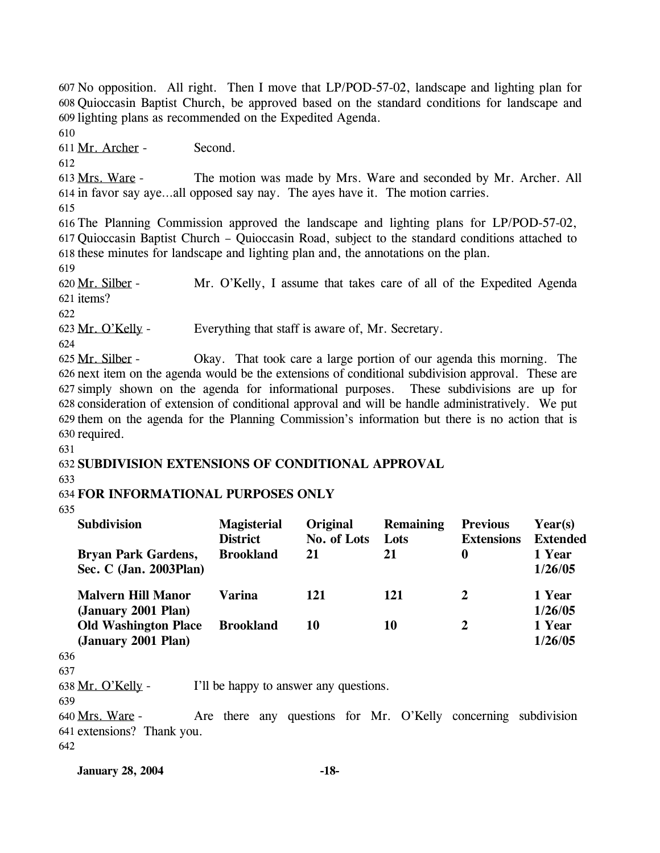607 No opposition. All right. Then I move that LP/POD-57-02, landscape and lighting plan for Quioccasin Baptist Church, be approved based on the standard conditions for landscape and 608 609 lighting plans as recommended on the Expedited Agenda.

610

611 Mr. Archer - Second.

612

The motion was made by Mrs. Ware and seconded by Mr. Archer. All 614 in favor say aye...all opposed say nay. The ayes have it. The motion carries. 613 Mrs. Ware -

615

616 The Planning Commission approved the landscape and lighting plans for LP/POD-57-02, 617 Quioccasin Baptist Church – Quioccasin Road, subject to the standard conditions attached to 618 these minutes for landscape and lighting plan and, the annotations on the plan.

619

Mr. O'Kelly, I assume that takes care of all of the Expedited Agenda 621 items? 620 Mr. Silber -

622

623 Mr. O'Kelly - Everything that staff is aware of, Mr. Secretary.

624

Okay. That took care a large portion of our agenda this morning. The 626 next item on the agenda would be the extensions of conditional subdivision approval. These are simply shown on the agenda for informational purposes. These subdivisions are up for 627 628 consideration of extension of conditional approval and will be handle administratively. We put 629 them on the agenda for the Planning Commission's information but there is no action that is 630 required. 625 Mr. Silber -

631

# 632 **SUBDIVISION EXTENSIONS OF CONDITIONAL APPROVAL**

633

# 634 **FOR INFORMATIONAL PURPOSES ONLY**

635

|     | <b>Subdivision</b>                                   | <b>Magisterial</b><br><b>District</b> | Original<br>No. of Lots | <b>Remaining</b><br>Lots | <b>Previous</b><br><b>Extensions</b> | Year(s)<br><b>Extended</b> |
|-----|------------------------------------------------------|---------------------------------------|-------------------------|--------------------------|--------------------------------------|----------------------------|
|     | <b>Bryan Park Gardens,</b><br>Sec. C (Jan. 2003Plan) | <b>Brookland</b>                      | 21                      | 21                       | 0                                    | 1 Year<br>1/26/05          |
|     | <b>Malvern Hill Manor</b><br>(January 2001 Plan)     | Varina                                | 121                     | 121                      | 2                                    | 1 Year<br>1/26/05          |
|     | <b>Old Washington Place</b><br>(January 2001 Plan)   | <b>Brookland</b>                      | 10                      | 10                       | 2                                    | 1 Year<br>1/26/05          |
| 636 |                                                      |                                       |                         |                          |                                      |                            |
| 637 |                                                      |                                       |                         |                          |                                      |                            |

638 Mr. O'Kelly - I'll be happy to answer any questions.

639

Are there any questions for Mr. O'Kelly concerning subdivision 641 extensions? Thank you. 640 Mrs. Ware -

642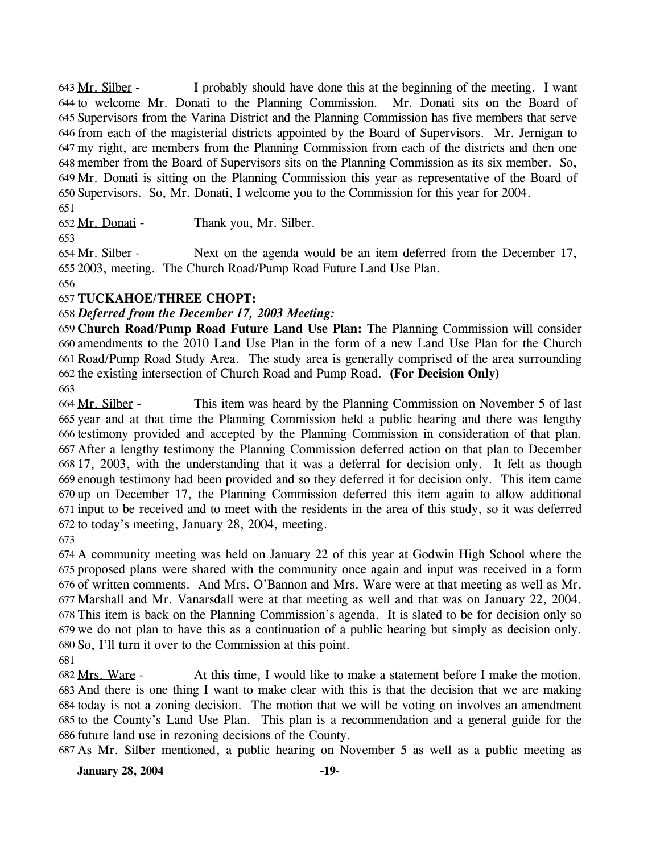I probably should have done this at the beginning of the meeting. I want 644 to welcome Mr. Donati to the Planning Commission. Mr. Donati sits on the Board of 645 Supervisors from the Varina District and the Planning Commission has five members that serve 646 from each of the magisterial districts appointed by the Board of Supervisors. Mr. Jernigan to my right, are members from the Planning Commission from each of the districts and then one 647 member from the Board of Supervisors sits on the Planning Commission as its six member. So, 648 649 Mr. Donati is sitting on the Planning Commission this year as representative of the Board of 650 Supervisors. So, Mr. Donati, I welcome you to the Commission for this year for 2004. 643 Mr. Silber -

651

652 Mr. Donati - Thank you, Mr. Silber.

653

Next on the agenda would be an item deferred from the December 17, 2003, meeting. The Church Road/Pump Road Future Land Use Plan. 655 654 Mr. Silber -

656

# 657 **TUCKAHOE/THREE CHOPT:**

### 658 *Deferred from the December 17, 2003 Meeting:*

 **Church Road/Pump Road Future Land Use Plan:** The Planning Commission will consider amendments to the 2010 Land Use Plan in the form of a new Land Use Plan for the Church Road/Pump Road Study Area. The study area is generally comprised of the area surrounding the existing intersection of Church Road and Pump Road. **(For Decision Only)** 

663

This item was heard by the Planning Commission on November 5 of last 665 year and at that time the Planning Commission held a public hearing and there was lengthy 666 testimony provided and accepted by the Planning Commission in consideration of that plan. After a lengthy testimony the Planning Commission deferred action on that plan to December 667 17, 2003, with the understanding that it was a deferral for decision only. It felt as though 668 enough testimony had been provided and so they deferred it for decision only. This item came 669 670 up on December 17, the Planning Commission deferred this item again to allow additional 671 input to be received and to meet with the residents in the area of this study, so it was deferred 672 to today's meeting, January 28, 2004, meeting. 664 Mr. Silber -

673

 A community meeting was held on January 22 of this year at Godwin High School where the proposed plans were shared with the community once again and input was received in a form of written comments. And Mrs. O'Bannon and Mrs. Ware were at that meeting as well as Mr. Marshall and Mr. Vanarsdall were at that meeting as well and that was on January 22, 2004. This item is back on the Planning Commission's agenda. It is slated to be for decision only so we do not plan to have this as a continuation of a public hearing but simply as decision only. So, I'll turn it over to the Commission at this point.

681

At this time, I would like to make a statement before I make the motion. 683 And there is one thing I want to make clear with this is that the decision that we are making 684 today is not a zoning decision. The motion that we will be voting on involves an amendment 685 to the County's Land Use Plan. This plan is a recommendation and a general guide for the 686 future land use in rezoning decisions of the County. 682 Mrs. Ware -

687 As Mr. Silber mentioned, a public hearing on November 5 as well as a public meeting as

**January 28, 2004 -19-**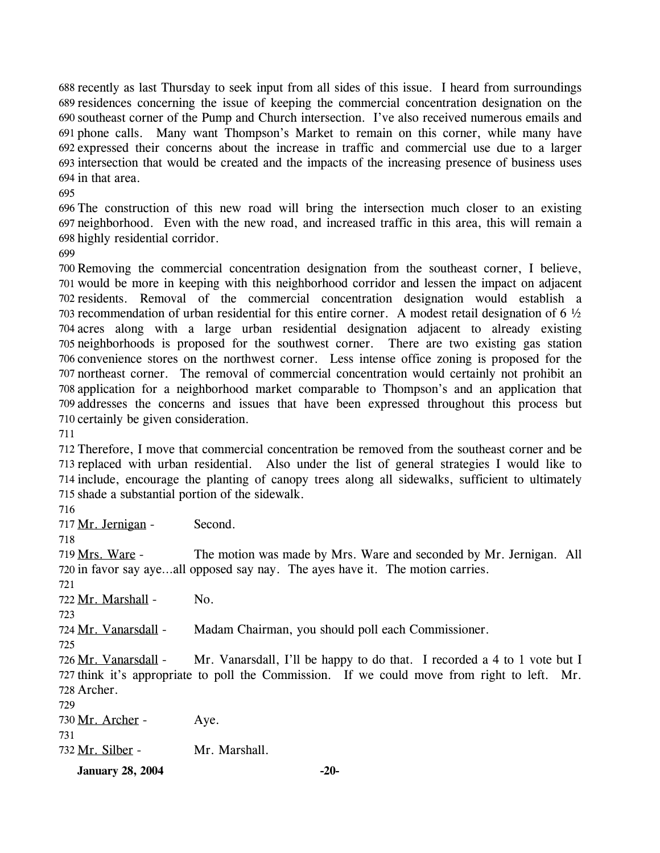688 recently as last Thursday to seek input from all sides of this issue. I heard from surroundings 689 residences concerning the issue of keeping the commercial concentration designation on the 690 southeast corner of the Pump and Church intersection. I've also received numerous emails and 691 phone calls. Many want Thompson's Market to remain on this corner, while many have expressed their concerns about the increase in traffic and commercial use due to a larger 693 intersection that would be created and the impacts of the increasing presence of business uses 694 in that area.

 The construction of this new road will bring the intersection much closer to an existing neighborhood. Even with the new road, and increased traffic in this area, this will remain a highly residential corridor.

 Removing the commercial concentration designation from the southeast corner, I believe, would be more in keeping with this neighborhood corridor and lessen the impact on adjacent residents. Removal of the commercial concentration designation would establish a recommendation of urban residential for this entire corner. A modest retail designation of 6 ½ acres along with a large urban residential designation adjacent to already existing neighborhoods is proposed for the southwest corner. There are two existing gas station convenience stores on the northwest corner. Less intense office zoning is proposed for the northeast corner. The removal of commercial concentration would certainly not prohibit an application for a neighborhood market comparable to Thompson's and an application that addresses the concerns and issues that have been expressed throughout this process but certainly be given consideration.

 Therefore, I move that commercial concentration be removed from the southeast corner and be replaced with urban residential. Also under the list of general strategies I would like to include, encourage the planting of canopy trees along all sidewalks, sufficient to ultimately shade a substantial portion of the sidewalk.

717 Mr. Jernigan - Second. The motion was made by Mrs. Ware and seconded by Mr. Jernigan. All 720 in favor say aye...all opposed say nay. The ayes have it. The motion carries. 719 Mrs. Ware - 722 Mr. Marshall - No. 724 Mr. Vanarsdall - Madam Chairman, you should poll each Commissioner. Mr. Vanarsdall, I'll be happy to do that. I recorded a 4 to 1 vote but I 727 think it's appropriate to poll the Commission. If we could move from right to left. Mr. 728 Archer. 726 Mr. Vanarsdall - 730 Mr. Archer - Aye. 732 Mr. Silber - Mr. Marshall. **January 28, 2004 -20-**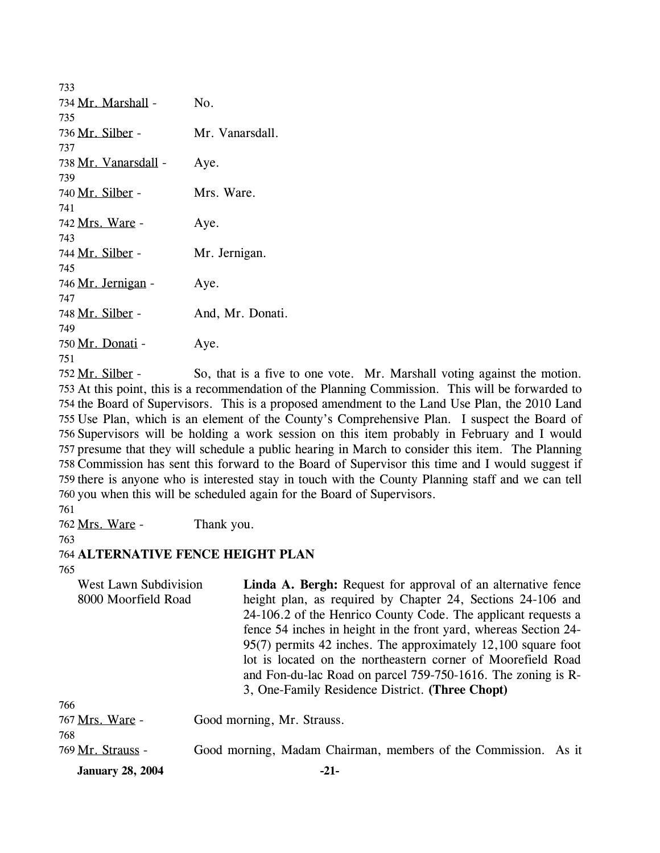| 733                  |                  |
|----------------------|------------------|
| 734 Mr. Marshall -   | No.              |
| 735                  |                  |
| 736 Mr. Silber -     | Mr. Vanarsdall.  |
| 737                  |                  |
| 738 Mr. Vanarsdall - | Aye.             |
| 739                  |                  |
| 740 Mr. Silber -     | Mrs. Ware.       |
| 741                  |                  |
| 742 Mrs. Ware -      | Aye.             |
| 743                  |                  |
| 744 Mr. Silber -     | Mr. Jernigan.    |
| 745                  |                  |
| 746 Mr. Jernigan -   | Aye.             |
| 747                  |                  |
| 748 Mr. Silber -     | And, Mr. Donati. |
| 749                  |                  |
| 750 Mr. Donati -     | Aye.             |
| 751                  |                  |
|                      |                  |

So, that is a five to one vote. Mr. Marshall voting against the motion. 753 At this point, this is a recommendation of the Planning Commission. This will be forwarded to 754 the Board of Supervisors. This is a proposed amendment to the Land Use Plan, the 2010 Land 755 Use Plan, which is an element of the County's Comprehensive Plan. I suspect the Board of 756 Supervisors will be holding a work session on this item probably in February and I would 757 presume that they will schedule a public hearing in March to consider this item. The Planning 758 Commission has sent this forward to the Board of Supervisor this time and I would suggest if 759 there is anyone who is interested stay in touch with the County Planning staff and we can tell 760 you when this will be scheduled again for the Board of Supervisors. 752 Mr. Silber -

761

762 Mrs. Ware - Thank you.

#### 763

#### 764 **ALTERNATIVE FENCE HEIGHT PLAN**

765

West Lawn Subdivision 8000 Moorfield Road **Linda A. Bergh:** Request for approval of an alternative fence height plan, as required by Chapter 24, Sections 24-106 and 24-106.2 of the Henrico County Code. The applicant requests a fence 54 inches in height in the front yard, whereas Section 24- 95(7) permits 42 inches. The approximately 12,100 square foot lot is located on the northeastern corner of Moorefield Road and Fon-du-lac Road on parcel 759-750-1616. The zoning is R-3, One-Family Residence District. **(Three Chopt)** 

| <b>January 28, 2004</b> | $-21-$                                                         |  |
|-------------------------|----------------------------------------------------------------|--|
| 769 Mr. Strauss -       | Good morning, Madam Chairman, members of the Commission. As it |  |
| 768                     |                                                                |  |
| 767 Mrs. Ware -         | Good morning, Mr. Strauss.                                     |  |
| 766                     |                                                                |  |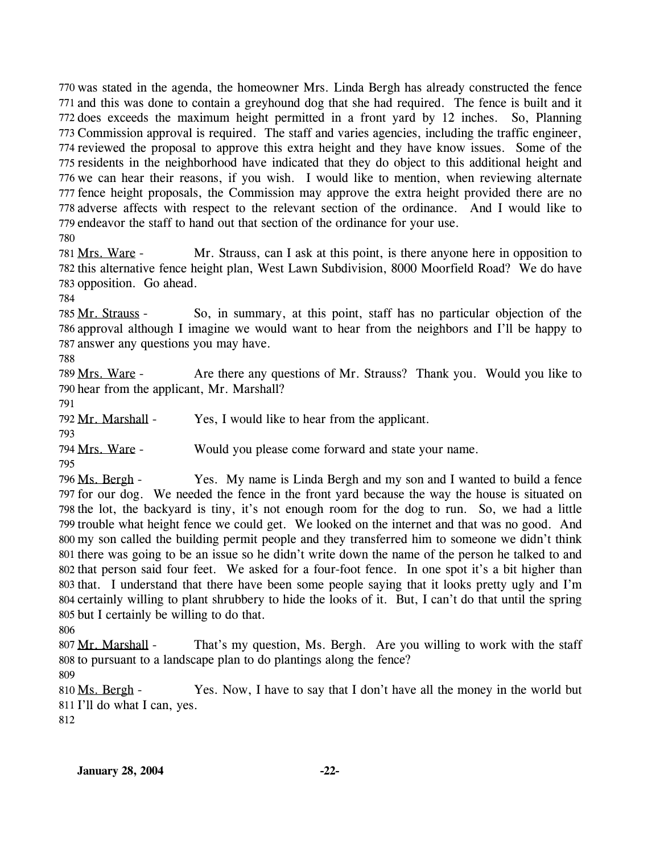770 was stated in the agenda, the homeowner Mrs. Linda Bergh has already constructed the fence 771 and this was done to contain a greyhound dog that she had required. The fence is built and it 772 does exceeds the maximum height permitted in a front yard by 12 inches. So, Planning 773 Commission approval is required. The staff and varies agencies, including the traffic engineer, 774 reviewed the proposal to approve this extra height and they have know issues. Some of the 775 residents in the neighborhood have indicated that they do object to this additional height and 776 we can hear their reasons, if you wish. I would like to mention, when reviewing alternate 777 fence height proposals, the Commission may approve the extra height provided there are no 778 adverse affects with respect to the relevant section of the ordinance. And I would like to 779 endeavor the staff to hand out that section of the ordinance for your use.

780

Mr. Strauss, can I ask at this point, is there anyone here in opposition to 782 this alternative fence height plan, West Lawn Subdivision, 8000 Moorfield Road? We do have 783 opposition. Go ahead. 781 Mrs. Ware -

784

So, in summary, at this point, staff has no particular objection of the 786 approval although I imagine we would want to hear from the neighbors and I'll be happy to 787 answer any questions you may have. 785 Mr. Strauss -

788

Are there any questions of Mr. Strauss? Thank you. Would you like to 790 hear from the applicant, Mr. Marshall? 789 Mrs. Ware -

791

792 Mr. Marshall - Yes, I would like to hear from the applicant.

793

794 Mrs. Ware - Would you please come forward and state your name.

795

Yes. My name is Linda Bergh and my son and I wanted to build a fence 797 for our dog. We needed the fence in the front yard because the way the house is situated on 798 the lot, the backyard is tiny, it's not enough room for the dog to run. So, we had a little 799 trouble what height fence we could get. We looked on the internet and that was no good. And 800 my son called the building permit people and they transferred him to someone we didn't think 801 there was going to be an issue so he didn't write down the name of the person he talked to and 802 that person said four feet. We asked for a four-foot fence. In one spot it's a bit higher than 803 that. I understand that there have been some people saying that it looks pretty ugly and I'm 804 certainly willing to plant shrubbery to hide the looks of it. But, I can't do that until the spring 805 but I certainly be willing to do that. 796 Ms. Bergh -

806

That's my question, Ms. Bergh. Are you willing to work with the staff 808 to pursuant to a landscape plan to do plantings along the fence? 807 Mr. Marshall -809

Yes. Now, I have to say that I don't have all the money in the world but 811 I'll do what I can, yes. 810 Ms. Bergh -

812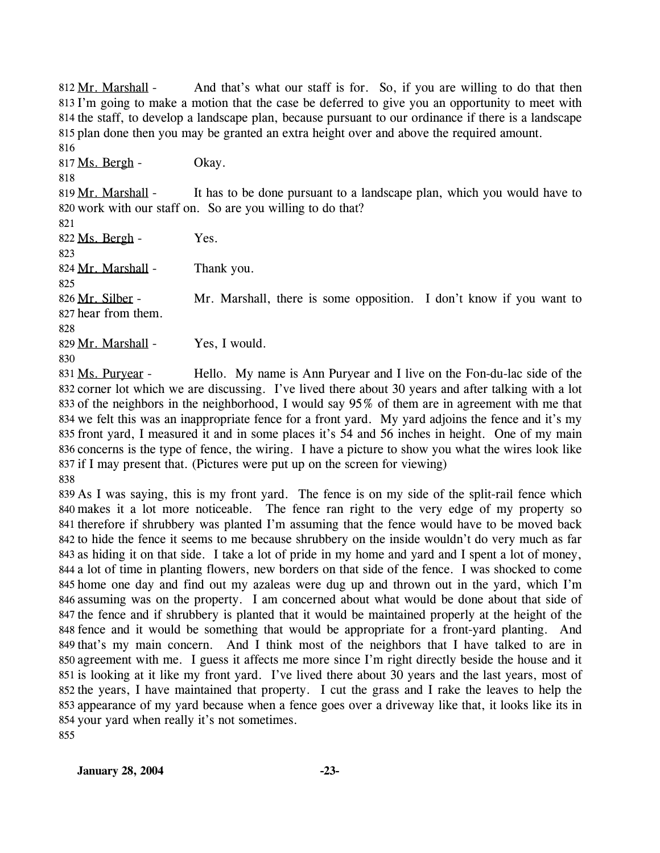And that's what our staff is for. So, if you are willing to do that then 813 I'm going to make a motion that the case be deferred to give you an opportunity to meet with 814 the staff, to develop a landscape plan, because pursuant to our ordinance if there is a landscape 815 plan done then you may be granted an extra height over and above the required amount. 812 Mr. Marshall -

816 817 Ms. Bergh - Okay.

818

It has to be done pursuant to a landscape plan, which you would have to 820 work with our staff on. So are you willing to do that? 819 Mr. Marshall -

 $822 \text{ Ms. Bergh}$  - Yes. 823

824 Mr. Marshall - Thank you.

825

Mr. Marshall, there is some opposition. I don't know if you want to 827 hear from them. 826 Mr. Silber -

828

829 Mr. Marshall - Yes, I would.

830

Hello. My name is Ann Puryear and I live on the Fon-du-lac side of the 832 corner lot which we are discussing. I've lived there about 30 years and after talking with a lot 833 of the neighbors in the neighborhood, I would say  $95\%$  of them are in agreement with me that 834 we felt this was an inappropriate fence for a front yard. My yard adjoins the fence and it's my 835 front yard, I measured it and in some places it's 54 and 56 inches in height. One of my main 836 concerns is the type of fence, the wiring. I have a picture to show you what the wires look like 837 if I may present that. (Pictures were put up on the screen for viewing) 831 Ms. Purvear -

838

 As I was saying, this is my front yard. The fence is on my side of the split-rail fence which makes it a lot more noticeable. The fence ran right to the very edge of my property so therefore if shrubbery was planted I'm assuming that the fence would have to be moved back to hide the fence it seems to me because shrubbery on the inside wouldn't do very much as far as hiding it on that side. I take a lot of pride in my home and yard and I spent a lot of money, a lot of time in planting flowers, new borders on that side of the fence. I was shocked to come home one day and find out my azaleas were dug up and thrown out in the yard, which I'm assuming was on the property. I am concerned about what would be done about that side of the fence and if shrubbery is planted that it would be maintained properly at the height of the fence and it would be something that would be appropriate for a front-yard planting. And 849 that's my main concern. And I think most of the neighbors that I have talked to are in agreement with me. I guess it affects me more since I'm right directly beside the house and it is looking at it like my front yard. I've lived there about 30 years and the last years, most of the years, I have maintained that property. I cut the grass and I rake the leaves to help the appearance of my yard because when a fence goes over a driveway like that, it looks like its in your yard when really it's not sometimes. 855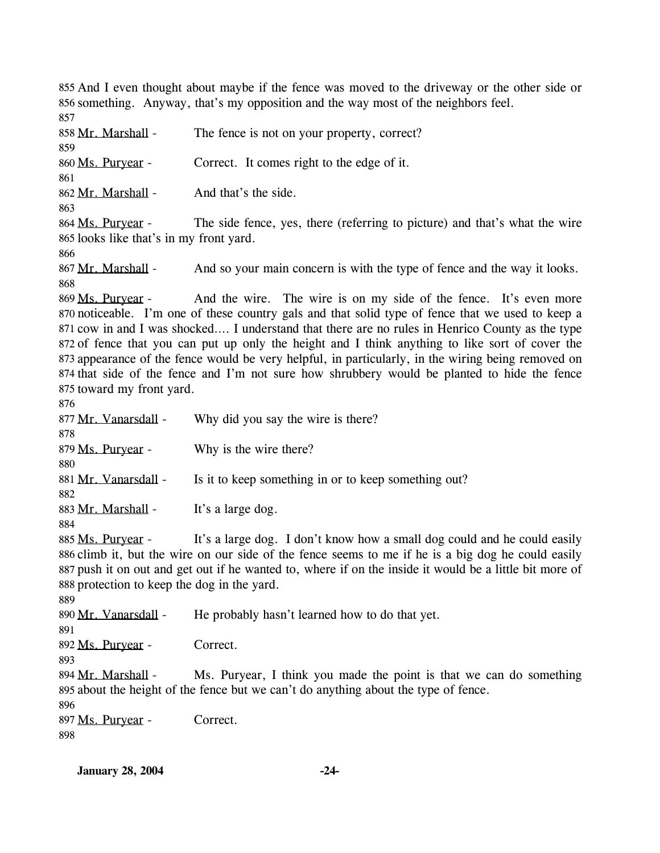855 And I even thought about maybe if the fence was moved to the driveway or the other side or 856 something. Anyway, that's my opposition and the way most of the neighbors feel. 857

858 Mr. Marshall - The fence is not on your property, correct? 859 860 Ms. Puryear - Correct. It comes right to the edge of it. 861 862 Mr. Marshall - And that's the side. 863 The side fence, yes, there (referring to picture) and that's what the wire 865 looks like that's in my front yard. 864 Ms. Purvear -866 867 Mr. Marshall - And so your main concern is with the type of fence and the way it looks. 868 And the wire. The wire is on my side of the fence. It's even more 870 noticeable. I'm one of these country gals and that solid type of fence that we used to keep a 871 cow in and I was shocked.... I understand that there are no rules in Henrico County as the type 872 of fence that you can put up only the height and I think anything to like sort of cover the 873 appearance of the fence would be very helpful, in particularly, in the wiring being removed on 874 that side of the fence and I'm not sure how shrubbery would be planted to hide the fence 875 toward my front yard. 869 Ms. Puryear -876 877 Mr. Vanarsdall - Why did you say the wire is there? 878 879 Ms. Puryear - Why is the wire there? 880 881 Mr. Vanarsdall - Is it to keep something in or to keep something out? 882

883 Mr. Marshall - It's a large dog.

It's a large dog. I don't know how a small dog could and he could easily 886 climb it, but the wire on our side of the fence seems to me if he is a big dog he could easily 887 push it on out and get out if he wanted to, where if on the inside it would be a little bit more of 888 protection to keep the dog in the yard. 885 Ms. Purvear -

889 890 Mr. Vanarsdall - He probably hasn't learned how to do that yet. 891 892 Ms. Puryear - Correct. 893 Ms. Puryear, I think you made the point is that we can do something 895 about the height of the fence but we can't do anything about the type of fence. 894 Mr. Marshall -896 897 Ms. Puryear - Correct. 898

**January 28, 2004 -24-**

884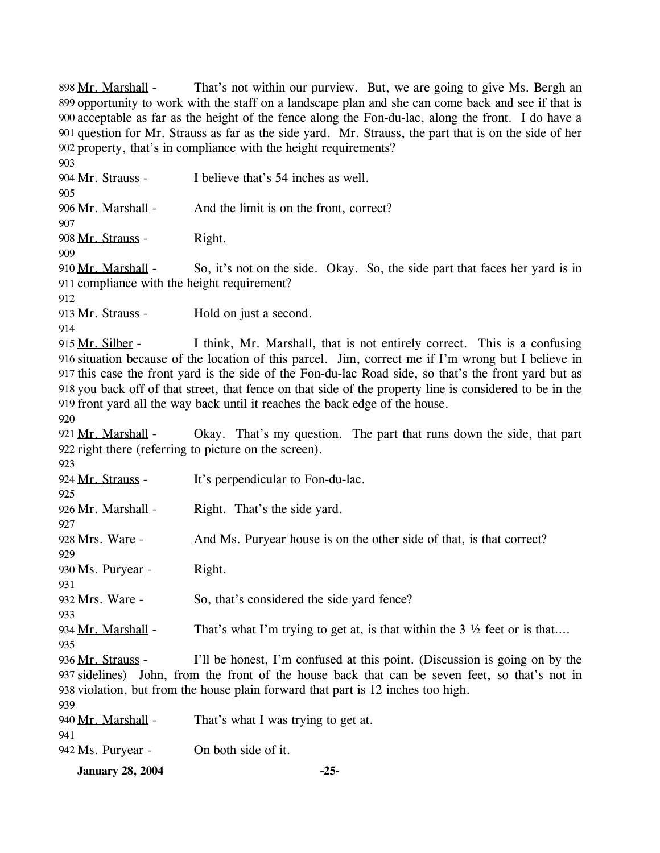That's not within our purview. But, we are going to give Ms. Bergh an 899 opportunity to work with the staff on a landscape plan and she can come back and see if that is acceptable as far as the height of the fence along the Fon-du-lac, along the front. I do have a 900 901 question for Mr. Strauss as far as the side yard. Mr. Strauss, the part that is on the side of her property, that's in compliance with the height requirements? 902 898 Mr. Marshall -903 904 Mr. Strauss - I believe that's 54 inches as well. 905 906 Mr. Marshall - And the limit is on the front, correct? 907 908 Mr. Strauss - Right. 909 So, it's not on the side. Okay. So, the side part that faces her yard is in 911 compliance with the height requirement? 910 Mr. Marshall -912 913 Mr. Strauss - Hold on just a second. 914 I think, Mr. Marshall, that is not entirely correct. This is a confusing 916 situation because of the location of this parcel. Jim, correct me if I'm wrong but I believe in 917 this case the front yard is the side of the Fon-du-lac Road side, so that's the front yard but as 918 you back off of that street, that fence on that side of the property line is considered to be in the 919 front yard all the way back until it reaches the back edge of the house. 915 Mr. Silber -920 Okay. That's my question. The part that runs down the side, that part 922 right there (referring to picture on the screen). 921 Mr. Marshall -923 924 Mr. Strauss - It's perpendicular to Fon-du-lac. 925 926 Mr. Marshall - Right. That's the side yard. 927

928 Mrs. Ware - And Ms. Puryear house is on the other side of that, is that correct?

930 Ms. Purvear - Right.

929

931

933

935

932 Mrs. Ware - So, that's considered the side yard fence?

934 Mr. Marshall - That's what I'm trying to get at, is that within the  $3\frac{1}{2}$  feet or is that...

I'll be honest, I'm confused at this point. (Discussion is going on by the 937 sidelines) John, from the front of the house back that can be seven feet, so that's not in 938 violation, but from the house plain forward that part is 12 inches too high. 936 Mr. Strauss -

| <b>January 28, 2004</b> | $-25-$                              |
|-------------------------|-------------------------------------|
| 942 Ms. Puryear -       | On both side of it.                 |
| 941                     |                                     |
| 940 Mr. Marshall -      | That's what I was trying to get at. |
| 939                     |                                     |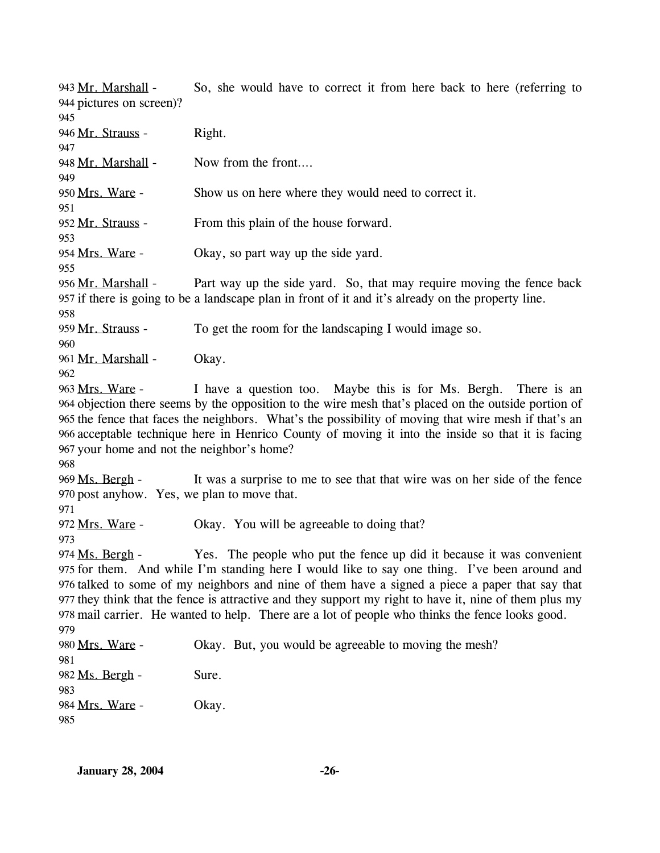So, she would have to correct it from here back to here (referring to 944 pictures on screen)? 943 Mr. Marshall -945 946 Mr. Strauss - Right. 947 948 Mr. Marshall - Now from the front.... 949 950 Mrs. Ware - Show us on here where they would need to correct it. 951 952 Mr. Strauss - From this plain of the house forward. 953 954 Mrs. Ware - Okay, so part way up the side yard. 955 Part way up the side yard. So, that may require moving the fence back 957 if there is going to be a landscape plan in front of it and it's already on the property line. 956 Mr. Marshall -958 959 Mr. Strauss - To get the room for the landscaping I would image so. 960 961 Mr. Marshall - Okay. 962 I have a question too. Maybe this is for Ms. Bergh. There is an 964 objection there seems by the opposition to the wire mesh that's placed on the outside portion of 965 the fence that faces the neighbors. What's the possibility of moving that wire mesh if that's an 966 acceptable technique here in Henrico County of moving it into the inside so that it is facing 967 your home and not the neighbor's home? 963 Mrs. Ware -968 It was a surprise to me to see that that wire was on her side of the fence 970 post anyhow. Yes, we plan to move that. 969 Ms. Bergh -971 972 Mrs. Ware - Okay. You will be agreeable to doing that? 973 Yes. The people who put the fence up did it because it was convenient 975 for them. And while I'm standing here I would like to say one thing. I've been around and 976 talked to some of my neighbors and nine of them have a signed a piece a paper that say that 977 they think that the fence is attractive and they support my right to have it, nine of them plus my 978 mail carrier. He wanted to help. There are a lot of people who thinks the fence looks good. 974 Ms. Bergh -979 980 Mrs. Ware - Okay. But, you would be agreeable to moving the mesh? 981 982 Ms. Bergh - Sure. 983 984 Mrs. Ware - Okay. 985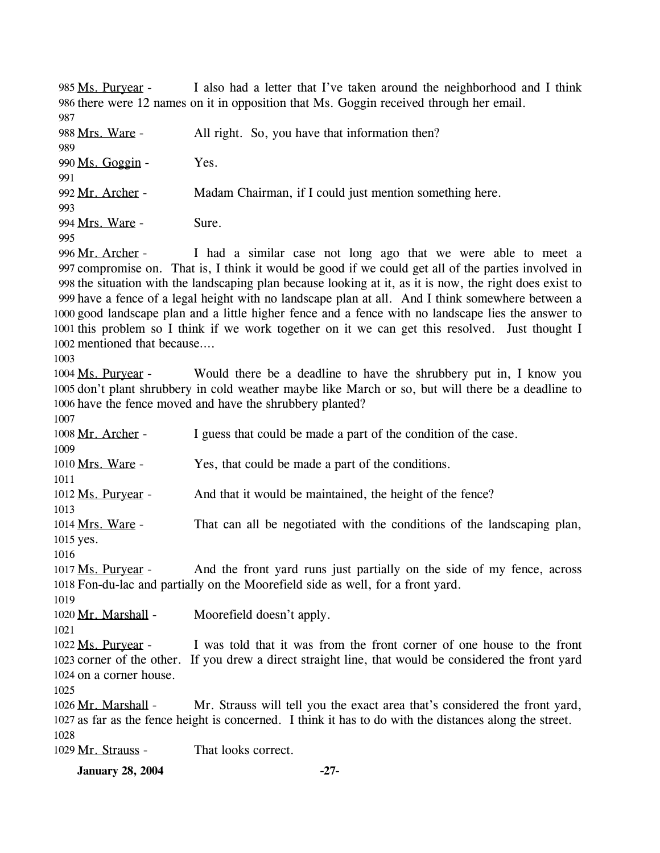I also had a letter that I've taken around the neighborhood and I think 986 there were 12 names on it in opposition that Ms. Goggin received through her email. 985 Ms. Purvear -987 988 Mrs. Ware - All right. So, you have that information then? 989 990 Ms. Goggin - Yes. 991 992 Mr. Archer - Madam Chairman, if I could just mention something here. 993 994 Mrs. Ware - Sure. 995 I had a similar case not long ago that we were able to meet a 997 compromise on. That is, I think it would be good if we could get all of the parties involved in 998 the situation with the landscaping plan because looking at it, as it is now, the right does exist to 999 have a fence of a legal height with no landscape plan at all. And I think somewhere between a 1000 good landscape plan and a little higher fence and a fence with no landscape lies the answer to 1001 this problem so I think if we work together on it we can get this resolved. Just thought I 1002 mentioned that because.... 996 Mr. Archer -1003 Would there be a deadline to have the shrubbery put in, I know you 1005 don't plant shrubbery in cold weather maybe like March or so, but will there be a deadline to 1006 have the fence moved and have the shrubbery planted? 1004 Ms. Purvear -1007 1008 Mr. Archer - I guess that could be made a part of the condition of the case. 1009 1010 Mrs. Ware - Yes, that could be made a part of the conditions. 1011 1012 Ms. Puryear - And that it would be maintained, the height of the fence? 1013 That can all be negotiated with the conditions of the landscaping plan, 1015 yes. 1014 Mrs. Ware -1016 And the front yard runs just partially on the side of my fence, across Fon-du-lac and partially on the Moorefield side as well, for a front yard. 1018 1017 Ms. Purvear -1019 1020 Mr. Marshall - Moorefield doesn't apply. 1021 I was told that it was from the front corner of one house to the front 1023 corner of the other. If you drew a direct straight line, that would be considered the front yard 1024 on a corner house. 1022 Ms. Purvear -1025 Mr. Strauss will tell you the exact area that's considered the front yard, 1027 as far as the fence height is concerned. I think it has to do with the distances along the street. 1026 Mr. Marshall -1028 1029 Mr. Strauss - That looks correct. **January 28, 2004 -27-**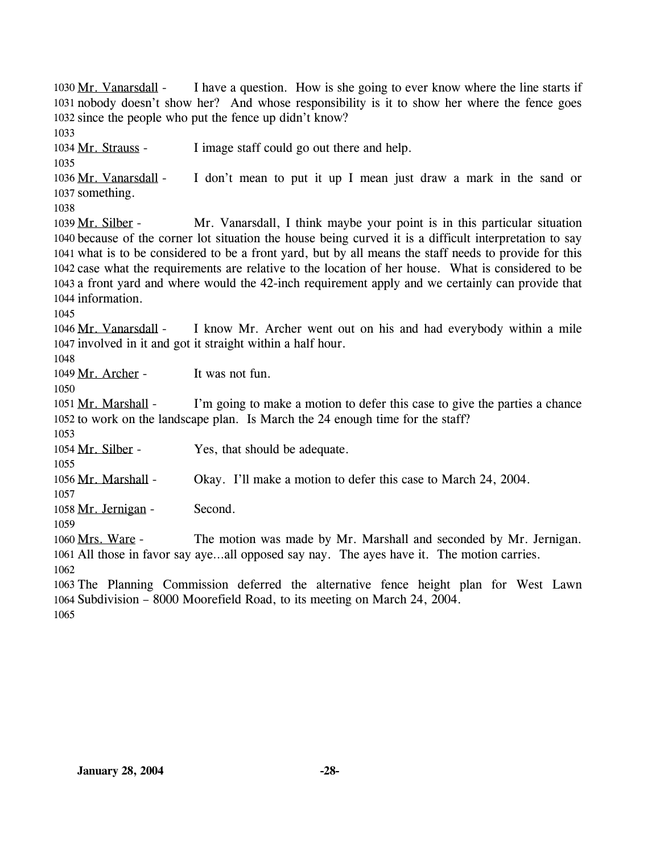I have a question. How is she going to ever know where the line starts if 1031 nobody doesn't show her? And whose responsibility is it to show her where the fence goes 1032 since the people who put the fence up didn't know? 1030 Mr. Vanarsdall -1033 1034 Mr. Strauss - I image staff could go out there and help. 1035 I don't mean to put it up I mean just draw a mark in the sand or 1037 something. 1036 Mr. Vanarsdall -1038 Mr. Vanarsdall, I think maybe your point is in this particular situation 1040 because of the corner lot situation the house being curved it is a difficult interpretation to say what is to be considered to be a front yard, but by all means the staff needs to provide for this 1041 1042 case what the requirements are relative to the location of her house. What is considered to be 1043 a front yard and where would the 42-inch requirement apply and we certainly can provide that 1044 information. 1039 Mr. Silber -1045 I know Mr. Archer went out on his and had everybody within a mile 1047 involved in it and got it straight within a half hour. 1046 Mr. Vanarsdall -1048 1049 Mr. Archer - It was not fun. 1050 I'm going to make a motion to defer this case to give the parties a chance 1052 to work on the landscape plan. Is March the 24 enough time for the staff? 1051 Mr. Marshall -1053 1054 Mr. Silber - Yes, that should be adequate. 1055 1056 Mr. Marshall - Okay. I'll make a motion to defer this case to March 24, 2004. 1057 1058 Mr. Jernigan - Second. 1059 The motion was made by Mr. Marshall and seconded by Mr. Jernigan. 1061 All those in favor say aye...all opposed say nay. The ayes have it. The motion carries. 1060 Mrs. Ware -1062 1063 The Planning Commission deferred the alternative fence height plan for West Lawn 1064 Subdivision – 8000 Moorefield Road, to its meeting on March 24, 2004. 1065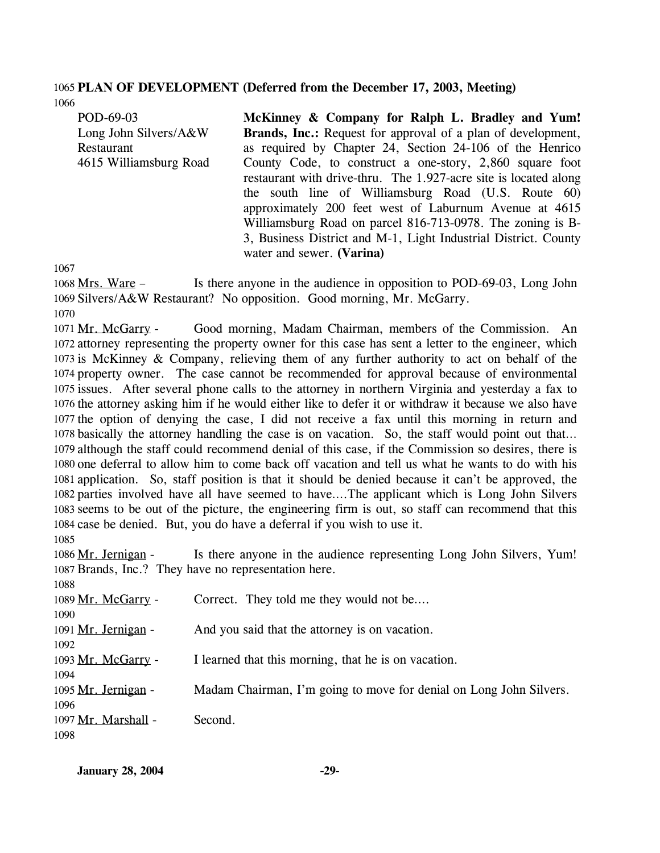#### 1065 **PLAN OF DEVELOPMENT (Deferred from the December 17, 2003, Meeting)**  1066

| POD-69-03              | McKinney & Company for Ralph L. Bradley and Yum!                 |
|------------------------|------------------------------------------------------------------|
| Long John Silvers/A&W  | Brands, Inc.: Request for approval of a plan of development,     |
| Restaurant             | as required by Chapter 24, Section 24-106 of the Henrico         |
| 4615 Williamsburg Road | County Code, to construct a one-story, 2,860 square foot         |
|                        | restaurant with drive-thru. The 1.927-acre site is located along |
|                        | the south line of Williamsburg Road (U.S. Route 60)              |
|                        | approximately 200 feet west of Laburnum Avenue at 4615           |
|                        | Williamsburg Road on parcel 816-713-0978. The zoning is B-       |
|                        | 3, Business District and M-1, Light Industrial District. County  |
|                        | water and sewer. (Varina)                                        |

1067

Is there anyone in the audience in opposition to POD-69-03, Long John 1069 Silvers/A&W Restaurant? No opposition. Good morning, Mr. McGarry. 1068 Mrs. Ware -

1070

Good morning, Madam Chairman, members of the Commission. An 1072 attorney representing the property owner for this case has sent a letter to the engineer, which 1073 is McKinney & Company, relieving them of any further authority to act on behalf of the 1074 property owner. The case cannot be recommended for approval because of environmental 1075 issues. After several phone calls to the attorney in northern Virginia and yesterday a fax to 1076 the attorney asking him if he would either like to defer it or withdraw it because we also have 1077 the option of denying the case, I did not receive a fax until this morning in return and 1078 basically the attorney handling the case is on vacation. So, the staff would point out that... 1079 although the staff could recommend denial of this case, if the Commission so desires, there is 1080 one deferral to allow him to come back off vacation and tell us what he wants to do with his 1081 application. So, staff position is that it should be denied because it can't be approved, the 1082 parties involved have all have seemed to have....The applicant which is Long John Silvers 1083 seems to be out of the picture, the engineering firm is out, so staff can recommend that this 1084 case be denied. But, you do have a deferral if you wish to use it. 1071 Mr. McGarry -1085

| 1086 Mr. Jernigan -                                  | Is there anyone in the audience representing Long John Silvers, Yum! |  |
|------------------------------------------------------|----------------------------------------------------------------------|--|
| 1087 Brands, Inc.? They have no representation here. |                                                                      |  |
| 1088                                                 |                                                                      |  |
| 1089 Mr. McGarry -                                   | Correct. They told me they would not be                              |  |
| 1090                                                 |                                                                      |  |
| 1091 Mr. Jernigan -                                  | And you said that the attorney is on vacation.                       |  |
| 1092                                                 |                                                                      |  |
| 1093 Mr. McGarry -                                   | I learned that this morning, that he is on vacation.                 |  |
| 1094                                                 |                                                                      |  |
| 1095 Mr. Jernigan -                                  | Madam Chairman, I'm going to move for denial on Long John Silvers.   |  |
| 1096                                                 |                                                                      |  |
| 1097 Mr. Marshall -                                  | Second.                                                              |  |
| 1098                                                 |                                                                      |  |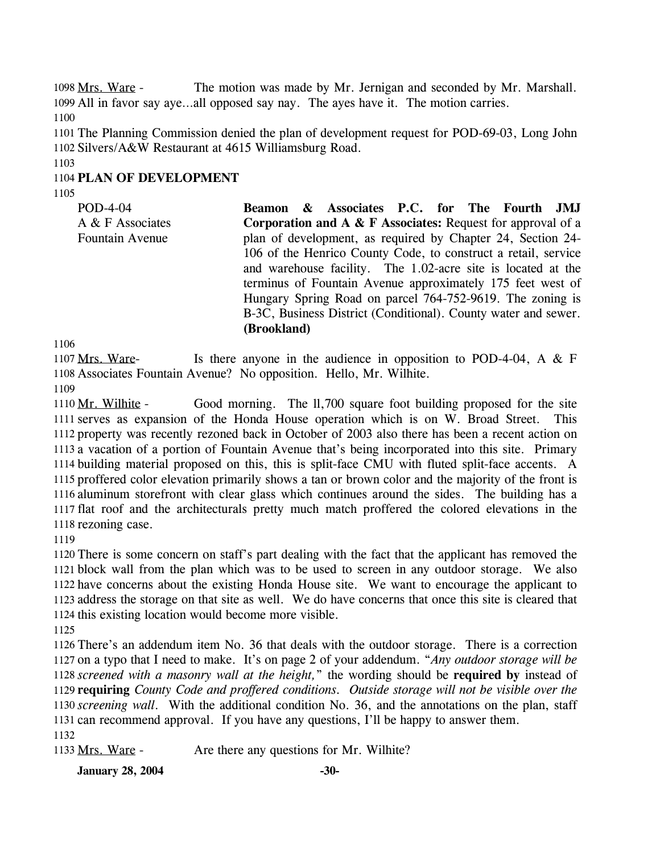The motion was made by Mr. Jernigan and seconded by Mr. Marshall. 1099 All in favor say aye...all opposed say nay. The ayes have it. The motion carries. 1098 Mrs. Ware -1100

1101 The Planning Commission denied the plan of development request for POD-69-03, Long John 1102 Silvers/A&W Restaurant at 4615 Williamsburg Road.

1103

# 1104 **PLAN OF DEVELOPMENT**

1105

POD-4-04 A & F Associates Fountain Avenue **Beamon & Associates P.C. for The Fourth JMJ Corporation and A & F Associates:** Request for approval of a plan of development, as required by Chapter 24, Section 24- 106 of the Henrico County Code, to construct a retail, service and warehouse facility. The 1.02-acre site is located at the terminus of Fountain Avenue approximately 175 feet west of Hungary Spring Road on parcel 764-752-9619. The zoning is B-3C, Business District (Conditional). County water and sewer. **(Brookland)** 

1106

Is there anyone in the audience in opposition to POD-4-04, A  $&$  F 1108 Associates Fountain Avenue? No opposition. Hello, Mr. Wilhite. 1107 Mrs. Ware-

1109

Good morning. The ll,700 square foot building proposed for the site 1111 serves as expansion of the Honda House operation which is on W. Broad Street. This 1112 property was recently rezoned back in October of 2003 also there has been a recent action on 1113 a vacation of a portion of Fountain Avenue that's being incorporated into this site. Primary 1114 building material proposed on this, this is split-face CMU with fluted split-face accents. A 1115 proffered color elevation primarily shows a tan or brown color and the majority of the front is 1116 aluminum storefront with clear glass which continues around the sides. The building has a 1117 flat roof and the architecturals pretty much match proffered the colored elevations in the 1118 rezoning case. 1110 Mr. Wilhite -

1119

 There is some concern on staff's part dealing with the fact that the applicant has removed the block wall from the plan which was to be used to screen in any outdoor storage. We also have concerns about the existing Honda House site. We want to encourage the applicant to address the storage on that site as well. We do have concerns that once this site is cleared that this existing location would become more visible.

1125

 There's an addendum item No. 36 that deals with the outdoor storage. There is a correction on a typo that I need to make. It's on page 2 of your addendum. "*Any outdoor storage will be screened with a masonry wall at the height,*" the wording should be **required by** instead of **requiring** *County Code and proffered conditions. Outside storage will not be visible over the screening wall*. With the additional condition No. 36, and the annotations on the plan, staff can recommend approval. If you have any questions, I'll be happy to answer them. 1132

1133 Mrs. Ware - Are there any questions for Mr. Wilhite?

**January 28, 2004** -30-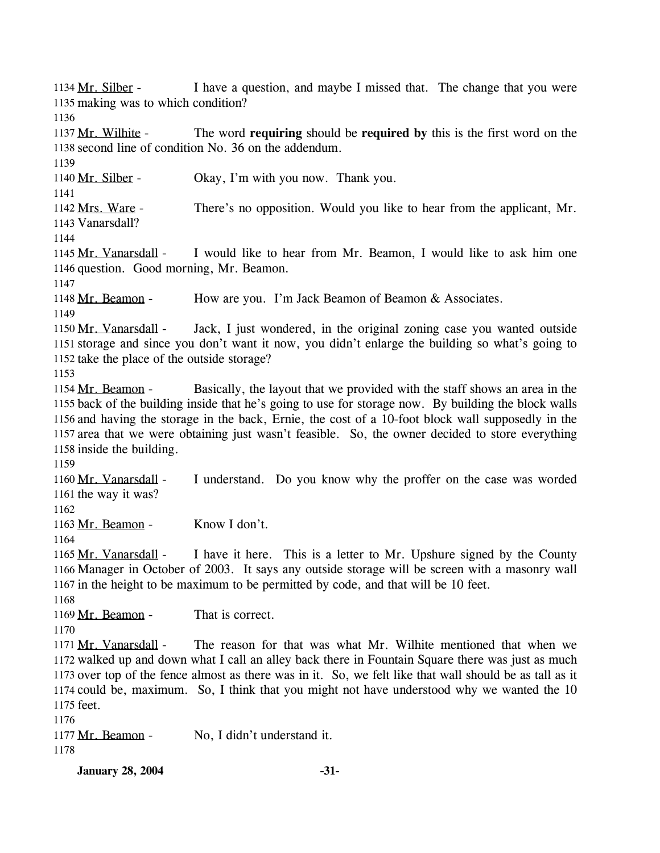I have a question, and maybe I missed that. The change that you were 1135 making was to which condition? 1134 Mr. Silber -1136 The word **requiring** should be **required** by this is the first word on the 1138 second line of condition No. 36 on the addendum. 1137 Mr. Wilhite -1139 1140 Mr. Silber - Okay, I'm with you now. Thank you. 1141 There's no opposition. Would you like to hear from the applicant, Mr. 1143 Vanarsdall? 1142 Mrs. Ware -1144 I would like to hear from Mr. Beamon, I would like to ask him one 1146 question. Good morning, Mr. Beamon. 1145 Mr. Vanarsdall -1147 1148 Mr. Beamon - How are you. I'm Jack Beamon of Beamon & Associates. 1149 Jack, I just wondered, in the original zoning case you wanted outside 1151 storage and since you don't want it now, you didn't enlarge the building so what's going to 1152 take the place of the outside storage? 1150 Mr. Vanarsdall -1153 Basically, the layout that we provided with the staff shows an area in the 1155 back of the building inside that he's going to use for storage now. By building the block walls 1156 and having the storage in the back, Ernie, the cost of a 10-foot block wall supposedly in the 1157 area that we were obtaining just wasn't feasible. So, the owner decided to store everything 1158 inside the building. 1154 Mr. Beamon -1159 I understand. Do you know why the proffer on the case was worded 1161 the way it was? 1160 Mr. Vanarsdall -1162 1163 Mr. Beamon - Know I don't. 1164 I have it here. This is a letter to Mr. Upshure signed by the County 1166 Manager in October of 2003. It says any outside storage will be screen with a masonry wall 1167 in the height to be maximum to be permitted by code, and that will be 10 feet. 1165 Mr. Vanarsdall -1168 1169 Mr. Beamon - That is correct. 1170 The reason for that was what Mr. Wilhite mentioned that when we 1172 walked up and down what I call an alley back there in Fountain Square there was just as much 1173 over top of the fence almost as there was in it. So, we felt like that wall should be as tall as it 1174 could be, maximum. So, I think that you might not have understood why we wanted the 10 1175 feet. 1171 Mr. Vanarsdall -1176 1177 Mr. Beamon - No, I didn't understand it. 1178

**January 28, 2004 -31-**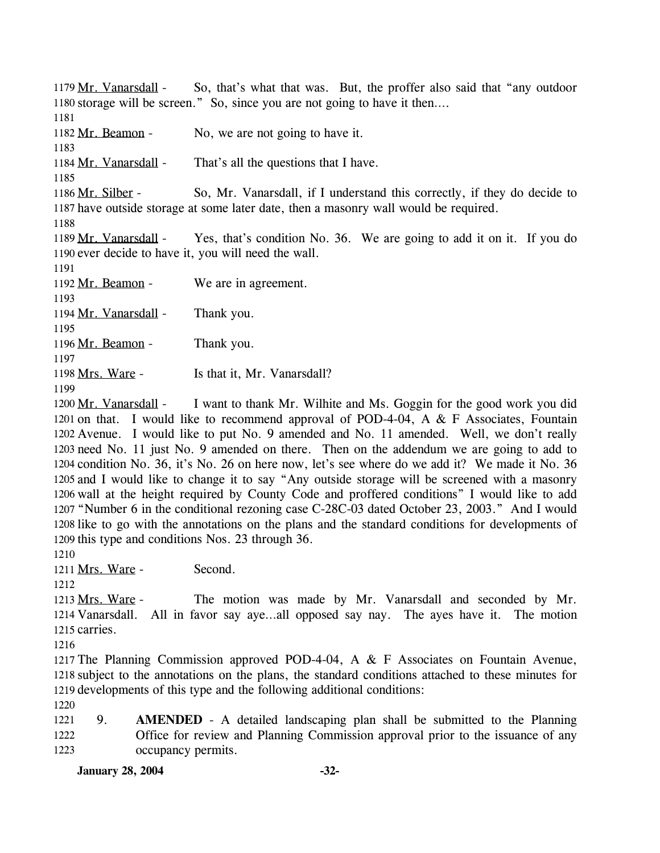So, that's what that was. But, the proffer also said that "any outdoor" 1180 storage will be screen." So, since you are not going to have it then.... 1179 Mr. Vanarsdall -1181 1182 Mr. Beamon - No, we are not going to have it. 1183 1184 Mr. Vanarsdall - That's all the questions that I have. 1185 So, Mr. Vanarsdall, if I understand this correctly, if they do decide to 1187 have outside storage at some later date, then a masonry wall would be required. 1186 Mr. Silber -1188 Yes, that's condition No. 36. We are going to add it on it. If you do 1190 ever decide to have it, you will need the wall. 1189 Mr. Vanarsdall -1191 1192 Mr. Beamon - We are in agreement. 1193 1194 Mr. Vanarsdall - Thank you. 1195 1196 Mr. Beamon - Thank you. 1197 1198 Mrs. Ware - Is that it, Mr. Vanarsdall? 1199

I want to thank Mr. Wilhite and Ms. Goggin for the good work you did 1201 on that. I would like to recommend approval of POD-4-04, A  $&$  F Associates, Fountain 1202 Avenue. I would like to put No. 9 amended and No. 11 amended. Well, we don't really 1203 need No. 11 just No. 9 amended on there. Then on the addendum we are going to add to 1204 condition No. 36, it's No. 26 on here now, let's see where do we add it? We made it No. 36 1205 and I would like to change it to say "Any outside storage will be screened with a masonry 1206 wall at the height required by County Code and proffered conditions" I would like to add 1207 "Number 6 in the conditional rezoning case C-28C-03 dated October 23, 2003." And I would 1208 like to go with the annotations on the plans and the standard conditions for developments of 1209 this type and conditions Nos. 23 through 36. 1200 Mr. Vanarsdall -

1210

1211 Mrs. Ware - Second.

1212

The motion was made by Mr. Vanarsdall and seconded by Mr. 1214 Vanarsdall. All in favor say aye...all opposed say nay. The ayes have it. The motion 1215 carries. 1213 Mrs. Ware -

1216

1217 The Planning Commission approved POD-4-04, A & F Associates on Fountain Avenue, 1218 subject to the annotations on the plans, the standard conditions attached to these minutes for 1219 developments of this type and the following additional conditions:

1220

1221 1222 1223 9. **AMENDED** - A detailed landscaping plan shall be submitted to the Planning Office for review and Planning Commission approval prior to the issuance of any occupancy permits.

**January 28, 2004 -32-**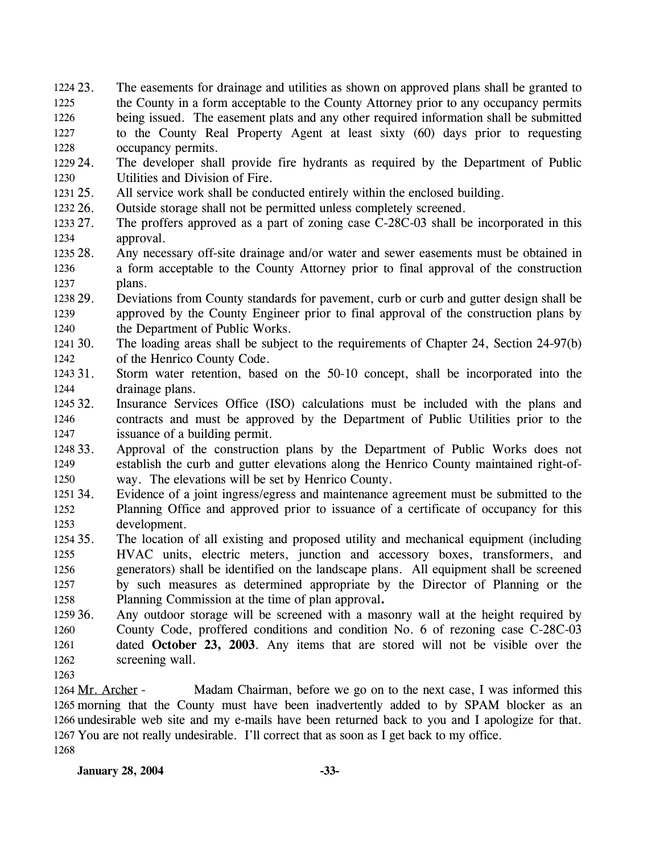- 23. The easements for drainage and utilities as shown on approved plans shall be granted to the County in a form acceptable to the County Attorney prior to any occupancy permits being issued. The easement plats and any other required information shall be submitted to the County Real Property Agent at least sixty (60) days prior to requesting occupancy permits. 1224 23. 1225 1226 1227 1228
- 1229 24. 1230 The developer shall provide fire hydrants as required by the Department of Public Utilities and Division of Fire.
- 1231 25. All service work shall be conducted entirely within the enclosed building.
- 1232 26. Outside storage shall not be permitted unless completely screened.
- 1233 27. 1234 The proffers approved as a part of zoning case C-28C-03 shall be incorporated in this approval.
- 1235 28. 1236 1237 Any necessary off-site drainage and/or water and sewer easements must be obtained in a form acceptable to the County Attorney prior to final approval of the construction plans.
- 1238 29. 1239 1240 29. Deviations from County standards for pavement, curb or curb and gutter design shall be approved by the County Engineer prior to final approval of the construction plans by the Department of Public Works.
- 1241 30. 1242 The loading areas shall be subject to the requirements of Chapter 24, Section 24-97(b) of the Henrico County Code.
- 1243 31. 1244 Storm water retention, based on the 50-10 concept, shall be incorporated into the drainage plans.
- 1245 32. 1246 1247 Insurance Services Office (ISO) calculations must be included with the plans and contracts and must be approved by the Department of Public Utilities prior to the issuance of a building permit.
- 1248 33. 1249 1250 Approval of the construction plans by the Department of Public Works does not establish the curb and gutter elevations along the Henrico County maintained right-ofway. The elevations will be set by Henrico County.
- 1251 34. 1252 1253 Evidence of a joint ingress/egress and maintenance agreement must be submitted to the Planning Office and approved prior to issuance of a certificate of occupancy for this development.
- 1254 35. 1255 1256 1257 1258 The location of all existing and proposed utility and mechanical equipment (including HVAC units, electric meters, junction and accessory boxes, transformers, and generators) shall be identified on the landscape plans. All equipment shall be screened by such measures as determined appropriate by the Director of Planning or the Planning Commission at the time of plan approval**.**
- 1259 36. 1260 1261 1262 Any outdoor storage will be screened with a masonry wall at the height required by County Code, proffered conditions and condition No. 6 of rezoning case C-28C-03 dated **October 23, 2003**. Any items that are stored will not be visible over the screening wall.
- 1263

Madam Chairman, before we go on to the next case, I was informed this 1265 morning that the County must have been inadvertently added to by SPAM blocker as an 1266 undesirable web site and my e-mails have been returned back to you and I apologize for that. 1267 You are not really undesirable. I'll correct that as soon as I get back to my office. 1264 Mr. Archer -1268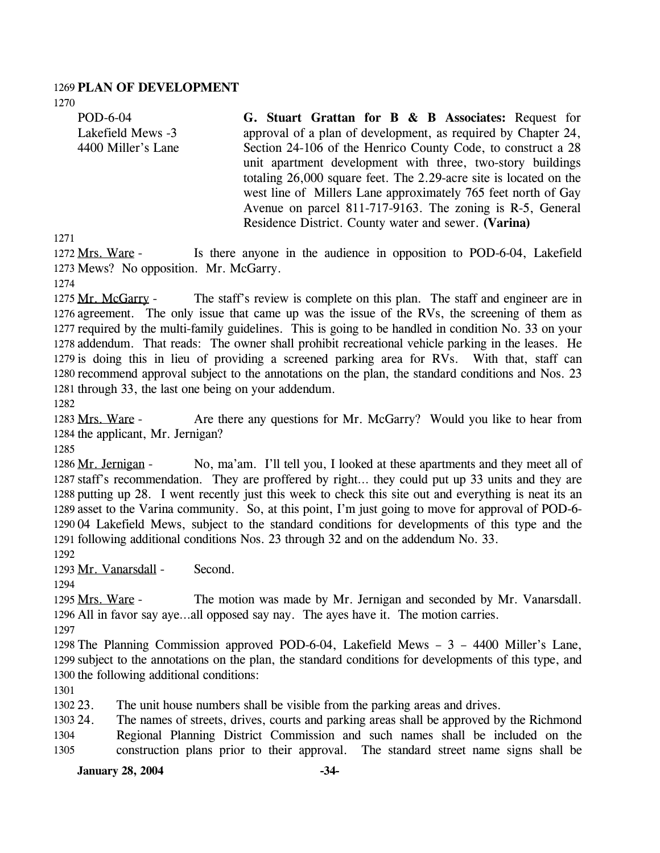#### 1269 **PLAN OF DEVELOPMENT**

1270

POD-6-04 Lakefield Mews -3 4400 Miller's Lane **G. Stuart Grattan for B & B Associates:** Request for approval of a plan of development, as required by Chapter 24, Section 24-106 of the Henrico County Code, to construct a 28 unit apartment development with three, two-story buildings totaling 26,000 square feet. The 2.29-acre site is located on the west line of Millers Lane approximately 765 feet north of Gay Avenue on parcel 811-717-9163. The zoning is R-5, General Residence District. County water and sewer. **(Varina)** 

1271

Is there anyone in the audience in opposition to POD-6-04, Lakefield 1273 Mews? No opposition. Mr. McGarry. 1272 Mrs. Ware -

1274

The staff's review is complete on this plan. The staff and engineer are in 1276 agreement. The only issue that came up was the issue of the RVs, the screening of them as 1277 required by the multi-family guidelines. This is going to be handled in condition No. 33 on your 1278 addendum. That reads: The owner shall prohibit recreational vehicle parking in the leases. He 1279 is doing this in lieu of providing a screened parking area for RVs. With that, staff can 1280 recommend approval subject to the annotations on the plan, the standard conditions and Nos. 23 1281 through 33, the last one being on your addendum. 1275 Mr. McGarry -

1282

Are there any questions for Mr. McGarry? Would you like to hear from 1284 the applicant, Mr. Jernigan? 1283 Mrs. Ware -

1285

No, ma'am. I'll tell you, I looked at these apartments and they meet all of 1287 staff's recommendation. They are proffered by right... they could put up 33 units and they are 1288 putting up 28. I went recently just this week to check this site out and everything is neat its an 1289 asset to the Varina community. So, at this point, I'm just going to move for approval of POD-6-1290 04 Lakefield Mews, subject to the standard conditions for developments of this type and the 1291 following additional conditions Nos. 23 through 32 and on the addendum No. 33. 1286 Mr. Jernigan -

1292

1293 Mr. Vanarsdall - Second.

1294

The motion was made by Mr. Jernigan and seconded by Mr. Vanarsdall. 1296 All in favor say aye...all opposed say nay. The ayes have it. The motion carries. 1295 Mrs. Ware -

1297

1298 The Planning Commission approved POD-6-04, Lakefield Mews – 3 – 4400 Miller's Lane, 1299 subject to the annotations on the plan, the standard conditions for developments of this type, and 1300 the following additional conditions:

1301

1302 23. The unit house numbers shall be visible from the parking areas and drives.

1303 24. 1304 1305 24. The names of streets, drives, courts and parking areas shall be approved by the Richmond Regional Planning District Commission and such names shall be included on the construction plans prior to their approval. The standard street name signs shall be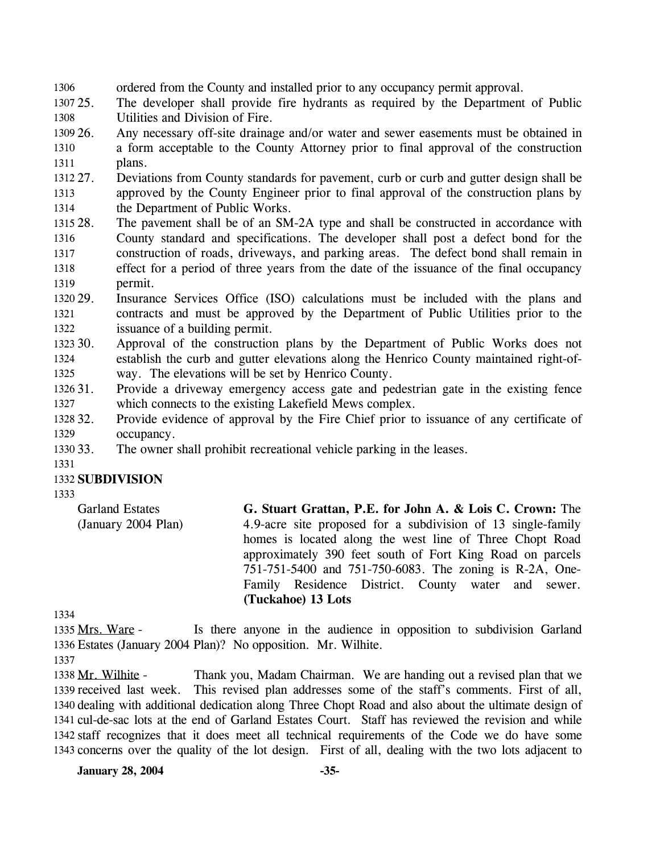1306 ordered from the County and installed prior to any occupancy permit approval.

1307 25. 1308 The developer shall provide fire hydrants as required by the Department of Public Utilities and Division of Fire.

1309 26. 1310 1311 26. Any necessary off-site drainage and/or water and sewer easements must be obtained in a form acceptable to the County Attorney prior to final approval of the construction plans.

1312 27. 1313 1314 27. Deviations from County standards for pavement, curb or curb and gutter design shall be approved by the County Engineer prior to final approval of the construction plans by the Department of Public Works.

- 1315 28. 1316 1317 1318 1319 The pavement shall be of an SM-2A type and shall be constructed in accordance with County standard and specifications. The developer shall post a defect bond for the construction of roads, driveways, and parking areas. The defect bond shall remain in effect for a period of three years from the date of the issuance of the final occupancy permit.
- 1320 29. 1321 1322 Insurance Services Office (ISO) calculations must be included with the plans and contracts and must be approved by the Department of Public Utilities prior to the issuance of a building permit.
- 1323 30. 1324 1325 Approval of the construction plans by the Department of Public Works does not establish the curb and gutter elevations along the Henrico County maintained right-ofway. The elevations will be set by Henrico County.
- 1326 31. 1327 Provide a driveway emergency access gate and pedestrian gate in the existing fence which connects to the existing Lakefield Mews complex.
- 1328 32. 1329 32. Provide evidence of approval by the Fire Chief prior to issuance of any certificate of occupancy.
- 1330 33. The owner shall prohibit recreational vehicle parking in the leases.

1331

#### 1332 **SUBDIVISION**

1333

Garland Estates (January 2004 Plan) **G. Stuart Grattan, P.E. for John A. & Lois C. Crown:** The 4.9-acre site proposed for a subdivision of 13 single-family homes is located along the west line of Three Chopt Road approximately 390 feet south of Fort King Road on parcels 751-751-5400 and 751-750-6083. The zoning is R-2A, One-Family Residence District. County water and sewer. **(Tuckahoe) 13 Lots** 

1334

Is there anyone in the audience in opposition to subdivision Garland Estates (January 2004 Plan)? No opposition. Mr. Wilhite. 1336 1335 Mrs. Ware -

1337

Thank you, Madam Chairman. We are handing out a revised plan that we 1339 received last week. This revised plan addresses some of the staff's comments. First of all, 1340 dealing with additional dedication along Three Chopt Road and also about the ultimate design of 1341 cul-de-sac lots at the end of Garland Estates Court. Staff has reviewed the revision and while 1342 staff recognizes that it does meet all technical requirements of the Code we do have some 1343 concerns over the quality of the lot design. First of all, dealing with the two lots adjacent to 1338 Mr. Wilhite -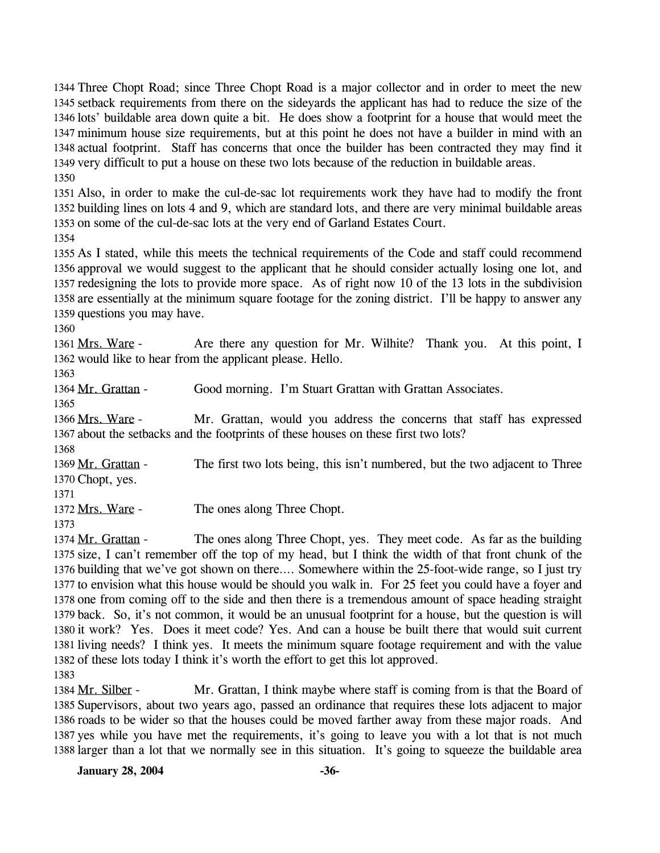1344 Three Chopt Road; since Three Chopt Road is a major collector and in order to meet the new 1345 setback requirements from there on the sideyards the applicant has had to reduce the size of the 1346 lots' buildable area down quite a bit. He does show a footprint for a house that would meet the 1347 minimum house size requirements, but at this point he does not have a builder in mind with an 1348 actual footprint. Staff has concerns that once the builder has been contracted they may find it 1349 very difficult to put a house on these two lots because of the reduction in buildable areas. 1350

1351 Also, in order to make the cul-de-sac lot requirements work they have had to modify the front 1352 building lines on lots 4 and 9, which are standard lots, and there are very minimal buildable areas 1353 on some of the cul-de-sac lots at the very end of Garland Estates Court.

1354

 As I stated, while this meets the technical requirements of the Code and staff could recommend approval we would suggest to the applicant that he should consider actually losing one lot, and redesigning the lots to provide more space. As of right now 10 of the 13 lots in the subdivision are essentially at the minimum square footage for the zoning district. I'll be happy to answer any questions you may have.

1360

Are there any question for Mr. Wilhite? Thank you. At this point, I 1362 would like to hear from the applicant please. Hello. 1361 Mrs. Ware -

1363

1364 Mr. Grattan - Good morning. I'm Stuart Grattan with Grattan Associates.

1365

Mr. Grattan, would you address the concerns that staff has expressed 1367 about the setbacks and the footprints of these houses on these first two lots? 1366 Mrs. Ware -1368

The first two lots being, this isn't numbered, but the two adjacent to Three 1370 Chopt, yes. 1369 Mr. Grattan -

1371

1372 Mrs. Ware - The ones along Three Chopt.

1373

The ones along Three Chopt, yes. They meet code. As far as the building 1375 size, I can't remember off the top of my head, but I think the width of that front chunk of the 1376 building that we've got shown on there.... Somewhere within the 25-foot-wide range, so I just try 1377 to envision what this house would be should you walk in. For 25 feet you could have a foyer and 1378 one from coming off to the side and then there is a tremendous amount of space heading straight 1379 back. So, it's not common, it would be an unusual footprint for a house, but the question is will 1380 it work? Yes. Does it meet code? Yes. And can a house be built there that would suit current 1381 living needs? I think yes. It meets the minimum square footage requirement and with the value 1382 of these lots today I think it's worth the effort to get this lot approved. 1374 Mr. Grattan -1383

Mr. Grattan, I think maybe where staff is coming from is that the Board of 1385 Supervisors, about two years ago, passed an ordinance that requires these lots adjacent to major 1386 roads to be wider so that the houses could be moved farther away from these major roads. And 1387 yes while you have met the requirements, it's going to leave you with a lot that is not much 1388 larger than a lot that we normally see in this situation. It's going to squeeze the buildable area 1384 Mr. Silber -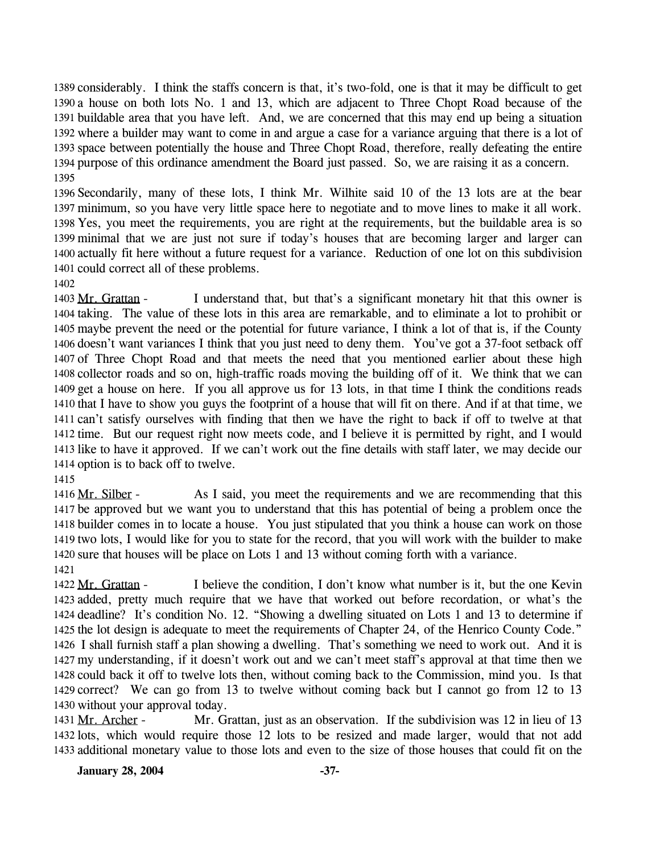1389 considerably. I think the staffs concern is that, it's two-fold, one is that it may be difficult to get 1390 a house on both lots No. 1 and 13, which are adjacent to Three Chopt Road because of the 1391 buildable area that you have left. And, we are concerned that this may end up being a situation 1392 where a builder may want to come in and argue a case for a variance arguing that there is a lot of 1393 space between potentially the house and Three Chopt Road, therefore, really defeating the entire 1394 purpose of this ordinance amendment the Board just passed. So, we are raising it as a concern. 1395

 Secondarily, many of these lots, I think Mr. Wilhite said 10 of the 13 lots are at the bear minimum, so you have very little space here to negotiate and to move lines to make it all work. Yes, you meet the requirements, you are right at the requirements, but the buildable area is so minimal that we are just not sure if today's houses that are becoming larger and larger can actually fit here without a future request for a variance. Reduction of one lot on this subdivision could correct all of these problems.

1402

I understand that, but that's a significant monetary hit that this owner is 1404 taking. The value of these lots in this area are remarkable, and to eliminate a lot to prohibit or 1405 maybe prevent the need or the potential for future variance, I think a lot of that is, if the County 1406 doesn't want variances I think that you just need to deny them. You've got a 37-foot setback off 1407 of Three Chopt Road and that meets the need that you mentioned earlier about these high 1408 collector roads and so on, high-traffic roads moving the building off of it. We think that we can 1409 get a house on here. If you all approve us for 13 lots, in that time I think the conditions reads 1410 that I have to show you guys the footprint of a house that will fit on there. And if at that time, we 1411 can't satisfy ourselves with finding that then we have the right to back if off to twelve at that 1412 time. But our request right now meets code, and I believe it is permitted by right, and I would 1413 like to have it approved. If we can't work out the fine details with staff later, we may decide our 1414 option is to back off to twelve. 1403 Mr. Grattan -

1415

As I said, you meet the requirements and we are recommending that this 1417 be approved but we want you to understand that this has potential of being a problem once the 1418 builder comes in to locate a house. You just stipulated that you think a house can work on those 1419 two lots, I would like for you to state for the record, that you will work with the builder to make 1420 sure that houses will be place on Lots 1 and 13 without coming forth with a variance. 1416 Mr. Silber -1421

I believe the condition, I don't know what number is it, but the one Kevin 1423 added, pretty much require that we have that worked out before recordation, or what's the 1424 deadline? It's condition No. 12. "Showing a dwelling situated on Lots 1 and 13 to determine if 1425 the lot design is adequate to meet the requirements of Chapter 24, of the Henrico County Code." 1426 I shall furnish staff a plan showing a dwelling. That's something we need to work out. And it is 1427 my understanding, if it doesn't work out and we can't meet staff's approval at that time then we 1428 could back it off to twelve lots then, without coming back to the Commission, mind you. Is that 1429 correct? We can go from 13 to twelve without coming back but I cannot go from 12 to 13 1430 without your approval today. 1422 Mr. Grattan -

Mr. Grattan, just as an observation. If the subdivision was 12 in lieu of 13 1432 lots, which would require those 12 lots to be resized and made larger, would that not add 1433 additional monetary value to those lots and even to the size of those houses that could fit on the 1431 Mr. Archer -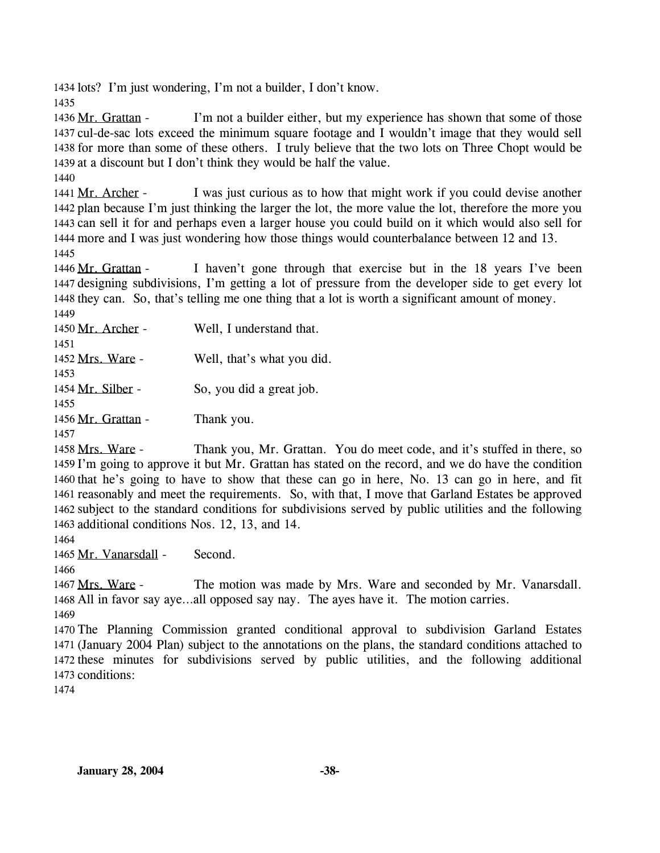1434 lots? I'm just wondering, I'm not a builder, I don't know.

1435

I'm not a builder either, but my experience has shown that some of those 1437 cul-de-sac lots exceed the minimum square footage and I wouldn't image that they would sell 1438 for more than some of these others. I truly believe that the two lots on Three Chopt would be 1439 at a discount but I don't think they would be half the value. 1436 Mr. Grattan -

1440

I was just curious as to how that might work if you could devise another 1442 plan because I'm just thinking the larger the lot, the more value the lot, therefore the more you 1443 can sell it for and perhaps even a larger house you could build on it which would also sell for 1444 more and I was just wondering how those things would counterbalance between 12 and 13. 1441 Mr. Archer -1445

I haven't gone through that exercise but in the 18 years I've been 1447 designing subdivisions, I'm getting a lot of pressure from the developer side to get every lot 1448 they can. So, that's telling me one thing that a lot is worth a significant amount of money. 1446 Mr. Grattan -1440

| 1450 Mr. Archer -         | Well, I understand that.   |
|---------------------------|----------------------------|
| 1451                      |                            |
| 1452 Mrs. Ware -          | Well, that's what you did. |
| 1453<br>1454 Mr. Silber - | So, you did a great job.   |
| 1455                      |                            |
| 1456 Mr. Grattan -        | Thank you.                 |
| 1457                      |                            |

Thank you, Mr. Grattan. You do meet code, and it's stuffed in there, so 1459 I'm going to approve it but Mr. Grattan has stated on the record, and we do have the condition 1460 that he's going to have to show that these can go in here, No. 13 can go in here, and fit 1461 reasonably and meet the requirements. So, with that, I move that Garland Estates be approved 1462 subject to the standard conditions for subdivisions served by public utilities and the following 1463 additional conditions Nos. 12, 13, and 14. 1458 Mrs. Ware -

1464

1465 Mr. Vanarsdall - Second.

1466

The motion was made by Mrs. Ware and seconded by Mr. Vanarsdall. 1468 All in favor say aye...all opposed say nay. The ayes have it. The motion carries. 1467 Mrs. Ware -

1469

 The Planning Commission granted conditional approval to subdivision Garland Estates (January 2004 Plan) subject to the annotations on the plans, the standard conditions attached to these minutes for subdivisions served by public utilities, and the following additional conditions: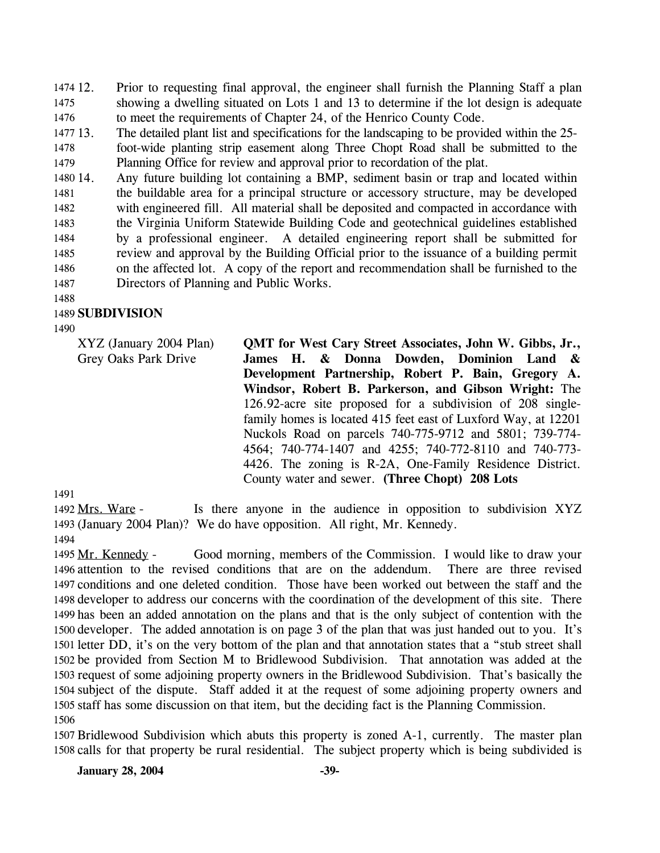12. Prior to requesting final approval, the engineer shall furnish the Planning Staff a plan showing a dwelling situated on Lots 1 and 13 to determine if the lot design is adequate to meet the requirements of Chapter 24, of the Henrico County Code. 1474 12. 1475 1476

1477 13. 13. The detailed plant list and specifications for the landscaping to be provided within the 25-

1478 1479 foot-wide planting strip easement along Three Chopt Road shall be submitted to the Planning Office for review and approval prior to recordation of the plat.

1480 14. 1481 1482 1483 1484 1485 1486 1487 Any future building lot containing a BMP, sediment basin or trap and located within the buildable area for a principal structure or accessory structure, may be developed with engineered fill. All material shall be deposited and compacted in accordance with the Virginia Uniform Statewide Building Code and geotechnical guidelines established by a professional engineer. A detailed engineering report shall be submitted for review and approval by the Building Official prior to the issuance of a building permit on the affected lot. A copy of the report and recommendation shall be furnished to the Directors of Planning and Public Works.

# 1489 **SUBDIVISION**

1490

1488

XYZ (January 2004 Plan) Grey Oaks Park Drive

**QMT for West Cary Street Associates, John W. Gibbs, Jr., James H. & Donna Dowden, Dominion Land & Development Partnership, Robert P. Bain, Gregory A. Windsor, Robert B. Parkerson, and Gibson Wright:** The 126.92-acre site proposed for a subdivision of 208 singlefamily homes is located 415 feet east of Luxford Way, at 12201 Nuckols Road on parcels 740-775-9712 and 5801; 739-774- 4564; 740-774-1407 and 4255; 740-772-8110 and 740-773- 4426. The zoning is R-2A, One-Family Residence District. County water and sewer. **(Three Chopt) 208 Lots** 

1491

Is there anyone in the audience in opposition to subdivision XYZ 1493 (January 2004 Plan)? We do have opposition. All right, Mr. Kennedy. 1492 Mrs. Ware -1494

Good morning, members of the Commission. I would like to draw your 1496 attention to the revised conditions that are on the addendum. There are three revised 1497 conditions and one deleted condition. Those have been worked out between the staff and the 1498 developer to address our concerns with the coordination of the development of this site. There 1499 has been an added annotation on the plans and that is the only subject of contention with the 1500 developer. The added annotation is on page 3 of the plan that was just handed out to you. It's 1501 letter DD, it's on the very bottom of the plan and that annotation states that a "stub street shall 1502 be provided from Section M to Bridlewood Subdivision. That annotation was added at the 1503 request of some adjoining property owners in the Bridlewood Subdivision. That's basically the 1504 subject of the dispute. Staff added it at the request of some adjoining property owners and 1505 staff has some discussion on that item, but the deciding fact is the Planning Commission. 1495 Mr. Kennedy -1506

1507 Bridlewood Subdivision which abuts this property is zoned A-1, currently. The master plan 1508 calls for that property be rural residential. The subject property which is being subdivided is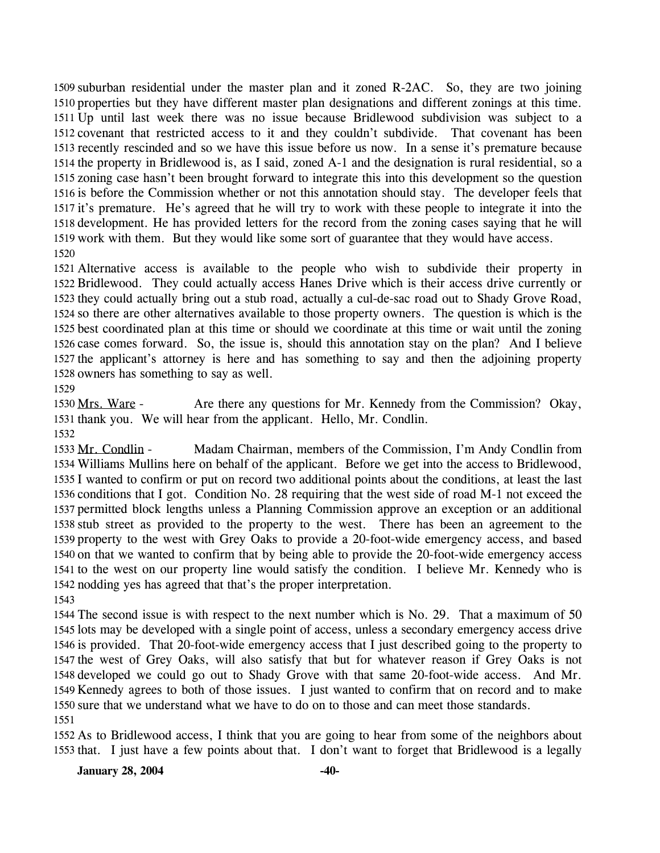1509 suburban residential under the master plan and it zoned R-2AC. So, they are two joining 1510 properties but they have different master plan designations and different zonings at this time. 1511 Up until last week there was no issue because Bridlewood subdivision was subject to a 1512 covenant that restricted access to it and they couldn't subdivide. That covenant has been 1513 recently rescinded and so we have this issue before us now. In a sense it's premature because 1514 the property in Bridlewood is, as I said, zoned A-1 and the designation is rural residential, so a 1515 zoning case hasn't been brought forward to integrate this into this development so the question 1516 is before the Commission whether or not this annotation should stay. The developer feels that 1517 it's premature. He's agreed that he will try to work with these people to integrate it into the 1518 development. He has provided letters for the record from the zoning cases saying that he will 1519 work with them. But they would like some sort of guarantee that they would have access. 1520

 Alternative access is available to the people who wish to subdivide their property in Bridlewood. They could actually access Hanes Drive which is their access drive currently or they could actually bring out a stub road, actually a cul-de-sac road out to Shady Grove Road, so there are other alternatives available to those property owners. The question is which is the best coordinated plan at this time or should we coordinate at this time or wait until the zoning case comes forward. So, the issue is, should this annotation stay on the plan? And I believe the applicant's attorney is here and has something to say and then the adjoining property owners has something to say as well.

1529

Are there any questions for Mr. Kennedy from the Commission? Okay, 1531 thank you. We will hear from the applicant. Hello, Mr. Condlin. 1530 Mrs. Ware -

1532

Madam Chairman, members of the Commission, I'm Andy Condlin from Williams Mullins here on behalf of the applicant. Before we get into the access to Bridlewood, 1534 1535 I wanted to confirm or put on record two additional points about the conditions, at least the last 1536 conditions that I got. Condition No. 28 requiring that the west side of road M-1 not exceed the 1537 permitted block lengths unless a Planning Commission approve an exception or an additional 1538 stub street as provided to the property to the west. There has been an agreement to the 1539 property to the west with Grey Oaks to provide a 20-foot-wide emergency access, and based 1540 on that we wanted to confirm that by being able to provide the 20-foot-wide emergency access 1541 to the west on our property line would satisfy the condition. I believe Mr. Kennedy who is 1542 nodding yes has agreed that that's the proper interpretation. 1533 Mr. Condlin -1543

 The second issue is with respect to the next number which is No. 29. That a maximum of 50 lots may be developed with a single point of access, unless a secondary emergency access drive is provided. That 20-foot-wide emergency access that I just described going to the property to the west of Grey Oaks, will also satisfy that but for whatever reason if Grey Oaks is not developed we could go out to Shady Grove with that same 20-foot-wide access. And Mr. Kennedy agrees to both of those issues. I just wanted to confirm that on record and to make sure that we understand what we have to do on to those and can meet those standards. 1551

1552 As to Bridlewood access, I think that you are going to hear from some of the neighbors about 1553 that. I just have a few points about that. I don't want to forget that Bridlewood is a legally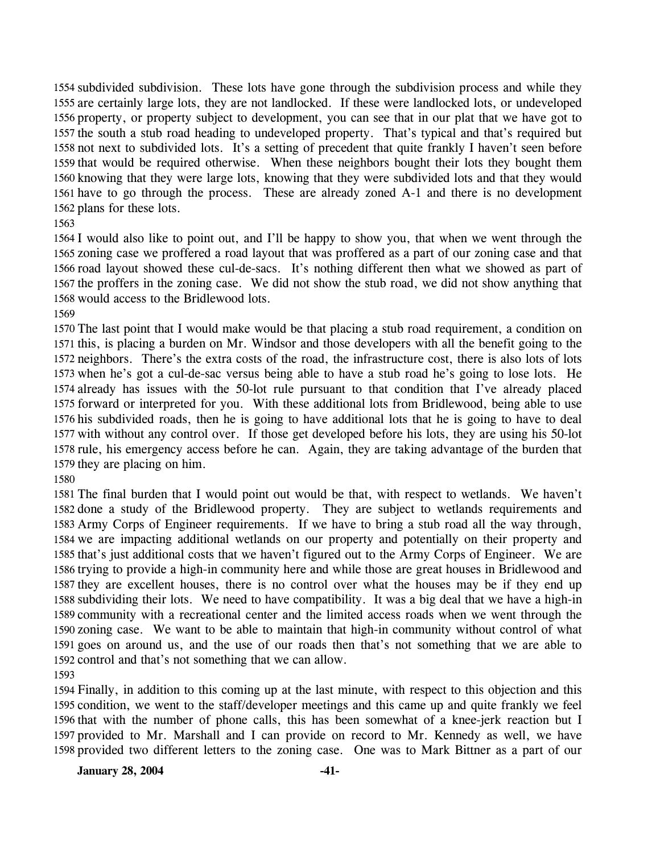1554 subdivided subdivision. These lots have gone through the subdivision process and while they 1555 are certainly large lots, they are not landlocked. If these were landlocked lots, or undeveloped 1556 property, or property subject to development, you can see that in our plat that we have got to 1557 the south a stub road heading to undeveloped property. That's typical and that's required but 1558 not next to subdivided lots. It's a setting of precedent that quite frankly I haven't seen before 1559 that would be required otherwise. When these neighbors bought their lots they bought them 1560 knowing that they were large lots, knowing that they were subdivided lots and that they would 1561 have to go through the process. These are already zoned A-1 and there is no development 1562 plans for these lots.

 I would also like to point out, and I'll be happy to show you, that when we went through the zoning case we proffered a road layout that was proffered as a part of our zoning case and that road layout showed these cul-de-sacs. It's nothing different then what we showed as part of the proffers in the zoning case. We did not show the stub road, we did not show anything that would access to the Bridlewood lots.

 The last point that I would make would be that placing a stub road requirement, a condition on this, is placing a burden on Mr. Windsor and those developers with all the benefit going to the neighbors. There's the extra costs of the road, the infrastructure cost, there is also lots of lots when he's got a cul-de-sac versus being able to have a stub road he's going to lose lots. He already has issues with the 50-lot rule pursuant to that condition that I've already placed forward or interpreted for you. With these additional lots from Bridlewood, being able to use his subdivided roads, then he is going to have additional lots that he is going to have to deal with without any control over. If those get developed before his lots, they are using his 50-lot rule, his emergency access before he can. Again, they are taking advantage of the burden that they are placing on him.

 The final burden that I would point out would be that, with respect to wetlands. We haven't done a study of the Bridlewood property. They are subject to wetlands requirements and Army Corps of Engineer requirements. If we have to bring a stub road all the way through, we are impacting additional wetlands on our property and potentially on their property and that's just additional costs that we haven't figured out to the Army Corps of Engineer. We are trying to provide a high-in community here and while those are great houses in Bridlewood and they are excellent houses, there is no control over what the houses may be if they end up subdividing their lots. We need to have compatibility. It was a big deal that we have a high-in community with a recreational center and the limited access roads when we went through the zoning case. We want to be able to maintain that high-in community without control of what goes on around us, and the use of our roads then that's not something that we are able to control and that's not something that we can allow.

 Finally, in addition to this coming up at the last minute, with respect to this objection and this condition, we went to the staff/developer meetings and this came up and quite frankly we feel that with the number of phone calls, this has been somewhat of a knee-jerk reaction but I provided to Mr. Marshall and I can provide on record to Mr. Kennedy as well, we have provided two different letters to the zoning case. One was to Mark Bittner as a part of our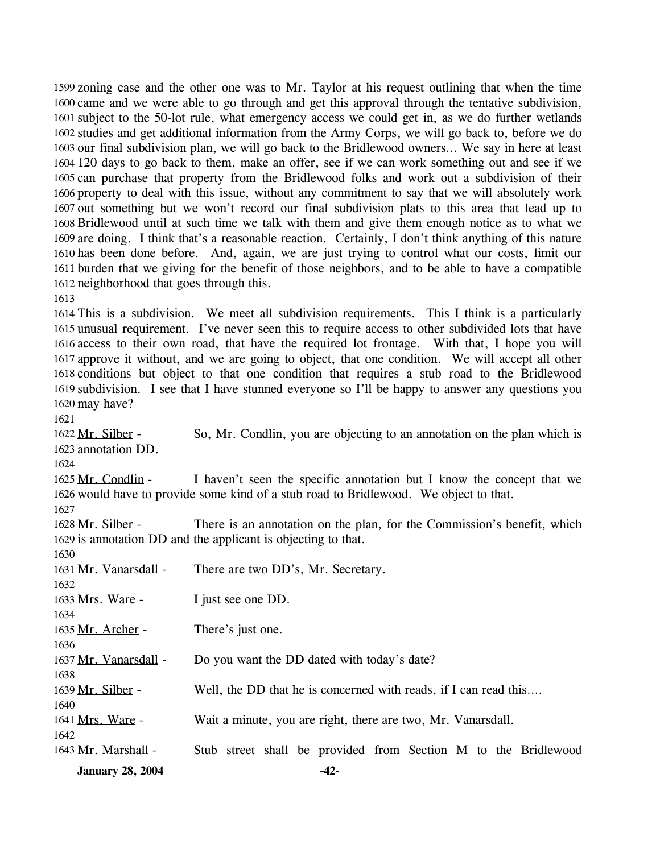1599 zoning case and the other one was to Mr. Taylor at his request outlining that when the time 1600 came and we were able to go through and get this approval through the tentative subdivision, 1601 subject to the 50-lot rule, what emergency access we could get in, as we do further wetlands 1602 studies and get additional information from the Army Corps, we will go back to, before we do 1603 our final subdivision plan, we will go back to the Bridlewood owners... We say in here at least 120 days to go back to them, make an offer, see if we can work something out and see if we 1604 1605 can purchase that property from the Bridlewood folks and work out a subdivision of their 1606 property to deal with this issue, without any commitment to say that we will absolutely work 1607 out something but we won't record our final subdivision plats to this area that lead up to 1608 Bridlewood until at such time we talk with them and give them enough notice as to what we 1609 are doing. I think that's a reasonable reaction. Certainly, I don't think anything of this nature 1610 has been done before. And, again, we are just trying to control what our costs, limit our 1611 burden that we giving for the benefit of those neighbors, and to be able to have a compatible 1612 neighborhood that goes through this.

#### 1613

 This is a subdivision. We meet all subdivision requirements. This I think is a particularly unusual requirement. I've never seen this to require access to other subdivided lots that have access to their own road, that have the required lot frontage. With that, I hope you will approve it without, and we are going to object, that one condition. We will accept all other conditions but object to that one condition that requires a stub road to the Bridlewood subdivision. I see that I have stunned everyone so I'll be happy to answer any questions you may have?

1621

So, Mr. Condlin, you are objecting to an annotation on the plan which is 1623 annotation DD. 1622 Mr. Silber -

1624

I haven't seen the specific annotation but I know the concept that we 1626 would have to provide some kind of a stub road to Bridlewood. We object to that. 1625 Mr. Condlin -

1627

There is an annotation on the plan, for the Commission's benefit, which 1629 is annotation DD and the applicant is objecting to that. 1628 Mr. Silber -

| <b>January 28, 2004</b> | $-42-$                                                           |
|-------------------------|------------------------------------------------------------------|
| 1643 Mr. Marshall -     | Stub street shall be provided from Section M to the Bridlewood   |
| 1642                    |                                                                  |
| 1641 Mrs. Ware -        | Wait a minute, you are right, there are two, Mr. Vanarsdall.     |
| 1640                    |                                                                  |
| 1639 Mr. Silber -       | Well, the DD that he is concerned with reads, if I can read this |
| 1638                    |                                                                  |
| 1637 Mr. Vanarsdall -   | Do you want the DD dated with today's date?                      |
| 1636                    |                                                                  |
| 1635 Mr. Archer -       | There's just one.                                                |
| 1634                    |                                                                  |
| 1633 Mrs. Ware -        | I just see one DD.                                               |
| 1632                    |                                                                  |
| 1631 Mr. Vanarsdall -   | There are two DD's, Mr. Secretary.                               |
| 1630                    |                                                                  |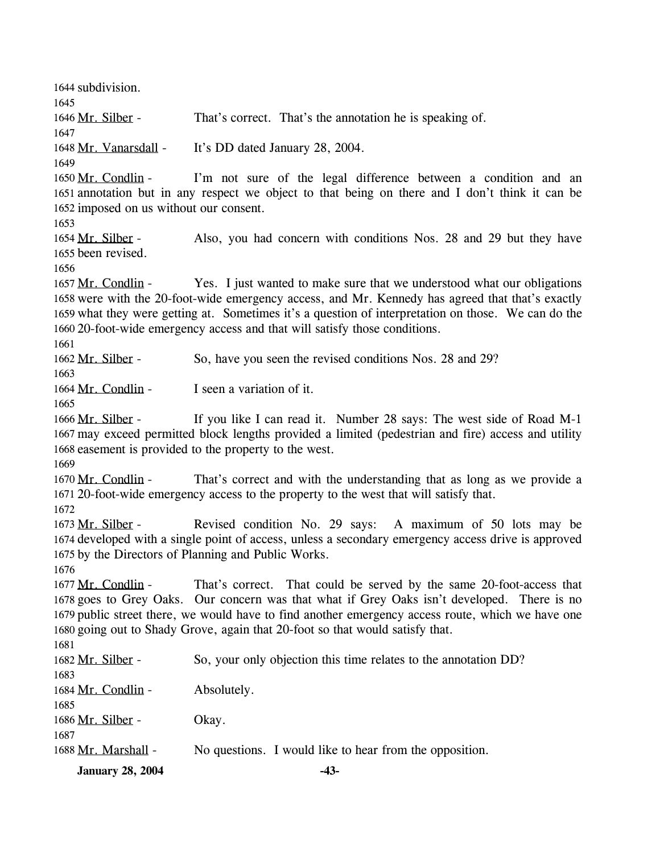1644 subdivision. 1645 1646 Mr. Silber - That's correct. That's the annotation he is speaking of. 1647 1648 Mr. Vanarsdall - It's DD dated January 28, 2004. 1649 I'm not sure of the legal difference between a condition and an 1651 annotation but in any respect we object to that being on there and I don't think it can be 1652 imposed on us without our consent. 1650 Mr. Condlin -1653 Also, you had concern with conditions Nos. 28 and 29 but they have 1655 been revised. 1654 Mr. Silber -1656 Yes. I just wanted to make sure that we understood what our obligations 1658 were with the 20-foot-wide emergency access, and Mr. Kennedy has agreed that that's exactly 1659 what they were getting at. Sometimes it's a question of interpretation on those. We can do the 20-foot-wide emergency access and that will satisfy those conditions. 1660 1657 Mr. Condlin -1661 1662 Mr. Silber - So, have you seen the revised conditions Nos. 28 and 29? 1663 1664 Mr. Condlin - I seen a variation of it. 1665 If you like I can read it. Number 28 says: The west side of Road M-1 1667 may exceed permitted block lengths provided a limited (pedestrian and fire) access and utility 1668 easement is provided to the property to the west. 1666 Mr. Silber -1669 That's correct and with the understanding that as long as we provide a 20-foot-wide emergency access to the property to the west that will satisfy that. 1671 1670 Mr. Condlin -1672 Revised condition No. 29 says: A maximum of 50 lots may be 1674 developed with a single point of access, unless a secondary emergency access drive is approved 1675 by the Directors of Planning and Public Works. 1673 Mr. Silber -1676 That's correct. That could be served by the same 20-foot-access that 1678 goes to Grey Oaks. Our concern was that what if Grey Oaks isn't developed. There is no 1679 public street there, we would have to find another emergency access route, which we have one 1680 going out to Shady Grove, again that 20-foot so that would satisfy that. 1677 Mr. Condlin -1681 1682 Mr. Silber - So, your only objection this time relates to the annotation DD? 1683 1684 Mr. Condlin - Absolutely. 1685 1686 Mr. Silber - Okay. 1687 1688 Mr. Marshall - No questions. I would like to hear from the opposition. **January 28, 2004 -43-**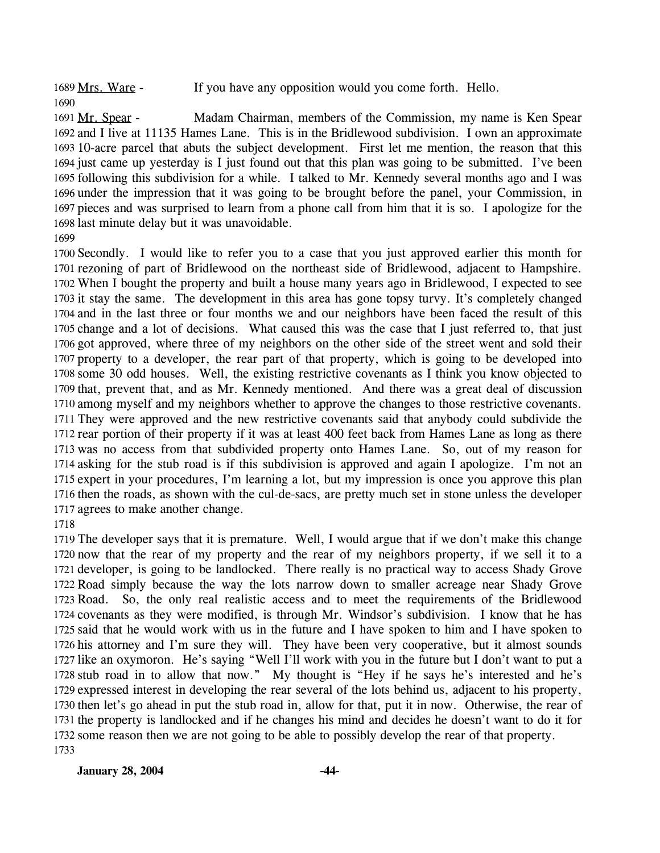1689 Mrs. Ware - If you have any opposition would you come forth. Hello.

Madam Chairman, members of the Commission, my name is Ken Spear 1692 and I live at 11135 Hames Lane. This is in the Bridlewood subdivision. I own an approximate 1693 10-acre parcel that abuts the subject development. First let me mention, the reason that this 1694 just came up yesterday is I just found out that this plan was going to be submitted. I've been 1695 following this subdivision for a while. I talked to Mr. Kennedy several months ago and I was 1696 under the impression that it was going to be brought before the panel, your Commission, in 1697 pieces and was surprised to learn from a phone call from him that it is so. I apologize for the 1698 last minute delay but it was unavoidable. 1691 Mr. Spear -

 Secondly. I would like to refer you to a case that you just approved earlier this month for rezoning of part of Bridlewood on the northeast side of Bridlewood, adjacent to Hampshire. When I bought the property and built a house many years ago in Bridlewood, I expected to see it stay the same. The development in this area has gone topsy turvy. It's completely changed and in the last three or four months we and our neighbors have been faced the result of this change and a lot of decisions. What caused this was the case that I just referred to, that just got approved, where three of my neighbors on the other side of the street went and sold their property to a developer, the rear part of that property, which is going to be developed into some 30 odd houses. Well, the existing restrictive covenants as I think you know objected to that, prevent that, and as Mr. Kennedy mentioned. And there was a great deal of discussion among myself and my neighbors whether to approve the changes to those restrictive covenants. They were approved and the new restrictive covenants said that anybody could subdivide the rear portion of their property if it was at least 400 feet back from Hames Lane as long as there was no access from that subdivided property onto Hames Lane. So, out of my reason for asking for the stub road is if this subdivision is approved and again I apologize. I'm not an expert in your procedures, I'm learning a lot, but my impression is once you approve this plan then the roads, as shown with the cul-de-sacs, are pretty much set in stone unless the developer agrees to make another change.

 The developer says that it is premature. Well, I would argue that if we don't make this change now that the rear of my property and the rear of my neighbors property, if we sell it to a developer, is going to be landlocked. There really is no practical way to access Shady Grove Road simply because the way the lots narrow down to smaller acreage near Shady Grove Road. So, the only real realistic access and to meet the requirements of the Bridlewood covenants as they were modified, is through Mr. Windsor's subdivision. I know that he has said that he would work with us in the future and I have spoken to him and I have spoken to his attorney and I'm sure they will. They have been very cooperative, but it almost sounds like an oxymoron. He's saying "Well I'll work with you in the future but I don't want to put a stub road in to allow that now." My thought is "Hey if he says he's interested and he's expressed interest in developing the rear several of the lots behind us, adjacent to his property, then let's go ahead in put the stub road in, allow for that, put it in now. Otherwise, the rear of the property is landlocked and if he changes his mind and decides he doesn't want to do it for some reason then we are not going to be able to possibly develop the rear of that property.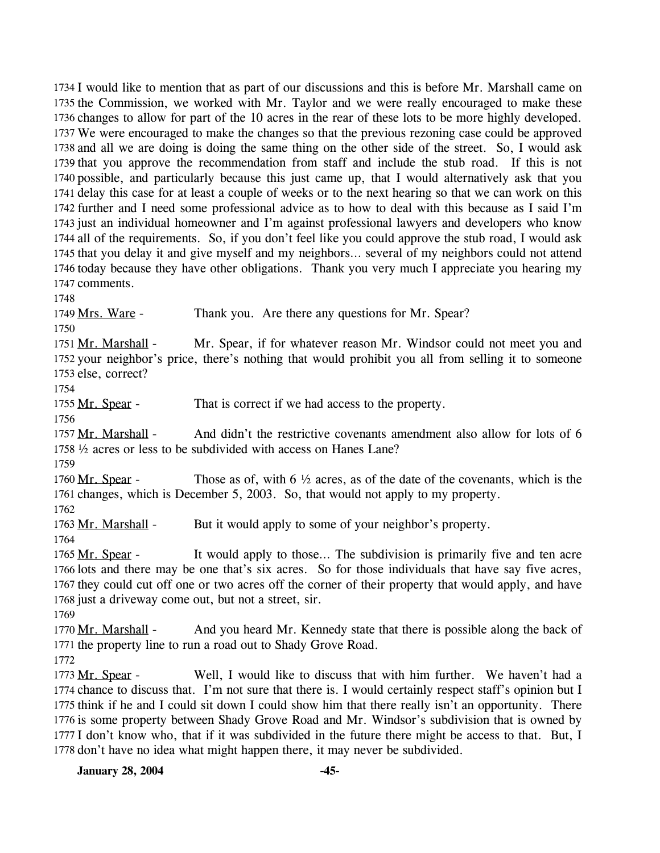1734 I would like to mention that as part of our discussions and this is before Mr. Marshall came on 1735 the Commission, we worked with Mr. Taylor and we were really encouraged to make these 1736 changes to allow for part of the 10 acres in the rear of these lots to be more highly developed. We were encouraged to make the changes so that the previous rezoning case could be approved 1737 1738 and all we are doing is doing the same thing on the other side of the street. So, I would ask 1739 that you approve the recommendation from staff and include the stub road. If this is not 1740 possible, and particularly because this just came up, that I would alternatively ask that you 1741 delay this case for at least a couple of weeks or to the next hearing so that we can work on this 1742 further and I need some professional advice as to how to deal with this because as I said I'm 1743 just an individual homeowner and I'm against professional lawyers and developers who know 1744 all of the requirements. So, if you don't feel like you could approve the stub road, I would ask 1745 that you delay it and give myself and my neighbors... several of my neighbors could not attend 1746 today because they have other obligations. Thank you very much I appreciate you hearing my 1747 comments.

1748

1749 Mrs. Ware - Thank you. Are there any questions for Mr. Spear?

1750

Mr. Spear, if for whatever reason Mr. Windsor could not meet you and 1752 your neighbor's price, there's nothing that would prohibit you all from selling it to someone 1753 else, correct? 1751 Mr. Marshall -

1754

1755 Mr. Spear - That is correct if we had access to the property.

1756

And didn't the restrictive covenants amendment also allow for lots of  $6$ ½ acres or less to be subdivided with access on Hanes Lane? 1758 1757 Mr. Marshall -

1759

Those as of, with 6  $\frac{1}{2}$  acres, as of the date of the covenants, which is the 1761 changes, which is December 5, 2003. So, that would not apply to my property. 1760 Mr. Spear -

1762

1763 Mr. Marshall - But it would apply to some of your neighbor's property.

1764

It would apply to those... The subdivision is primarily five and ten acre 1766 lots and there may be one that's six acres. So for those individuals that have say five acres, 1767 they could cut off one or two acres off the corner of their property that would apply, and have 1768 just a driveway come out, but not a street, sir. 1765 Mr. Spear -

1769

And you heard Mr. Kennedy state that there is possible along the back of 1771 the property line to run a road out to Shady Grove Road. 1770 Mr. Marshall -

1772

Well, I would like to discuss that with him further. We haven't had a 1774 chance to discuss that. I'm not sure that there is. I would certainly respect staff's opinion but I 1775 think if he and I could sit down I could show him that there really isn't an opportunity. There 1776 is some property between Shady Grove Road and Mr. Windsor's subdivision that is owned by 1777 I don't know who, that if it was subdivided in the future there might be access to that. But, I 1778 don't have no idea what might happen there, it may never be subdivided. 1773 Mr. Spear -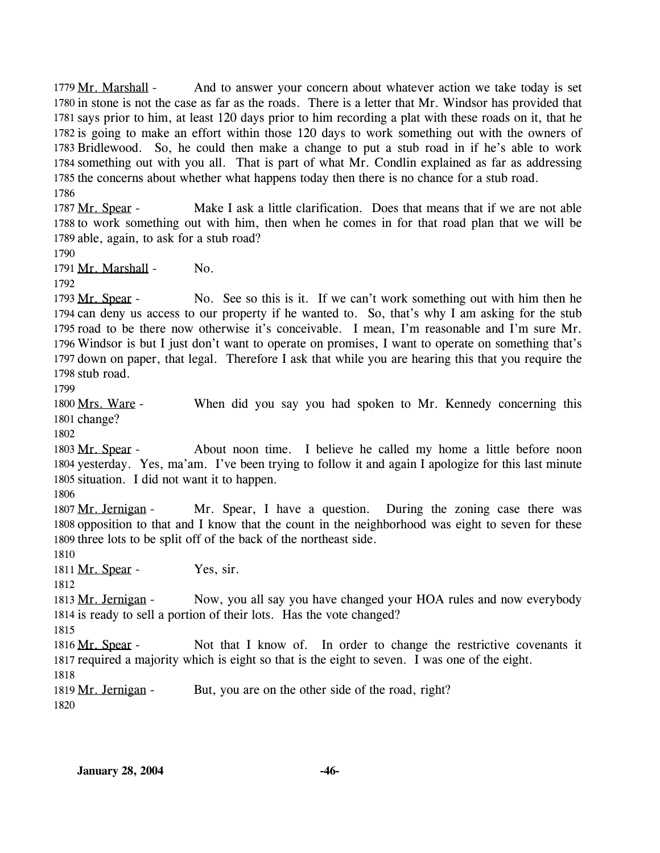And to answer your concern about whatever action we take today is set 1780 in stone is not the case as far as the roads. There is a letter that Mr. Windsor has provided that 1781 says prior to him, at least 120 days prior to him recording a plat with these roads on it, that he 1782 is going to make an effort within those 120 days to work something out with the owners of 1783 Bridlewood. So, he could then make a change to put a stub road in if he's able to work 1784 something out with you all. That is part of what Mr. Condlin explained as far as addressing 1785 the concerns about whether what happens today then there is no chance for a stub road. 1779 Mr. Marshall -1786

Make I ask a little clarification. Does that means that if we are not able 1788 to work something out with him, then when he comes in for that road plan that we will be 1789 able, again, to ask for a stub road? 1787 Mr. Spear -

1790

1791 Mr. Marshall - No.

1792

No. See so this is it. If we can't work something out with him then he 1794 can deny us access to our property if he wanted to. So, that's why I am asking for the stub 1795 road to be there now otherwise it's conceivable. I mean, I'm reasonable and I'm sure Mr. 1796 Windsor is but I just don't want to operate on promises, I want to operate on something that's 1797 down on paper, that legal. Therefore I ask that while you are hearing this that you require the 1798 stub road. 1793 Mr. Spear -

1799

When did you say you had spoken to Mr. Kennedy concerning this 1801 change? 1800 Mrs. Ware -

1802

About noon time. I believe he called my home a little before noon 1804 yesterday. Yes, ma'am. I've been trying to follow it and again I apologize for this last minute 1805 situation. I did not want it to happen. 1803 Mr. Spear -

1806

Mr. Spear, I have a question. During the zoning case there was 1808 opposition to that and I know that the count in the neighborhood was eight to seven for these 1809 three lots to be split off of the back of the northeast side. 1807 Mr. Jernigan -

1810

1811 Mr. Spear - Yes, sir.

1812

Now, you all say you have changed your HOA rules and now everybody 1814 is ready to sell a portion of their lots. Has the vote changed? 1813 Mr. Jernigan -

1815

Not that I know of. In order to change the restrictive covenants it 1817 required a majority which is eight so that is the eight to seven. I was one of the eight. 1816 Mr. Spear -1818

1819 Mr. Jernigan - But, you are on the other side of the road, right?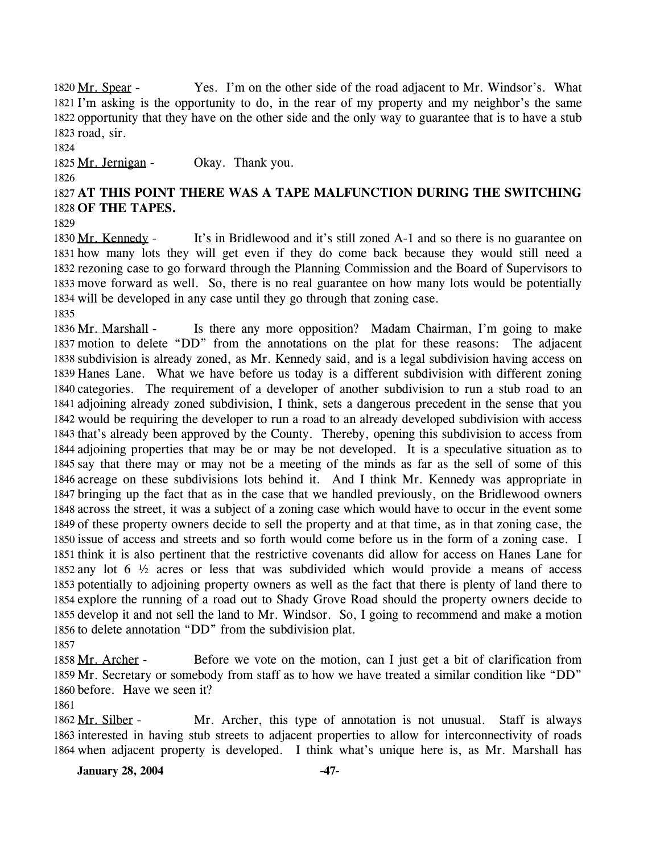Yes. I'm on the other side of the road adjacent to Mr. Windsor's. What 1821 I'm asking is the opportunity to do, in the rear of my property and my neighbor's the same 1822 opportunity that they have on the other side and the only way to guarantee that is to have a stub 1823 road, sir. 1820 Mr. Spear -

1824

1825 Mr. Jernigan - Okay. Thank you.

1826

1827 **AT THIS POINT THERE WAS A TAPE MALFUNCTION DURING THE SWITCHING**  1828 **OF THE TAPES.** 

1829

It's in Bridlewood and it's still zoned A-1 and so there is no guarantee on 1831 how many lots they will get even if they do come back because they would still need a 1832 rezoning case to go forward through the Planning Commission and the Board of Supervisors to 1833 move forward as well. So, there is no real guarantee on how many lots would be potentially 1834 will be developed in any case until they go through that zoning case. 1830 Mr. Kennedy -1835

Is there any more opposition? Madam Chairman, I'm going to make 1837 motion to delete "DD" from the annotations on the plat for these reasons: The adjacent 1838 subdivision is already zoned, as Mr. Kennedy said, and is a legal subdivision having access on 1839 Hanes Lane. What we have before us today is a different subdivision with different zoning 1840 categories. The requirement of a developer of another subdivision to run a stub road to an 1841 adjoining already zoned subdivision, I think, sets a dangerous precedent in the sense that you 1842 would be requiring the developer to run a road to an already developed subdivision with access 1843 that's already been approved by the County. Thereby, opening this subdivision to access from 1844 adjoining properties that may be or may be not developed. It is a speculative situation as to 1845 say that there may or may not be a meeting of the minds as far as the sell of some of this 1846 acreage on these subdivisions lots behind it. And I think Mr. Kennedy was appropriate in 1847 bringing up the fact that as in the case that we handled previously, on the Bridlewood owners 1848 across the street, it was a subject of a zoning case which would have to occur in the event some 1849 of these property owners decide to sell the property and at that time, as in that zoning case, the 1850 issue of access and streets and so forth would come before us in the form of a zoning case. I 1851 think it is also pertinent that the restrictive covenants did allow for access on Hanes Lane for 1852 any lot  $6\frac{1}{2}$  acres or less that was subdivided which would provide a means of access 1853 potentially to adjoining property owners as well as the fact that there is plenty of land there to 1854 explore the running of a road out to Shady Grove Road should the property owners decide to 1855 develop it and not sell the land to Mr. Windsor. So, I going to recommend and make a motion 1856 to delete annotation "DD" from the subdivision plat. 1836 Mr. Marshall -

1857

Before we vote on the motion, can I just get a bit of clarification from 1859 Mr. Secretary or somebody from staff as to how we have treated a similar condition like "DD" 1860 before. Have we seen it? 1858 Mr. Archer -

Mr. Archer, this type of annotation is not unusual. Staff is always 1863 interested in having stub streets to adjacent properties to allow for interconnectivity of roads 1864 when adjacent property is developed. I think what's unique here is, as Mr. Marshall has 1862 Mr. Silber -

**January 28, 2004 -47-**

<sup>1861</sup>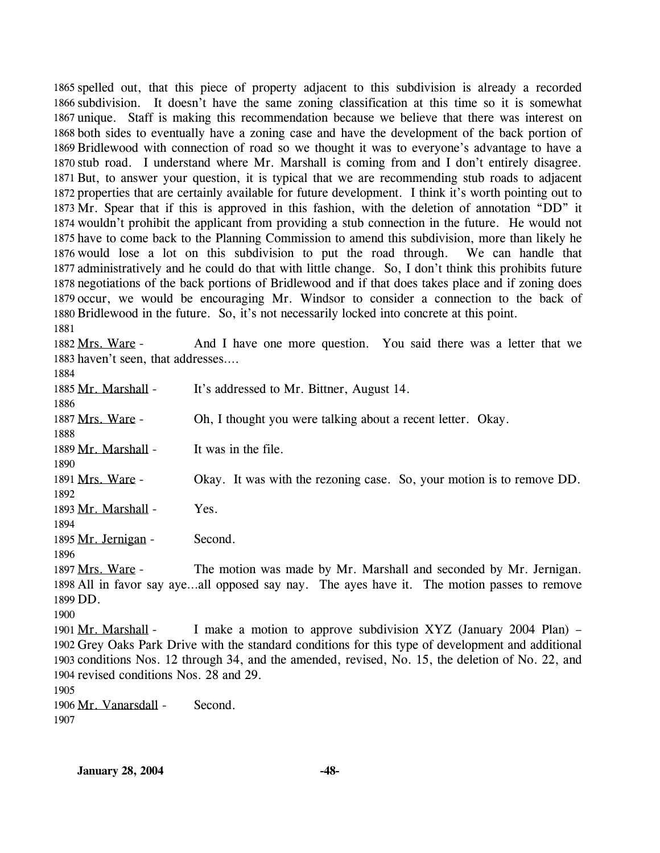1865 spelled out, that this piece of property adjacent to this subdivision is already a recorded 1866 subdivision. It doesn't have the same zoning classification at this time so it is somewhat 1867 unique. Staff is making this recommendation because we believe that there was interest on 1868 both sides to eventually have a zoning case and have the development of the back portion of 1869 Bridlewood with connection of road so we thought it was to everyone's advantage to have a 1870 stub road. I understand where Mr. Marshall is coming from and I don't entirely disagree. 1871 But, to answer your question, it is typical that we are recommending stub roads to adjacent 1872 properties that are certainly available for future development. I think it's worth pointing out to 1873 Mr. Spear that if this is approved in this fashion, with the deletion of annotation "DD" it 1874 wouldn't prohibit the applicant from providing a stub connection in the future. He would not 1875 have to come back to the Planning Commission to amend this subdivision, more than likely he 1876 would lose a lot on this subdivision to put the road through. We can handle that 1877 administratively and he could do that with little change. So, I don't think this prohibits future 1878 negotiations of the back portions of Bridlewood and if that does takes place and if zoning does 1879 occur, we would be encouraging Mr. Windsor to consider a connection to the back of 1880 Bridlewood in the future. So, it's not necessarily locked into concrete at this point.

1881

And I have one more question. You said there was a letter that we 1883 haven't seen, that addresses.... 1882 Mrs. Ware -

| 1884                                    |                                                                                                    |
|-----------------------------------------|----------------------------------------------------------------------------------------------------|
| 1885 Mr. Marshall -                     | It's addressed to Mr. Bittner, August 14.                                                          |
| 1886                                    |                                                                                                    |
| 1887 Mrs. Ware -                        | Oh, I thought you were talking about a recent letter. Okay.                                        |
| 1888                                    |                                                                                                    |
| 1889 Mr. Marshall -                     | It was in the file.                                                                                |
| 1890                                    |                                                                                                    |
| 1891 Mrs. Ware -                        | Okay. It was with the rezoning case. So, your motion is to remove DD.                              |
| 1892                                    |                                                                                                    |
| 1893 Mr. Marshall -                     | Yes.                                                                                               |
| 1894                                    |                                                                                                    |
| 1895 Mr. Jernigan -                     | Second.                                                                                            |
| 1896                                    |                                                                                                    |
| 1897 Mrs. Ware -                        | The motion was made by Mr. Marshall and seconded by Mr. Jernigan.                                  |
|                                         | 1898 All in favor say ayeall opposed say nay. The ayes have it. The motion passes to remove        |
| 1899 DD.                                |                                                                                                    |
| 1900                                    |                                                                                                    |
| 1901 Mr. Marshall -                     | I make a motion to approve subdivision XYZ (January 2004 Plan) –                                   |
|                                         | 1902 Grey Oaks Park Drive with the standard conditions for this type of development and additional |
|                                         | 1903 conditions Nos. 12 through 34, and the amended, revised, No. 15, the deletion of No. 22, and  |
| 1904 revised conditions Nos. 28 and 29. |                                                                                                    |
| 1905                                    |                                                                                                    |
| 1906 Mr. Vanarsdall -                   | Second.                                                                                            |
| 1907                                    |                                                                                                    |
|                                         |                                                                                                    |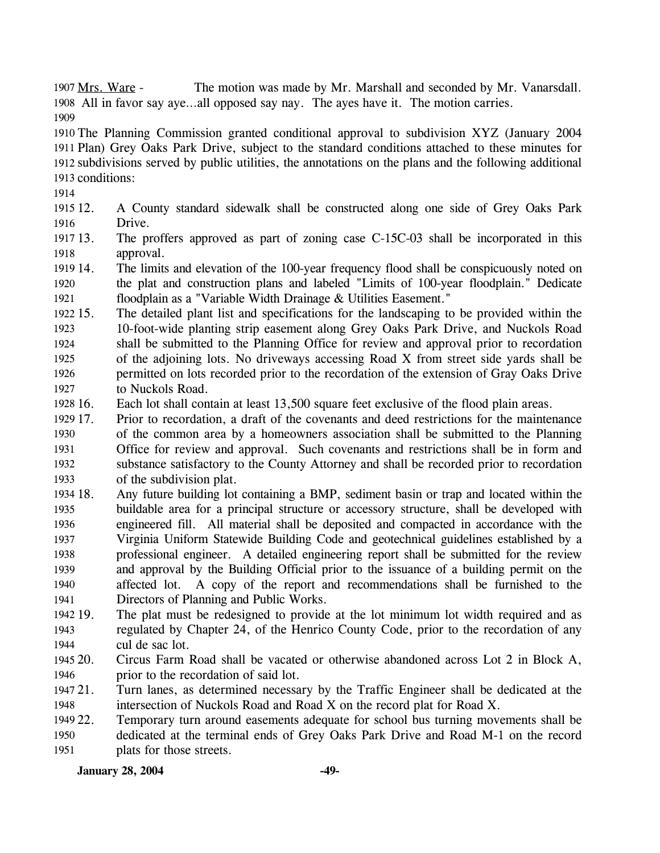The motion was made by Mr. Marshall and seconded by Mr. Vanarsdall. All in favor say aye…all opposed say nay. The ayes have it. The motion carries. 1908 1907 Mrs. Ware -1909

 The Planning Commission granted conditional approval to subdivision XYZ (January 2004 Plan) Grey Oaks Park Drive, subject to the standard conditions attached to these minutes for subdivisions served by public utilities, the annotations on the plans and the following additional conditions:

1914

- 1915 12. 1916 12. A County standard sidewalk shall be constructed along one side of Grey Oaks Park Drive.
- 1917 13. 1918 The proffers approved as part of zoning case C-15C-03 shall be incorporated in this approval.
- 1919 14. 1920 1921 The limits and elevation of the 100-year frequency flood shall be conspicuously noted on the plat and construction plans and labeled "Limits of 100-year floodplain." Dedicate floodplain as a "Variable Width Drainage & Utilities Easement."
- 1922 15. 1923 1924 1925 1926 1927 15. The detailed plant list and specifications for the landscaping to be provided within the 10-foot-wide planting strip easement along Grey Oaks Park Drive, and Nuckols Road shall be submitted to the Planning Office for review and approval prior to recordation of the adjoining lots. No driveways accessing Road X from street side yards shall be permitted on lots recorded prior to the recordation of the extension of Gray Oaks Drive to Nuckols Road.
- 1928 16. Each lot shall contain at least 13,500 square feet exclusive of the flood plain areas.
- 1929 17. 1930 1931 1932 1933 17. Prior to recordation, a draft of the covenants and deed restrictions for the maintenance of the common area by a homeowners association shall be submitted to the Planning Office for review and approval. Such covenants and restrictions shall be in form and substance satisfactory to the County Attorney and shall be recorded prior to recordation of the subdivision plat.
- 1934 18. 1935 1936 1937 1938 1939 1940 1941 18. Any future building lot containing a BMP, sediment basin or trap and located within the buildable area for a principal structure or accessory structure, shall be developed with engineered fill. All material shall be deposited and compacted in accordance with the Virginia Uniform Statewide Building Code and geotechnical guidelines established by a professional engineer. A detailed engineering report shall be submitted for the review and approval by the Building Official prior to the issuance of a building permit on the affected lot. A copy of the report and recommendations shall be furnished to the Directors of Planning and Public Works.
- 1942 19. 1943 1944 The plat must be redesigned to provide at the lot minimum lot width required and as regulated by Chapter 24, of the Henrico County Code, prior to the recordation of any cul de sac lot.
- 1945 20. 1946 Circus Farm Road shall be vacated or otherwise abandoned across Lot 2 in Block A, prior to the recordation of said lot.
- 1947 21. 1948 21. Turn lanes, as determined necessary by the Traffic Engineer shall be dedicated at the intersection of Nuckols Road and Road X on the record plat for Road X.
- 1949 22. 1950 1951 Temporary turn around easements adequate for school bus turning movements shall be dedicated at the terminal ends of Grey Oaks Park Drive and Road M-1 on the record plats for those streets.

**January 28, 2004** -49-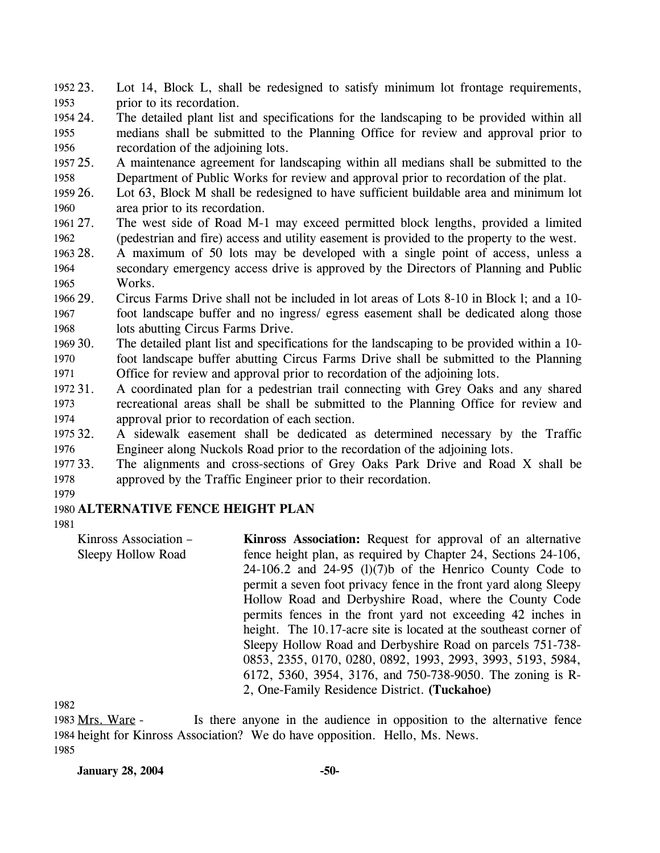- Lot 14, Block L, shall be redesigned to satisfy minimum lot frontage requirements, prior to its recordation. 1952 23. 1953
- 1954 24. 1955 1956 The detailed plant list and specifications for the landscaping to be provided within all medians shall be submitted to the Planning Office for review and approval prior to recordation of the adjoining lots.
- 1957 25. 1958 25. A maintenance agreement for landscaping within all medians shall be submitted to the Department of Public Works for review and approval prior to recordation of the plat.
- 1959 26. 1960 Lot 63, Block M shall be redesigned to have sufficient buildable area and minimum lot area prior to its recordation.
- 1961 27. 1962 27. The west side of Road M-1 may exceed permitted block lengths, provided a limited (pedestrian and fire) access and utility easement is provided to the property to the west.
- 1963 28. 1964 1965 A maximum of 50 lots may be developed with a single point of access, unless a secondary emergency access drive is approved by the Directors of Planning and Public Works.
- 1966 29. 1967 1968 29. Circus Farms Drive shall not be included in lot areas of Lots 8-10 in Block l; and a 10 foot landscape buffer and no ingress/ egress easement shall be dedicated along those lots abutting Circus Farms Drive.
- 1969 30. 1970 1971 The detailed plant list and specifications for the landscaping to be provided within a 10foot landscape buffer abutting Circus Farms Drive shall be submitted to the Planning Office for review and approval prior to recordation of the adjoining lots.
- 1972 31. 1973 1974 31. A coordinated plan for a pedestrian trail connecting with Grey Oaks and any shared recreational areas shall be shall be submitted to the Planning Office for review and approval prior to recordation of each section.
- 1975 32. 1976 32. A sidewalk easement shall be dedicated as determined necessary by the Traffic Engineer along Nuckols Road prior to the recordation of the adjoining lots.
- 1977 33. 1978 The alignments and cross-sections of Grey Oaks Park Drive and Road X shall be approved by the Traffic Engineer prior to their recordation.

1979

### 1980 **ALTERNATIVE FENCE HEIGHT PLAN**

1981

Kinross Association – Sleepy Hollow Road **Kinross Association:** Request for approval of an alternative fence height plan, as required by Chapter 24, Sections 24-106,  $24-106.2$  and  $24-95$  (l)(7)b of the Henrico County Code to permit a seven foot privacy fence in the front yard along Sleepy Hollow Road and Derbyshire Road, where the County Code permits fences in the front yard not exceeding 42 inches in height. The 10.17-acre site is located at the southeast corner of Sleepy Hollow Road and Derbyshire Road on parcels 751-738- 0853, 2355, 0170, 0280, 0892, 1993, 2993, 3993, 5193, 5984, 6172, 5360, 3954, 3176, and 750-738-9050. The zoning is R-2, One-Family Residence District. **(Tuckahoe)** 

1982

Is there anyone in the audience in opposition to the alternative fence 1984 height for Kinross Association? We do have opposition. Hello, Ms. News. 1983 Mrs. Ware -1985

**January 28, 2004 -50-**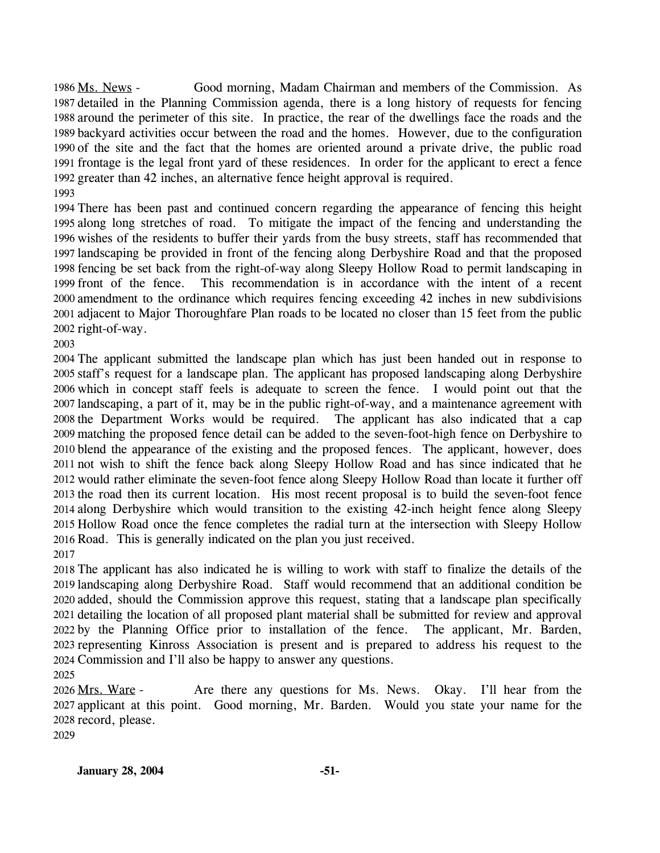Good morning, Madam Chairman and members of the Commission. As 1987 detailed in the Planning Commission agenda, there is a long history of requests for fencing 1988 around the perimeter of this site. In practice, the rear of the dwellings face the roads and the 1989 backyard activities occur between the road and the homes. However, due to the configuration 1990 of the site and the fact that the homes are oriented around a private drive, the public road 1991 frontage is the legal front yard of these residences. In order for the applicant to erect a fence 1992 greater than 42 inches, an alternative fence height approval is required. 1986 Ms. News -

 There has been past and continued concern regarding the appearance of fencing this height along long stretches of road. To mitigate the impact of the fencing and understanding the wishes of the residents to buffer their yards from the busy streets, staff has recommended that landscaping be provided in front of the fencing along Derbyshire Road and that the proposed fencing be set back from the right-of-way along Sleepy Hollow Road to permit landscaping in front of the fence. This recommendation is in accordance with the intent of a recent amendment to the ordinance which requires fencing exceeding 42 inches in new subdivisions adjacent to Major Thoroughfare Plan roads to be located no closer than 15 feet from the public right-of-way.

 The applicant submitted the landscape plan which has just been handed out in response to staff's request for a landscape plan. The applicant has proposed landscaping along Derbyshire which in concept staff feels is adequate to screen the fence. I would point out that the landscaping, a part of it, may be in the public right-of-way, and a maintenance agreement with the Department Works would be required. The applicant has also indicated that a cap matching the proposed fence detail can be added to the seven-foot-high fence on Derbyshire to blend the appearance of the existing and the proposed fences. The applicant, however, does not wish to shift the fence back along Sleepy Hollow Road and has since indicated that he would rather eliminate the seven-foot fence along Sleepy Hollow Road than locate it further off the road then its current location. His most recent proposal is to build the seven-foot fence along Derbyshire which would transition to the existing 42-inch height fence along Sleepy Hollow Road once the fence completes the radial turn at the intersection with Sleepy Hollow Road. This is generally indicated on the plan you just received.

 The applicant has also indicated he is willing to work with staff to finalize the details of the landscaping along Derbyshire Road. Staff would recommend that an additional condition be added, should the Commission approve this request, stating that a landscape plan specifically detailing the location of all proposed plant material shall be submitted for review and approval by the Planning Office prior to installation of the fence. The applicant, Mr. Barden, representing Kinross Association is present and is prepared to address his request to the Commission and I'll also be happy to answer any questions.

Are there any questions for Ms. News. Okay. I'll hear from the 2027 applicant at this point. Good morning, Mr. Barden. Would you state your name for the 2028 record, please. 2026 Mrs. Ware -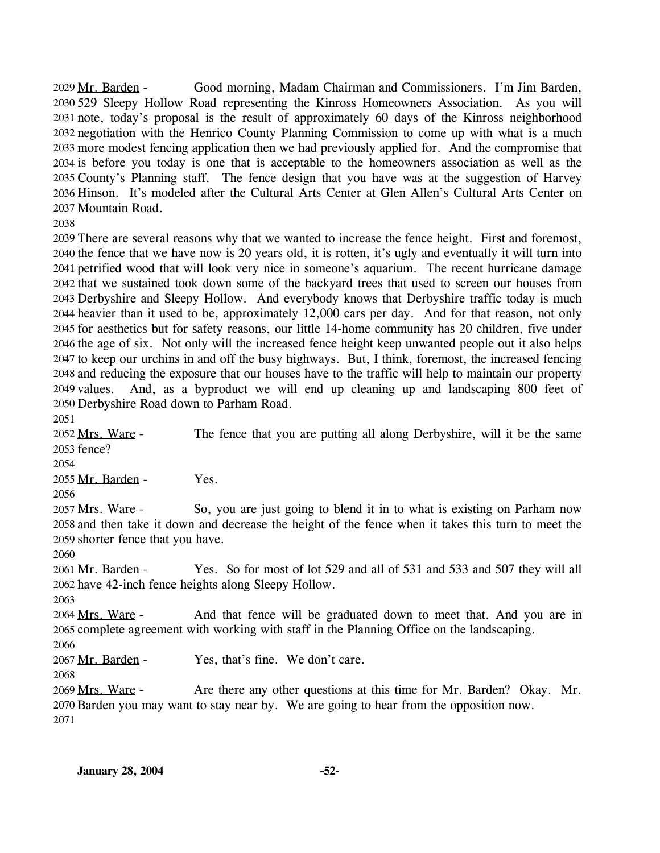Good morning, Madam Chairman and Commissioners. I'm Jim Barden, 529 Sleepy Hollow Road representing the Kinross Homeowners Association. As you will 2030 note, today's proposal is the result of approximately 60 days of the Kinross neighborhood 2031 2032 negotiation with the Henrico County Planning Commission to come up with what is a much 2033 more modest fencing application then we had previously applied for. And the compromise that 2034 is before you today is one that is acceptable to the homeowners association as well as the 2035 County's Planning staff. The fence design that you have was at the suggestion of Harvey 2036 Hinson. It's modeled after the Cultural Arts Center at Glen Allen's Cultural Arts Center on 2037 Mountain Road. 2029 Mr. Barden -

2038

 There are several reasons why that we wanted to increase the fence height. First and foremost, the fence that we have now is 20 years old, it is rotten, it's ugly and eventually it will turn into petrified wood that will look very nice in someone's aquarium. The recent hurricane damage that we sustained took down some of the backyard trees that used to screen our houses from Derbyshire and Sleepy Hollow. And everybody knows that Derbyshire traffic today is much heavier than it used to be, approximately 12,000 cars per day. And for that reason, not only for aesthetics but for safety reasons, our little 14-home community has 20 children, five under the age of six. Not only will the increased fence height keep unwanted people out it also helps to keep our urchins in and off the busy highways. But, I think, foremost, the increased fencing and reducing the exposure that our houses have to the traffic will help to maintain our property 2049 values. Derbyshire Road down to Parham Road. And, as a byproduct we will end up cleaning up and landscaping 800 feet of

2051

The fence that you are putting all along Derbyshire, will it be the same 2053 fence? 2052 Mrs. Ware -

2054

2055 Mr. Barden - Yes.

2056

So, you are just going to blend it in to what is existing on Parham now 2058 and then take it down and decrease the height of the fence when it takes this turn to meet the 2059 shorter fence that you have. 2057 Mrs. Ware -

2060

2063

Yes. So for most of lot 529 and all of 531 and 533 and 507 they will all 2062 have 42-inch fence heights along Sleepy Hollow. 2061 Mr. Barden -

And that fence will be graduated down to meet that. And you are in 2065 complete agreement with working with staff in the Planning Office on the landscaping. 2064 Mrs. Ware -

2066

2067 Mr. Barden - Yes, that's fine. We don't care.

2068

Are there any other questions at this time for Mr. Barden? Okay. Mr. 2070 Barden you may want to stay near by. We are going to hear from the opposition now. 2069 Mrs. Ware -2071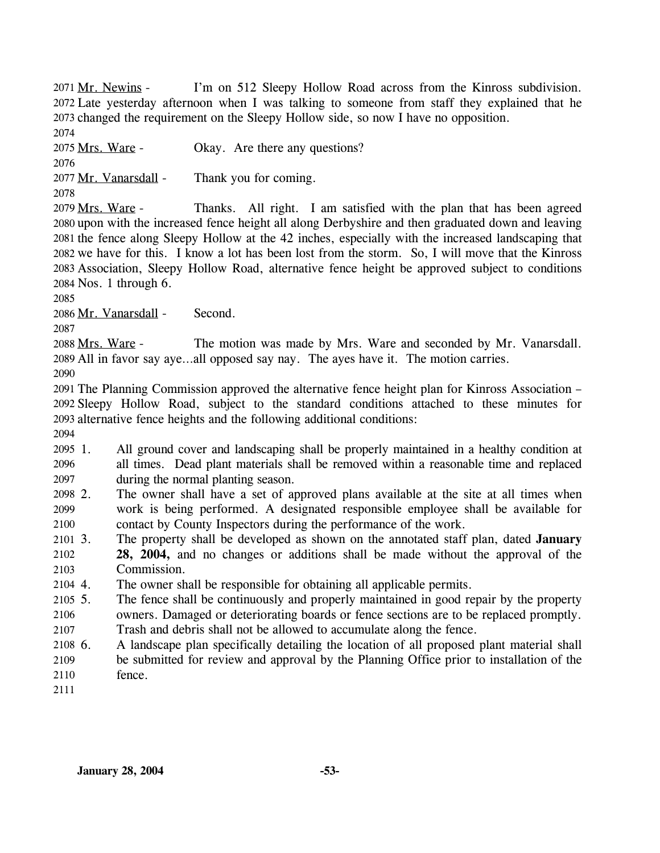I'm on 512 Sleepy Hollow Road across from the Kinross subdivision. 2072 Late yesterday afternoon when I was talking to someone from staff they explained that he 2073 changed the requirement on the Sleepy Hollow side, so now I have no opposition. 2071 Mr. Newins -

2074

2075 Mrs. Ware - Okay. Are there any questions?

2076

2077 Mr. Vanarsdall - Thank you for coming.

2078

Thanks. All right. I am satisfied with the plan that has been agreed 2080 upon with the increased fence height all along Derbyshire and then graduated down and leaving 2081 the fence along Sleepy Hollow at the 42 inches, especially with the increased landscaping that 2082 we have for this. I know a lot has been lost from the storm. So, I will move that the Kinross Association, Sleepy Hollow Road, alternative fence height be approved subject to conditions 2083 2084 Nos. 1 through 6. 2079 Mrs. Ware -

2085

2086 Mr. Vanarsdall - Second.

2087

The motion was made by Mrs. Ware and seconded by Mr. Vanarsdall. 2089 All in favor say aye...all opposed say nay. The ayes have it. The motion carries. 2088 Mrs. Ware -

2090

2091 The Planning Commission approved the alternative fence height plan for Kinross Association – 2092 Sleepy Hollow Road, subject to the standard conditions attached to these minutes for 2093 alternative fence heights and the following additional conditions:

2094

2095 2096 2097 1. All ground cover and landscaping shall be properly maintained in a healthy condition at all times. Dead plant materials shall be removed within a reasonable time and replaced during the normal planting season.

- 2098 2. 2099 2100 The owner shall have a set of approved plans available at the site at all times when work is being performed. A designated responsible employee shall be available for contact by County Inspectors during the performance of the work.
- 2101 3. 2102 2103 3. The property shall be developed as shown on the annotated staff plan, dated **January 28, 2004,** and no changes or additions shall be made without the approval of the Commission.

2104 4. The owner shall be responsible for obtaining all applicable permits.

2105 5. The fence shall be continuously and properly maintained in good repair by the property

2106 owners. Damaged or deteriorating boards or fence sections are to be replaced promptly.

- 2107 Trash and debris shall not be allowed to accumulate along the fence.
- 2108 6. 2109 2110 6. A landscape plan specifically detailing the location of all proposed plant material shall be submitted for review and approval by the Planning Office prior to installation of the fence.
- 2111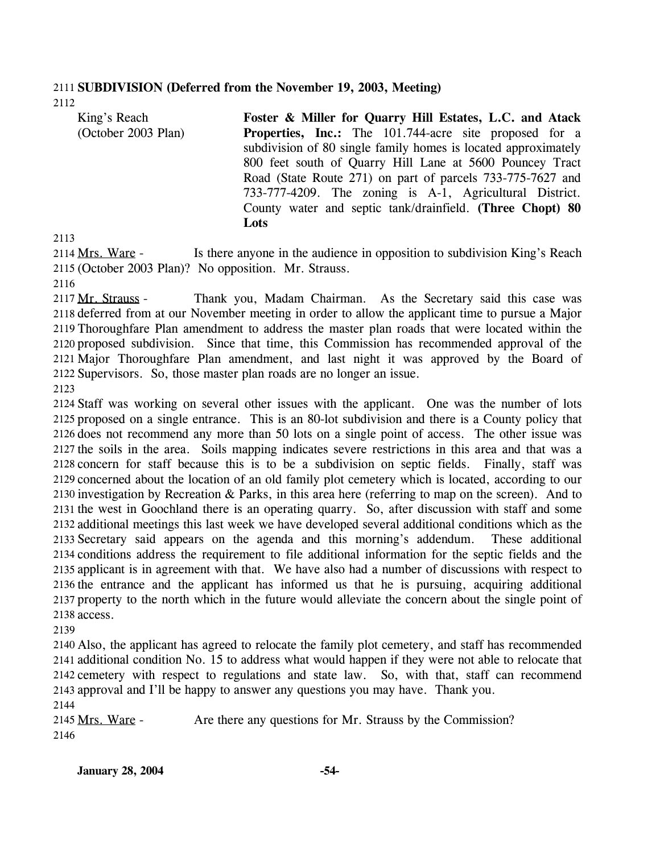## 2111 **SUBDIVISION (Deferred from the November 19, 2003, Meeting)**

2112

| King's Reach        | Foster & Miller for Quarry Hill Estates, L.C. and Atack        |
|---------------------|----------------------------------------------------------------|
| (October 2003 Plan) | <b>Properties, Inc.:</b> The 101.744-acre site proposed for a  |
|                     | subdivision of 80 single family homes is located approximately |
|                     | 800 feet south of Quarry Hill Lane at 5600 Pouncey Tract       |
|                     | Road (State Route 271) on part of parcels 733-775-7627 and     |
|                     | 733-777-4209. The zoning is A-1, Agricultural District.        |
|                     | County water and septic tank/drainfield. (Three Chopt) 80      |
|                     | Lots                                                           |
|                     |                                                                |

2113

Is there anyone in the audience in opposition to subdivision King's Reach (October 2003 Plan)? No opposition. Mr. Strauss. 2115 2114 Mrs. Ware -

2116

Thank you, Madam Chairman. As the Secretary said this case was 2118 deferred from at our November meeting in order to allow the applicant time to pursue a Major 2119 Thoroughfare Plan amendment to address the master plan roads that were located within the 2120 proposed subdivision. Since that time, this Commission has recommended approval of the 2121 Major Thoroughfare Plan amendment, and last night it was approved by the Board of 2122 Supervisors. So, those master plan roads are no longer an issue. 2117 Mr. Strauss -

2123

 Staff was working on several other issues with the applicant. One was the number of lots proposed on a single entrance. This is an 80-lot subdivision and there is a County policy that does not recommend any more than 50 lots on a single point of access. The other issue was the soils in the area. Soils mapping indicates severe restrictions in this area and that was a concern for staff because this is to be a subdivision on septic fields. Finally, staff was concerned about the location of an old family plot cemetery which is located, according to our investigation by Recreation & Parks, in this area here (referring to map on the screen). And to the west in Goochland there is an operating quarry. So, after discussion with staff and some additional meetings this last week we have developed several additional conditions which as the Secretary said appears on the agenda and this morning's addendum. These additional conditions address the requirement to file additional information for the septic fields and the applicant is in agreement with that. We have also had a number of discussions with respect to the entrance and the applicant has informed us that he is pursuing, acquiring additional property to the north which in the future would alleviate the concern about the single point of access.

2139

 Also, the applicant has agreed to relocate the family plot cemetery, and staff has recommended additional condition No. 15 to address what would happen if they were not able to relocate that cemetery with respect to regulations and state law. So, with that, staff can recommend approval and I'll be happy to answer any questions you may have. Thank you. 2144

2145 Mrs. Ware - Are there any questions for Mr. Strauss by the Commission? 2146

**January 28, 2004 -54-**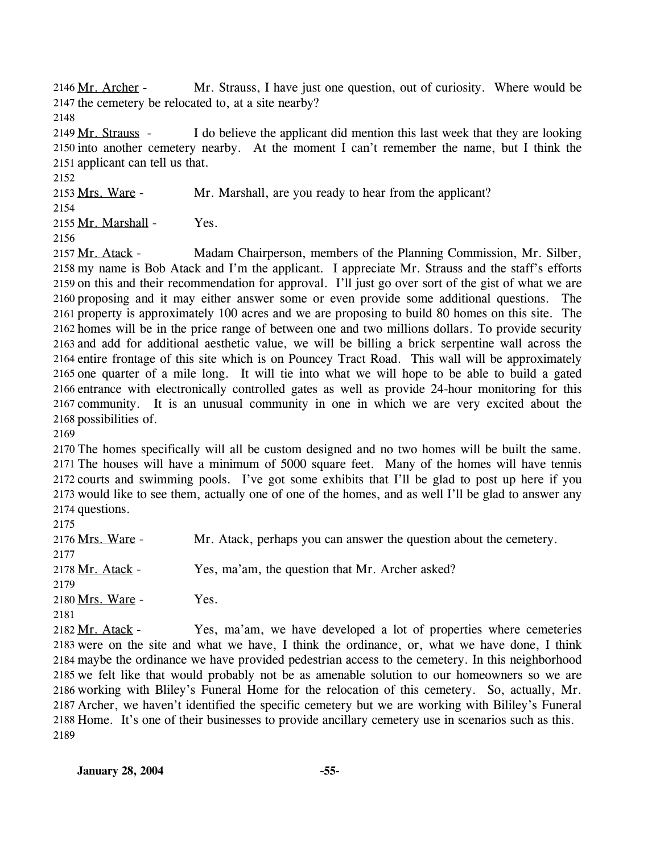Mr. Strauss, I have just one question, out of curiosity. Where would be 2147 the cemetery be relocated to, at a site nearby? 2146 Mr. Archer -

2148

I do believe the applicant did mention this last week that they are looking 2150 into another cemetery nearby. At the moment I can't remember the name, but I think the 2151 applicant can tell us that. 2149 Mr. Strauss -

2152

2153 Mrs. Ware - Mr. Marshall, are you ready to hear from the applicant? 2154

2155 Mr. Marshall - Yes.

2156

Madam Chairperson, members of the Planning Commission, Mr. Silber, 2158 my name is Bob Atack and I'm the applicant. I appreciate Mr. Strauss and the staff's efforts 2159 on this and their recommendation for approval. I'll just go over sort of the gist of what we are 2160 proposing and it may either answer some or even provide some additional questions. The 2161 property is approximately 100 acres and we are proposing to build 80 homes on this site. The 2162 homes will be in the price range of between one and two millions dollars. To provide security 2163 and add for additional aesthetic value, we will be billing a brick serpentine wall across the 2164 entire frontage of this site which is on Pouncey Tract Road. This wall will be approximately 2165 one quarter of a mile long. It will tie into what we will hope to be able to build a gated 2166 entrance with electronically controlled gates as well as provide 24-hour monitoring for this 2167 community. It is an unusual community in one in which we are very excited about the 2168 possibilities of. 2157 Mr. Atack -

2169

 The homes specifically will all be custom designed and no two homes will be built the same. The houses will have a minimum of 5000 square feet. Many of the homes will have tennis courts and swimming pools. I've got some exhibits that I'll be glad to post up here if you would like to see them, actually one of one of the homes, and as well I'll be glad to answer any questions.

2175

| _                       |                                                                                                                       |
|-------------------------|-----------------------------------------------------------------------------------------------------------------------|
| 2176 <u>Mrs. Ware</u> - | Mr. Atack, perhaps you can answer the question about the cemetery.                                                    |
| 2177                    |                                                                                                                       |
| 2178 Mr. Atack -        | Yes, ma'am, the question that Mr. Archer asked?                                                                       |
| 2179                    |                                                                                                                       |
| 2180 Mrs. Ware -        | Yes.                                                                                                                  |
| 2181                    |                                                                                                                       |
|                         | $\mathbf{1}$ , $\mathbf{1}$ , $\mathbf{1}$ , $\mathbf{1}$ , $\mathbf{1}$ , $\mathbf{1}$ , $\mathbf{1}$ , $\mathbf{1}$ |

Yes, ma'am, we have developed a lot of properties where cemeteries 2183 were on the site and what we have, I think the ordinance, or, what we have done, I think 2184 maybe the ordinance we have provided pedestrian access to the cemetery. In this neighborhood 2185 we felt like that would probably not be as amenable solution to our homeowners so we are 2186 working with Bliley's Funeral Home for the relocation of this cemetery. So, actually, Mr. 2187 Archer, we haven't identified the specific cemetery but we are working with Bililey's Funeral 2188 Home. It's one of their businesses to provide ancillary cemetery use in scenarios such as this. 2182 Mr. Atack -2189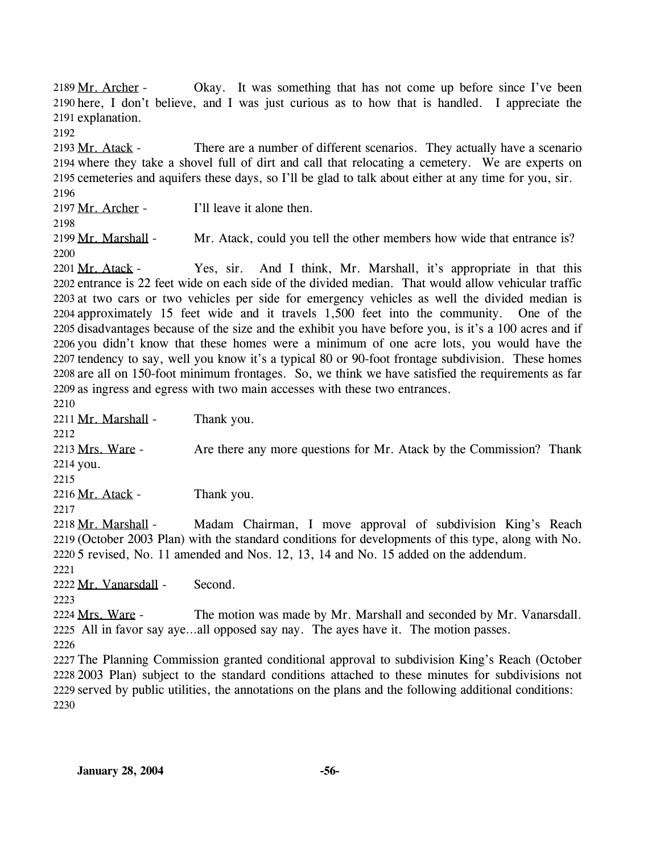Okay. It was something that has not come up before since I've been 2190 here, I don't believe, and I was just curious as to how that is handled. I appreciate the 2191 explanation. 2189 Mr. Archer -

2192

There are a number of different scenarios. They actually have a scenario 2194 where they take a shovel full of dirt and call that relocating a cemetery. We are experts on 2195 cemeteries and aquifers these days, so I'll be glad to talk about either at any time for you, sir. 2193 Mr. Atack -2196

2197 Mr. Archer - I'll leave it alone then.

2198

2199 Mr. Marshall - Mr. Atack, could you tell the other members how wide that entrance is? 2200

Yes, sir. And I think, Mr. Marshall, it's appropriate in that this 2202 entrance is 22 feet wide on each side of the divided median. That would allow vehicular traffic 2203 at two cars or two vehicles per side for emergency vehicles as well the divided median is 2204 approximately 15 feet wide and it travels 1,500 feet into the community. One of the 2205 disadvantages because of the size and the exhibit you have before you, is it's a 100 acres and if 2206 you didn't know that these homes were a minimum of one acre lots, you would have the 2207 tendency to say, well you know it's a typical 80 or 90-foot frontage subdivision. These homes 2208 are all on 150-foot minimum frontages. So, we think we have satisfied the requirements as far 2209 as ingress and egress with two main accesses with these two entrances. 2201 Mr. Atack -

2210

2211 Mr. Marshall - Thank you.

2212 Are there any more questions for Mr. Atack by the Commission? Thank 2214 you. 2213 Mrs. Ware -

2215

2216 Mr. Atack - Thank you.

2217

Madam Chairman, I move approval of subdivision King's Reach 2219 (October 2003 Plan) with the standard conditions for developments of this type, along with No. 2218 Mr. Marshall -

5 revised, No. 11 amended and Nos. 12, 13, 14 and No. 15 added on the addendum. 2220

2221 2223

2222 Mr. Vanarsdall - Second.

The motion was made by Mr. Marshall and seconded by Mr. Vanarsdall. All in favor say aye…all opposed say nay. The ayes have it. The motion passes. 2225 2224 Mrs. Ware -

2226

 The Planning Commission granted conditional approval to subdivision King's Reach (October 2003 Plan) subject to the standard conditions attached to these minutes for subdivisions not served by public utilities, the annotations on the plans and the following additional conditions: 2230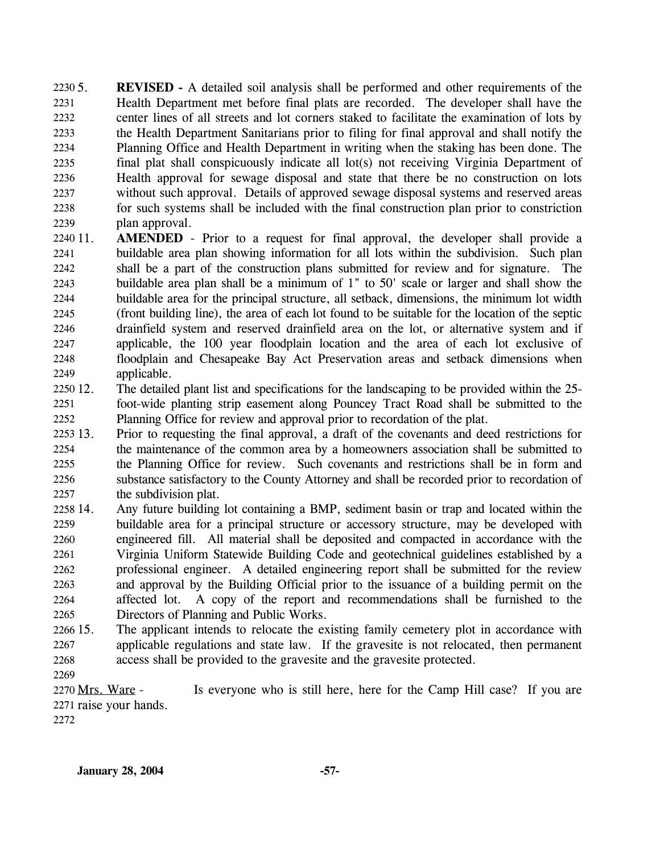**REVISED** - A detailed soil analysis shall be performed and other requirements of the Health Department met before final plats are recorded. The developer shall have the center lines of all streets and lot corners staked to facilitate the examination of lots by the Health Department Sanitarians prior to filing for final approval and shall notify the Planning Office and Health Department in writing when the staking has been done. The final plat shall conspicuously indicate all lot(s) not receiving Virginia Department of Health approval for sewage disposal and state that there be no construction on lots without such approval. Details of approved sewage disposal systems and reserved areas for such systems shall be included with the final construction plan prior to constriction plan approval. 2230 5. 2231 2232 2233 2234 2235 2236 2237 2238 2239

- 2240 11. 2241 2242 2243 2244 2245 2246 2247 2248 2249 **AMENDED** - Prior to a request for final approval, the developer shall provide a buildable area plan showing information for all lots within the subdivision. Such plan shall be a part of the construction plans submitted for review and for signature. The buildable area plan shall be a minimum of 1" to 50' scale or larger and shall show the buildable area for the principal structure, all setback, dimensions, the minimum lot width (front building line), the area of each lot found to be suitable for the location of the septic drainfield system and reserved drainfield area on the lot, or alternative system and if applicable, the 100 year floodplain location and the area of each lot exclusive of floodplain and Chesapeake Bay Act Preservation areas and setback dimensions when applicable.
- 2250 12. 2251 2252 12. The detailed plant list and specifications for the landscaping to be provided within the 25 foot-wide planting strip easement along Pouncey Tract Road shall be submitted to the Planning Office for review and approval prior to recordation of the plat.
- 2253 13. 2254 2255 2256 2257 13. Prior to requesting the final approval, a draft of the covenants and deed restrictions for the maintenance of the common area by a homeowners association shall be submitted to the Planning Office for review. Such covenants and restrictions shall be in form and substance satisfactory to the County Attorney and shall be recorded prior to recordation of the subdivision plat.
- 2258 14. 2259 2260 2261 2262 2263 2264 2265 14. Any future building lot containing a BMP, sediment basin or trap and located within the buildable area for a principal structure or accessory structure, may be developed with engineered fill. All material shall be deposited and compacted in accordance with the Virginia Uniform Statewide Building Code and geotechnical guidelines established by a professional engineer. A detailed engineering report shall be submitted for the review and approval by the Building Official prior to the issuance of a building permit on the affected lot. A copy of the report and recommendations shall be furnished to the Directors of Planning and Public Works.
- 2266 15. 2267 2268 The applicant intends to relocate the existing family cemetery plot in accordance with applicable regulations and state law. If the gravesite is not relocated, then permanent access shall be provided to the gravesite and the gravesite protected.
- 2269

Is everyone who is still here, here for the Camp Hill case? If you are 2271 raise your hands. 2270 Mrs. Ware -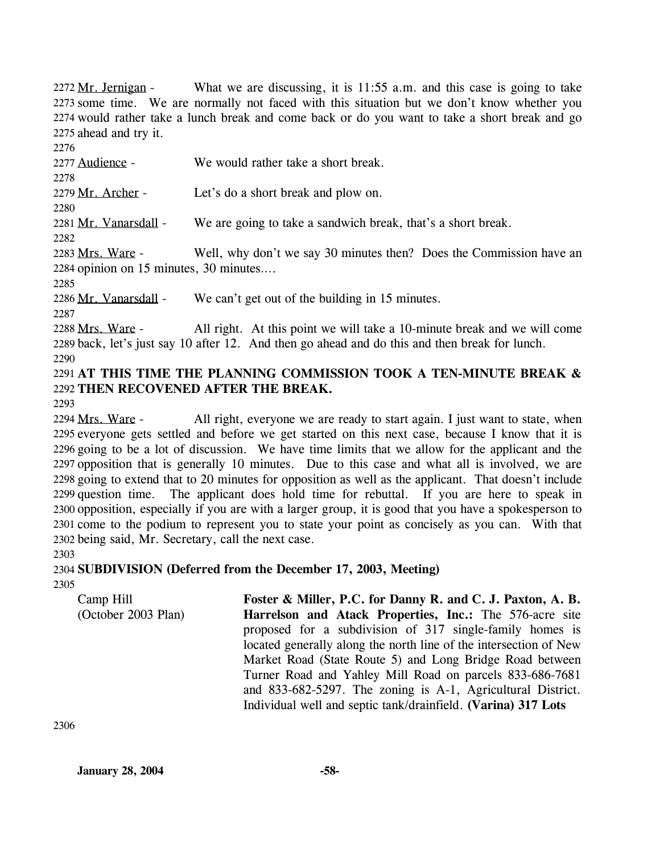What we are discussing, it is  $11:55$  a.m. and this case is going to take 2273 some time. We are normally not faced with this situation but we don't know whether you 2274 would rather take a lunch break and come back or do you want to take a short break and go 2275 ahead and try it. 2272 Mr. Jernigan -

2276 2277 Audience - We would rather take a short break. 2278 2279 Mr. Archer - Let's do a short break and plow on. 2280 2281 Mr. Vanarsdall - We are going to take a sandwich break, that's a short break. 2282 Well, why don't we say 30 minutes then? Does the Commission have an 2284 opinion on  $15$  minutes,  $30$  minutes... 2283 Mrs. Ware -2285 2286 Mr. Vanarsdall - We can't get out of the building in 15 minutes. 2287 All right. At this point we will take a 10-minute break and we will come 2289 back, let's just say 10 after 12. And then go ahead and do this and then break for lunch. 2288 Mrs. Ware -

2290

2291 **AT THIS TIME THE PLANNING COMMISSION TOOK A TEN-MINUTE BREAK &**  2292 **THEN RECOVENED AFTER THE BREAK.** 

2293

All right, everyone we are ready to start again. I just want to state, when 2295 everyone gets settled and before we get started on this next case, because I know that it is 2296 going to be a lot of discussion. We have time limits that we allow for the applicant and the 2297 opposition that is generally 10 minutes. Due to this case and what all is involved, we are 2298 going to extend that to 20 minutes for opposition as well as the applicant. That doesn't include 2299 question time. The applicant does hold time for rebuttal. If you are here to speak in 2300 opposition, especially if you are with a larger group, it is good that you have a spokesperson to 2301 come to the podium to represent you to state your point as concisely as you can. With that 2302 being said, Mr. Secretary, call the next case. 2294 Mrs. Ware -

## 2303

2304 **SUBDIVISION (Deferred from the December 17, 2003, Meeting)**  2305

Camp Hill (October 2003 Plan) **Foster & Miller, P.C. for Danny R. and C. J. Paxton, A. B. Harrelson and Atack Properties, Inc.:** The 576-acre site proposed for a subdivision of 317 single-family homes is located generally along the north line of the intersection of New Market Road (State Route 5) and Long Bridge Road between Turner Road and Yahley Mill Road on parcels 833-686-7681 and 833-682-5297. The zoning is A-1, Agricultural District. Individual well and septic tank/drainfield. **(Varina) 317 Lots**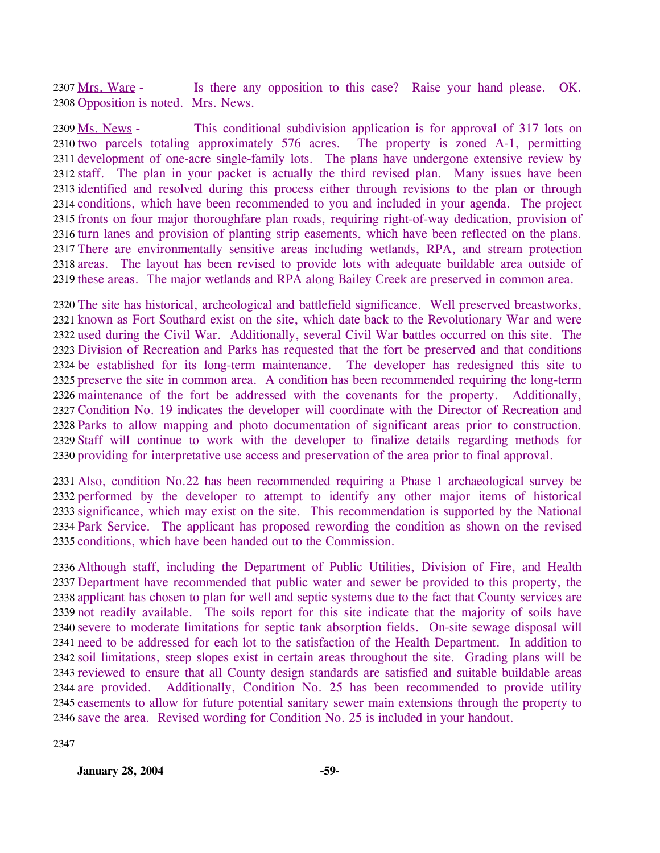Is there any opposition to this case? Raise your hand please. OK. 2308 Opposition is noted. Mrs. News. 2307 Mrs. Ware -

This conditional subdivision application is for approval of 317 lots on 2310 two parcels totaling approximately 576 acres. The property is zoned A-1, permitting 2311 development of one-acre single-family lots. The plans have undergone extensive review by 2312 staff. The plan in your packet is actually the third revised plan. Many issues have been 2313 identified and resolved during this process either through revisions to the plan or through 2314 conditions, which have been recommended to you and included in your agenda. The project 2315 fronts on four major thoroughfare plan roads, requiring right-of-way dedication, provision of 2316 turn lanes and provision of planting strip easements, which have been reflected on the plans. 2317 There are environmentally sensitive areas including wetlands, RPA, and stream protection 2318 areas. The layout has been revised to provide lots with adequate buildable area outside of 2319 these areas. The major wetlands and RPA along Bailey Creek are preserved in common area. 2309 Ms. News -

 The site has historical, archeological and battlefield significance. Well preserved breastworks, known as Fort Southard exist on the site, which date back to the Revolutionary War and were used during the Civil War. Additionally, several Civil War battles occurred on this site. The Division of Recreation and Parks has requested that the fort be preserved and that conditions be established for its long-term maintenance. The developer has redesigned this site to preserve the site in common area. A condition has been recommended requiring the long-term maintenance of the fort be addressed with the covenants for the property. Additionally, Condition No. 19 indicates the developer will coordinate with the Director of Recreation and Parks to allow mapping and photo documentation of significant areas prior to construction. Staff will continue to work with the developer to finalize details regarding methods for providing for interpretative use access and preservation of the area prior to final approval.

 Also, condition No.22 has been recommended requiring a Phase 1 archaeological survey be performed by the developer to attempt to identify any other major items of historical significance, which may exist on the site. This recommendation is supported by the National Park Service. The applicant has proposed rewording the condition as shown on the revised conditions, which have been handed out to the Commission.

 Although staff, including the Department of Public Utilities, Division of Fire, and Health Department have recommended that public water and sewer be provided to this property, the applicant has chosen to plan for well and septic systems due to the fact that County services are not readily available. The soils report for this site indicate that the majority of soils have severe to moderate limitations for septic tank absorption fields. On-site sewage disposal will need to be addressed for each lot to the satisfaction of the Health Department. In addition to soil limitations, steep slopes exist in certain areas throughout the site. Grading plans will be reviewed to ensure that all County design standards are satisfied and suitable buildable areas 2344 are provided. easements to allow for future potential sanitary sewer main extensions through the property to save the area. Revised wording for Condition No. 25 is included in your handout. Additionally, Condition No. 25 has been recommended to provide utility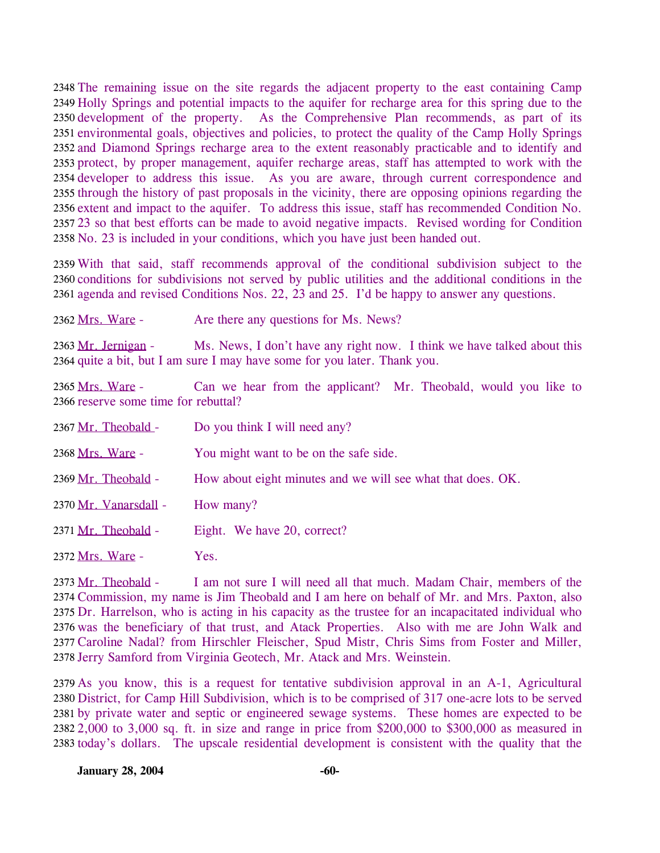2348 The remaining issue on the site regards the adjacent property to the east containing Camp 2349 Holly Springs and potential impacts to the aquifer for recharge area for this spring due to the 2350 development of the property. As the Comprehensive Plan recommends, as part of its 2351 environmental goals, objectives and policies, to protect the quality of the Camp Holly Springs 2352 and Diamond Springs recharge area to the extent reasonably practicable and to identify and 2353 protect, by proper management, aquifer recharge areas, staff has attempted to work with the 2354 developer to address this issue. As you are aware, through current correspondence and 2355 through the history of past proposals in the vicinity, there are opposing opinions regarding the 2356 extent and impact to the aquifer. To address this issue, staff has recommended Condition No. 2357 23 so that best efforts can be made to avoid negative impacts. Revised wording for Condition 2358 No. 23 is included in your conditions, which you have just been handed out.

2359 With that said, staff recommends approval of the conditional subdivision subject to the 2360 conditions for subdivisions not served by public utilities and the additional conditions in the 2361 agenda and revised Conditions Nos. 22, 23 and 25. I'd be happy to answer any questions.

2362 Mrs. Ware - Are there any questions for Ms. News?

Ms. News, I don't have any right now. I think we have talked about this 2364 quite a bit, but I am sure I may have some for you later. Thank you. 2363 Mr. Jernigan -

Can we hear from the applicant? Mr. Theobald, would you like to 2366 reserve some time for rebuttal? 2365 Mrs. Ware -

| 2367 Mr. Theobald -   | Do you think I will need any?                               |
|-----------------------|-------------------------------------------------------------|
| 2368 Mrs. Ware -      | You might want to be on the safe side.                      |
| 2369 Mr. Theobald -   | How about eight minutes and we will see what that does. OK. |
| 2370 Mr. Vanarsdall - | How many?                                                   |
| 2371 Mr. Theobald -   | Eight. We have 20, correct?                                 |
| 2372 Mrs. Ware -      | Yes.                                                        |

I am not sure I will need all that much. Madam Chair, members of the 2374 Commission, my name is Jim Theobald and I am here on behalf of Mr. and Mrs. Paxton, also 2375 Dr. Harrelson, who is acting in his capacity as the trustee for an incapacitated individual who 2376 was the beneficiary of that trust, and Atack Properties. Also with me are John Walk and 2377 Caroline Nadal? from Hirschler Fleischer, Spud Mistr, Chris Sims from Foster and Miller, 2378 Jerry Samford from Virginia Geotech, Mr. Atack and Mrs. Weinstein.  $2373$  Mr. Theobald -

 As you know, this is a request for tentative subdivision approval in an A-1, Agricultural District, for Camp Hill Subdivision, which is to be comprised of 317 one-acre lots to be served by private water and septic or engineered sewage systems. These homes are expected to be 2,000 to 3,000 sq. ft. in size and range in price from \$200,000 to \$300,000 as measured in today's dollars. The upscale residential development is consistent with the quality that the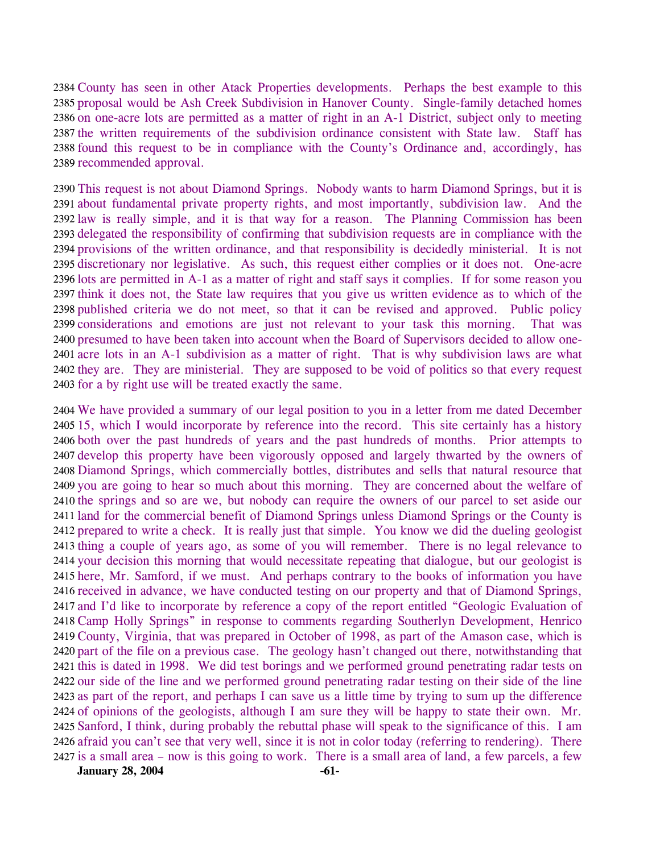2384 County has seen in other Atack Properties developments. Perhaps the best example to this 2385 proposal would be Ash Creek Subdivision in Hanover County. Single-family detached homes 2386 on one-acre lots are permitted as a matter of right in an A-1 District, subject only to meeting 2387 the written requirements of the subdivision ordinance consistent with State law. Staff has 2388 found this request to be in compliance with the County's Ordinance and, accordingly, has 2389 recommended approval.

 This request is not about Diamond Springs. Nobody wants to harm Diamond Springs, but it is about fundamental private property rights, and most importantly, subdivision law. And the law is really simple, and it is that way for a reason. The Planning Commission has been delegated the responsibility of confirming that subdivision requests are in compliance with the provisions of the written ordinance, and that responsibility is decidedly ministerial. It is not discretionary nor legislative. As such, this request either complies or it does not. One-acre lots are permitted in A-1 as a matter of right and staff says it complies. If for some reason you think it does not, the State law requires that you give us written evidence as to which of the published criteria we do not meet, so that it can be revised and approved. Public policy considerations and emotions are just not relevant to your task this morning. That was presumed to have been taken into account when the Board of Supervisors decided to allow one- acre lots in an A-1 subdivision as a matter of right. That is why subdivision laws are what they are. They are ministerial. They are supposed to be void of politics so that every request for a by right use will be treated exactly the same.

 We have provided a summary of our legal position to you in a letter from me dated December 15, which I would incorporate by reference into the record. This site certainly has a history both over the past hundreds of years and the past hundreds of months. Prior attempts to develop this property have been vigorously opposed and largely thwarted by the owners of Diamond Springs, which commercially bottles, distributes and sells that natural resource that you are going to hear so much about this morning. They are concerned about the welfare of the springs and so are we, but nobody can require the owners of our parcel to set aside our land for the commercial benefit of Diamond Springs unless Diamond Springs or the County is prepared to write a check. It is really just that simple. You know we did the dueling geologist thing a couple of years ago, as some of you will remember. There is no legal relevance to your decision this morning that would necessitate repeating that dialogue, but our geologist is here, Mr. Samford, if we must. And perhaps contrary to the books of information you have received in advance, we have conducted testing on our property and that of Diamond Springs, and I'd like to incorporate by reference a copy of the report entitled "Geologic Evaluation of Camp Holly Springs" in response to comments regarding Southerlyn Development, Henrico County, Virginia, that was prepared in October of 1998, as part of the Amason case, which is part of the file on a previous case. The geology hasn't changed out there, notwithstanding that this is dated in 1998. We did test borings and we performed ground penetrating radar tests on our side of the line and we performed ground penetrating radar testing on their side of the line as part of the report, and perhaps I can save us a little time by trying to sum up the difference of opinions of the geologists, although I am sure they will be happy to state their own. Mr. Sanford, I think, during probably the rebuttal phase will speak to the significance of this. I am afraid you can't see that very well, since it is not in color today (referring to rendering). There is a small area – now is this going to work. There is a small area of land, a few parcels, a few

**January 28, 2004** -61-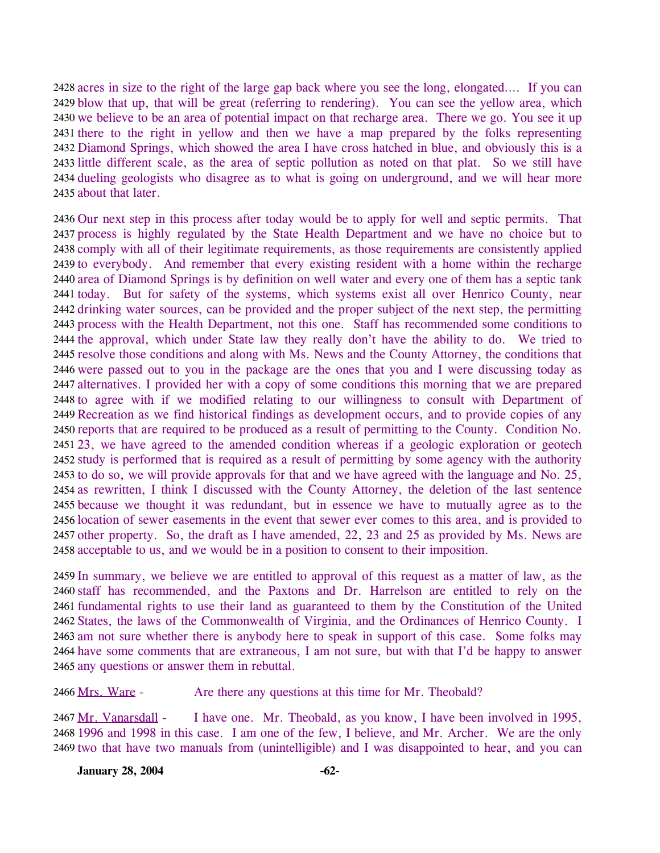2428 acres in size to the right of the large gap back where you see the long, elongated.... If you can 2429 blow that up, that will be great (referring to rendering). You can see the yellow area, which 2430 we believe to be an area of potential impact on that recharge area. There we go. You see it up 2431 there to the right in yellow and then we have a map prepared by the folks representing 2432 Diamond Springs, which showed the area I have cross hatched in blue, and obviously this is a 2433 little different scale, as the area of septic pollution as noted on that plat. So we still have 2434 dueling geologists who disagree as to what is going on underground, and we will hear more 2435 about that later.

 Our next step in this process after today would be to apply for well and septic permits. That process is highly regulated by the State Health Department and we have no choice but to comply with all of their legitimate requirements, as those requirements are consistently applied to everybody. And remember that every existing resident with a home within the recharge area of Diamond Springs is by definition on well water and every one of them has a septic tank today. But for safety of the systems, which systems exist all over Henrico County, near drinking water sources, can be provided and the proper subject of the next step, the permitting process with the Health Department, not this one. Staff has recommended some conditions to the approval, which under State law they really don't have the ability to do. We tried to resolve those conditions and along with Ms. News and the County Attorney, the conditions that were passed out to you in the package are the ones that you and I were discussing today as alternatives. I provided her with a copy of some conditions this morning that we are prepared to agree with if we modified relating to our willingness to consult with Department of Recreation as we find historical findings as development occurs, and to provide copies of any reports that are required to be produced as a result of permitting to the County. Condition No. 23, we have agreed to the amended condition whereas if a geologic exploration or geotech study is performed that is required as a result of permitting by some agency with the authority to do so, we will provide approvals for that and we have agreed with the language and No. 25, as rewritten, I think I discussed with the County Attorney, the deletion of the last sentence because we thought it was redundant, but in essence we have to mutually agree as to the location of sewer easements in the event that sewer ever comes to this area, and is provided to other property. So, the draft as I have amended, 22, 23 and 25 as provided by Ms. News are acceptable to us, and we would be in a position to consent to their imposition.

 In summary, we believe we are entitled to approval of this request as a matter of law, as the staff has recommended, and the Paxtons and Dr. Harrelson are entitled to rely on the fundamental rights to use their land as guaranteed to them by the Constitution of the United States, the laws of the Commonwealth of Virginia, and the Ordinances of Henrico County. I am not sure whether there is anybody here to speak in support of this case. Some folks may have some comments that are extraneous, I am not sure, but with that I'd be happy to answer any questions or answer them in rebuttal.

2466 Mrs. Ware - Are there any questions at this time for Mr. Theobald?

I have one. Mr. Theobald, as you know, I have been involved in 1995, 2468 1996 and 1998 in this case. I am one of the few, I believe, and Mr. Archer. We are the only 2469 two that have two manuals from (unintelligible) and I was disappointed to hear, and you can 2467 Mr. Vanarsdall -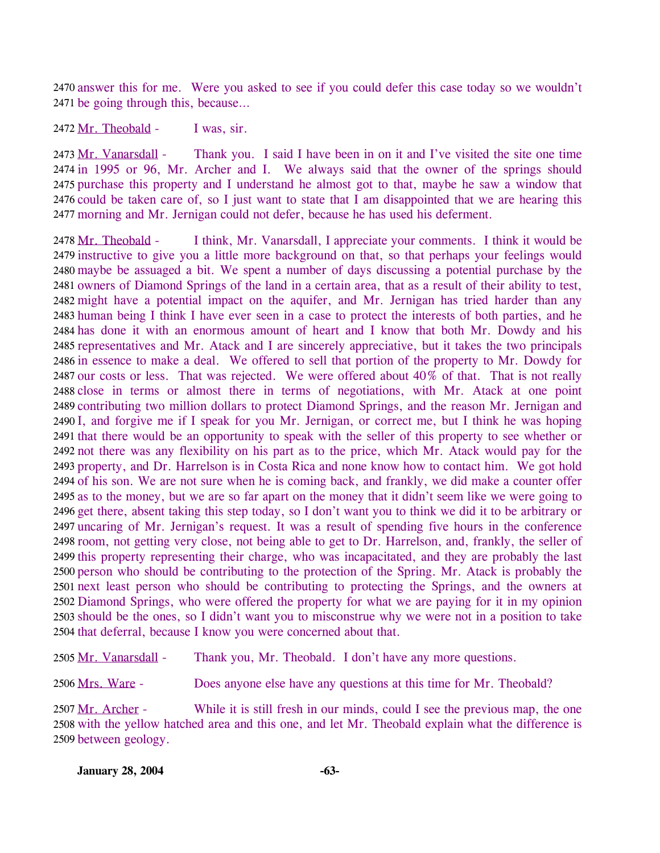2470 answer this for me. Were you asked to see if you could defer this case today so we wouldn't 2471 be going through this, because...

2472 Mr. Theobald - I was, sir.

Thank you. I said I have been in on it and I've visited the site one time 2474 in 1995 or 96, Mr. Archer and I. We always said that the owner of the springs should 2475 purchase this property and I understand he almost got to that, maybe he saw a window that 2476 could be taken care of, so I just want to state that I am disappointed that we are hearing this morning and Mr. Jernigan could not defer, because he has used his deferment. 2477 2473 Mr. Vanarsdall -

I think, Mr. Vanarsdall, I appreciate your comments. I think it would be 2479 instructive to give you a little more background on that, so that perhaps your feelings would maybe be assuaged a bit. We spent a number of days discussing a potential purchase by the 2480 2481 owners of Diamond Springs of the land in a certain area, that as a result of their ability to test, 2482 might have a potential impact on the aquifer, and Mr. Jernigan has tried harder than any 2483 human being I think I have ever seen in a case to protect the interests of both parties, and he 2484 has done it with an enormous amount of heart and I know that both Mr. Dowdy and his 2485 representatives and Mr. Atack and I are sincerely appreciative, but it takes the two principals 2486 in essence to make a deal. We offered to sell that portion of the property to Mr. Dowdy for 2487 our costs or less. That was rejected. We were offered about  $40\%$  of that. That is not really 2488 close in terms or almost there in terms of negotiations, with Mr. Atack at one point 2489 contributing two million dollars to protect Diamond Springs, and the reason Mr. Jernigan and 2490 I, and forgive me if I speak for you Mr. Jernigan, or correct me, but I think he was hoping 2491 that there would be an opportunity to speak with the seller of this property to see whether or 2492 not there was any flexibility on his part as to the price, which Mr. Atack would pay for the 2493 property, and Dr. Harrelson is in Costa Rica and none know how to contact him. We got hold 2494 of his son. We are not sure when he is coming back, and frankly, we did make a counter offer 2495 as to the money, but we are so far apart on the money that it didn't seem like we were going to 2496 get there, absent taking this step today, so I don't want you to think we did it to be arbitrary or 2497 uncaring of Mr. Jernigan's request. It was a result of spending five hours in the conference 2498 room, not getting very close, not being able to get to Dr. Harrelson, and, frankly, the seller of 2499 this property representing their charge, who was incapacitated, and they are probably the last 2500 person who should be contributing to the protection of the Spring. Mr. Atack is probably the 2501 next least person who should be contributing to protecting the Springs, and the owners at 2502 Diamond Springs, who were offered the property for what we are paying for it in my opinion 2503 should be the ones, so I didn't want you to misconstrue why we were not in a position to take 2504 that deferral, because I know you were concerned about that.  $2478$  Mr. Theobald -

2505 Mr. Vanarsdall - Thank you, Mr. Theobald. I don't have any more questions.

2506 Mrs. Ware - Does anyone else have any questions at this time for Mr. Theobald?

While it is still fresh in our minds, could I see the previous map, the one 2508 with the yellow hatched area and this one, and let Mr. Theobald explain what the difference is 2509 between geology. 2507 Mr. Archer -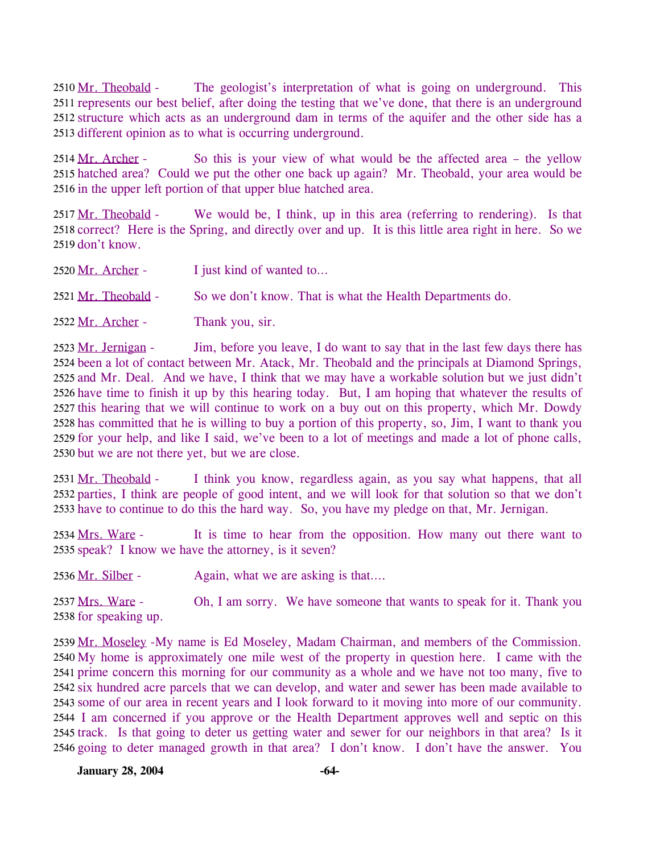The geologist's interpretation of what is going on underground. This 2511 represents our best belief, after doing the testing that we've done, that there is an underground 2512 structure which acts as an underground dam in terms of the aquifer and the other side has a 2513 different opinion as to what is occurring underground. 2510 Mr. Theobald -

So this is your view of what would be the affected area  $-$  the yellow 2515 hatched area? Could we put the other one back up again? Mr. Theobald, your area would be 2516 in the upper left portion of that upper blue hatched area. 2514 Mr. Archer -

We would be, I think, up in this area (referring to rendering). Is that 2518 correct? Here is the Spring, and directly over and up. It is this little area right in here. So we 2519 don't know. 2517 Mr. Theobald -

| 2520 Mr. Archer -   | I just kind of wanted to                                  |
|---------------------|-----------------------------------------------------------|
| 2521 Mr. Theobald - | So we don't know. That is what the Health Departments do. |
| 2522 Mr. Archer -   | Thank you, sir.                                           |

Jim, before you leave, I do want to say that in the last few days there has 2524 been a lot of contact between Mr. Atack, Mr. Theobald and the principals at Diamond Springs, 2525 and Mr. Deal. And we have, I think that we may have a workable solution but we just didn't 2526 have time to finish it up by this hearing today. But, I am hoping that whatever the results of 2527 this hearing that we will continue to work on a buy out on this property, which Mr. Dowdy 2528 has committed that he is willing to buy a portion of this property, so, Jim, I want to thank you 2529 for your help, and like I said, we've been to a lot of meetings and made a lot of phone calls, 2530 but we are not there yet, but we are close. 2523 Mr. Jernigan -

I think you know, regardless again, as you say what happens, that all 2532 parties, I think are people of good intent, and we will look for that solution so that we don't 2533 have to continue to do this the hard way. So, you have my pledge on that, Mr. Jernigan. 2531 Mr. Theobald -

It is time to hear from the opposition. How many out there want to 2535 speak? I know we have the attorney, is it seven? 2534 Mrs. Ware -

2536 Mr. Silber - Again, what we are asking is that....

Oh, I am sorry. We have someone that wants to speak for it. Thank you 2538 for speaking up. 2537 Mrs. Ware -

2539 Mr. Moseley - My name is Ed Moseley, Madam Chairman, and members of the Commission. 2540 My home is approximately one mile west of the property in question here. I came with the 2541 prime concern this morning for our community as a whole and we have not too many, five to 2542 six hundred acre parcels that we can develop, and water and sewer has been made available to 2543 some of our area in recent years and I look forward to it moving into more of our community. 2544 I am concerned if you approve or the Health Department approves well and septic on this 2545 track. Is that going to deter us getting water and sewer for our neighbors in that area? Is it 2546 going to deter managed growth in that area? I don't know. I don't have the answer. You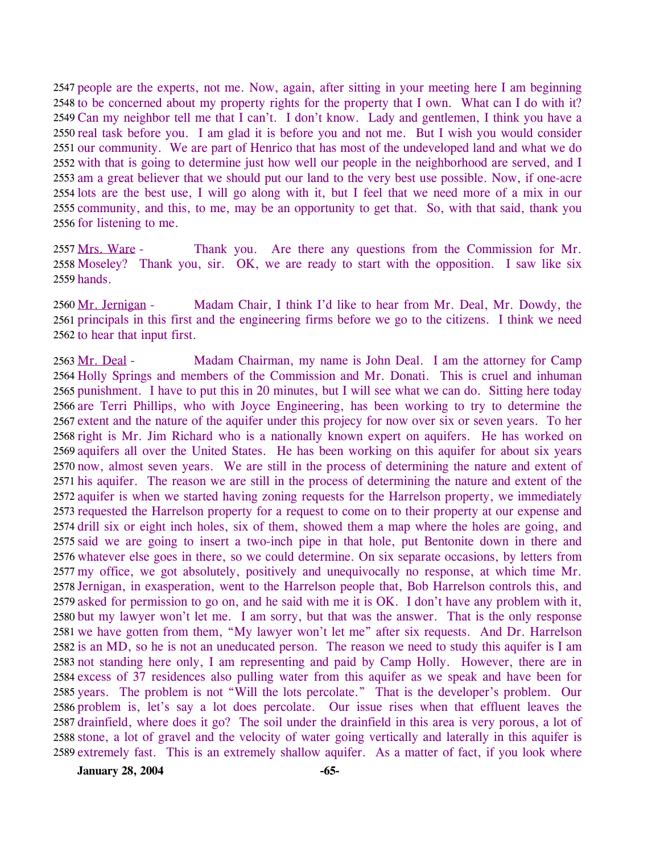2547 people are the experts, not me. Now, again, after sitting in your meeting here I am beginning 2548 to be concerned about my property rights for the property that I own. What can I do with it? 2549 Can my neighbor tell me that I can't. I don't know. Lady and gentlemen, I think you have a 2550 real task before you. I am glad it is before you and not me. But I wish you would consider 2551 our community. We are part of Henrico that has most of the undeveloped land and what we do 2552 with that is going to determine just how well our people in the neighborhood are served, and I 2553 am a great believer that we should put our land to the very best use possible. Now, if one-acre 2554 lots are the best use, I will go along with it, but I feel that we need more of a mix in our 2555 community, and this, to me, may be an opportunity to get that. So, with that said, thank you 2556 for listening to me.

Thank you. Are there any questions from the Commission for Mr. 2558 Moseley? Thank you, sir. OK, we are ready to start with the opposition. I saw like six 2559 hands. 2557 Mrs. Ware -

Madam Chair, I think I'd like to hear from Mr. Deal, Mr. Dowdy, the 2561 principals in this first and the engineering firms before we go to the citizens. I think we need 2562 to hear that input first. 2560 Mr. Jernigan -

Madam Chairman, my name is John Deal. I am the attorney for Camp 2564 Holly Springs and members of the Commission and Mr. Donati. This is cruel and inhuman 2565 punishment. I have to put this in 20 minutes, but I will see what we can do. Sitting here today 2566 are Terri Phillips, who with Joyce Engineering, has been working to try to determine the 2567 extent and the nature of the aquifer under this projecy for now over six or seven years. To her 2568 right is Mr. Jim Richard who is a nationally known expert on aquifers. He has worked on 2569 aquifers all over the United States. He has been working on this aquifer for about six years 2570 now, almost seven years. We are still in the process of determining the nature and extent of 2571 his aquifer. The reason we are still in the process of determining the nature and extent of the 2572 aquifer is when we started having zoning requests for the Harrelson property, we immediately 2573 requested the Harrelson property for a request to come on to their property at our expense and 2574 drill six or eight inch holes, six of them, showed them a map where the holes are going, and 2575 said we are going to insert a two-inch pipe in that hole, put Bentonite down in there and 2576 whatever else goes in there, so we could determine. On six separate occasions, by letters from 2577 my office, we got absolutely, positively and unequivocally no response, at which time Mr. 2578 Jernigan, in exasperation, went to the Harrelson people that, Bob Harrelson controls this, and 2579 asked for permission to go on, and he said with me it is OK. I don't have any problem with it, 2580 but my lawyer won't let me. I am sorry, but that was the answer. That is the only response 2581 we have gotten from them, "My lawyer won't let me" after six requests. And Dr. Harrelson 2582 is an MD, so he is not an uneducated person. The reason we need to study this aquifer is I am 2583 not standing here only, I am representing and paid by Camp Holly. However, there are in 2584 excess of 37 residences also pulling water from this aquifer as we speak and have been for 2585 years. The problem is not "Will the lots percolate." That is the developer's problem. Our 2586 problem is, let's say a lot does percolate. Our issue rises when that effluent leaves the 2587 drainfield, where does it go? The soil under the drainfield in this area is very porous, a lot of 2588 stone, a lot of gravel and the velocity of water going vertically and laterally in this aquifer is 2589 extremely fast. This is an extremely shallow aquifer. As a matter of fact, if you look where 2563 Mr. Deal -

**January 28, 2004 -65-**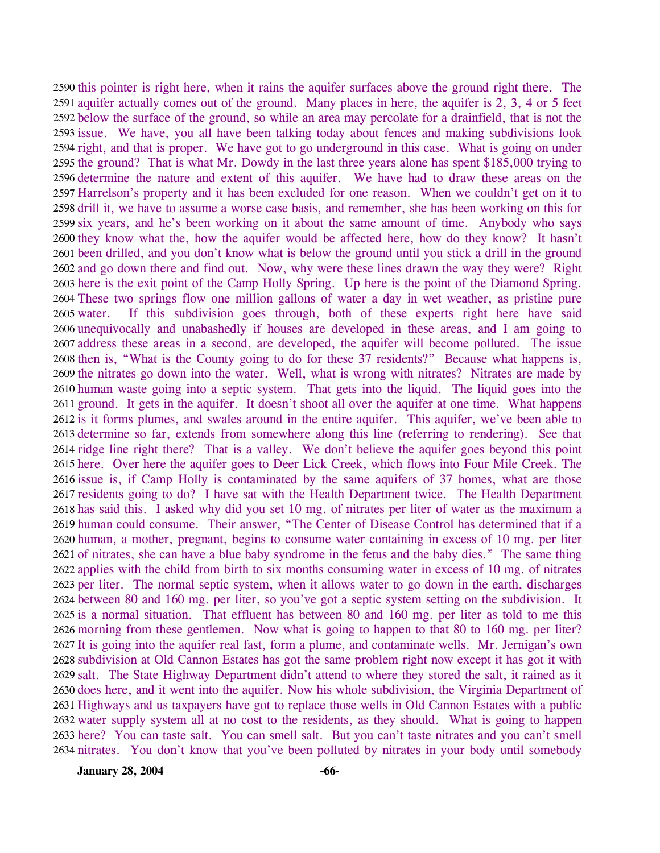2590 this pointer is right here, when it rains the aquifer surfaces above the ground right there. The 2591 aquifer actually comes out of the ground. Many places in here, the aquifer is 2, 3, 4 or 5 feet 2592 below the surface of the ground, so while an area may percolate for a drainfield, that is not the 2593 issue. We have, you all have been talking today about fences and making subdivisions look 2594 right, and that is proper. We have got to go underground in this case. What is going on under 2595 the ground? That is what Mr. Dowdy in the last three years alone has spent \$185,000 trying to 2596 determine the nature and extent of this aquifer. We have had to draw these areas on the 2597 Harrelson's property and it has been excluded for one reason. When we couldn't get on it to 2598 drill it, we have to assume a worse case basis, and remember, she has been working on this for 2599 six years, and he's been working on it about the same amount of time. Anybody who says 2600 they know what the, how the aquifer would be affected here, how do they know? It hasn't 2601 been drilled, and you don't know what is below the ground until you stick a drill in the ground 2602 and go down there and find out. Now, why were these lines drawn the way they were? Right 2603 here is the exit point of the Camp Holly Spring. Up here is the point of the Diamond Spring. 2604 These two springs flow one million gallons of water a day in wet weather, as pristine pure If this subdivision goes through, both of these experts right here have said 2606 unequivocally and unabashedly if houses are developed in these areas, and I am going to 2607 address these areas in a second, are developed, the aquifer will become polluted. The issue 2608 then is, "What is the County going to do for these 37 residents?" Because what happens is, 2609 the nitrates go down into the water. Well, what is wrong with nitrates? Nitrates are made by 2610 human waste going into a septic system. That gets into the liquid. The liquid goes into the 2611 ground. It gets in the aquifer. It doesn't shoot all over the aquifer at one time. What happens 2612 is it forms plumes, and swales around in the entire aquifer. This aquifer, we've been able to 2613 determine so far, extends from somewhere along this line (referring to rendering). See that 2614 ridge line right there? That is a valley. We don't believe the aquifer goes beyond this point 2615 here. Over here the aquifer goes to Deer Lick Creek, which flows into Four Mile Creek. The 2616 issue is, if Camp Holly is contaminated by the same aquifers of 37 homes, what are those 2617 residents going to do? I have sat with the Health Department twice. The Health Department 2618 has said this. I asked why did you set 10 mg. of nitrates per liter of water as the maximum a 2619 human could consume. Their answer, "The Center of Disease Control has determined that if a 2620 human, a mother, pregnant, begins to consume water containing in excess of 10 mg. per liter 2621 of nitrates, she can have a blue baby syndrome in the fetus and the baby dies." The same thing 2622 applies with the child from birth to six months consuming water in excess of 10 mg. of nitrates 2623 per liter. The normal septic system, when it allows water to go down in the earth, discharges 2624 between 80 and 160 mg. per liter, so you've got a septic system setting on the subdivision. It 2625 is a normal situation. That effluent has between 80 and 160 mg. per liter as told to me this 2626 morning from these gentlemen. Now what is going to happen to that 80 to 160 mg. per liter? 2627 It is going into the aquifer real fast, form a plume, and contaminate wells. Mr. Jernigan's own 2628 subdivision at Old Cannon Estates has got the same problem right now except it has got it with 2629 salt. The State Highway Department didn't attend to where they stored the salt, it rained as it 2630 does here, and it went into the aquifer. Now his whole subdivision, the Virginia Department of 2631 Highways and us taxpayers have got to replace those wells in Old Cannon Estates with a public 2632 water supply system all at no cost to the residents, as they should. What is going to happen 2633 here? You can taste salt. You can smell salt. But you can't taste nitrates and you can't smell 2634 nitrates. You don't know that you've been polluted by nitrates in your body until somebody 2605 water.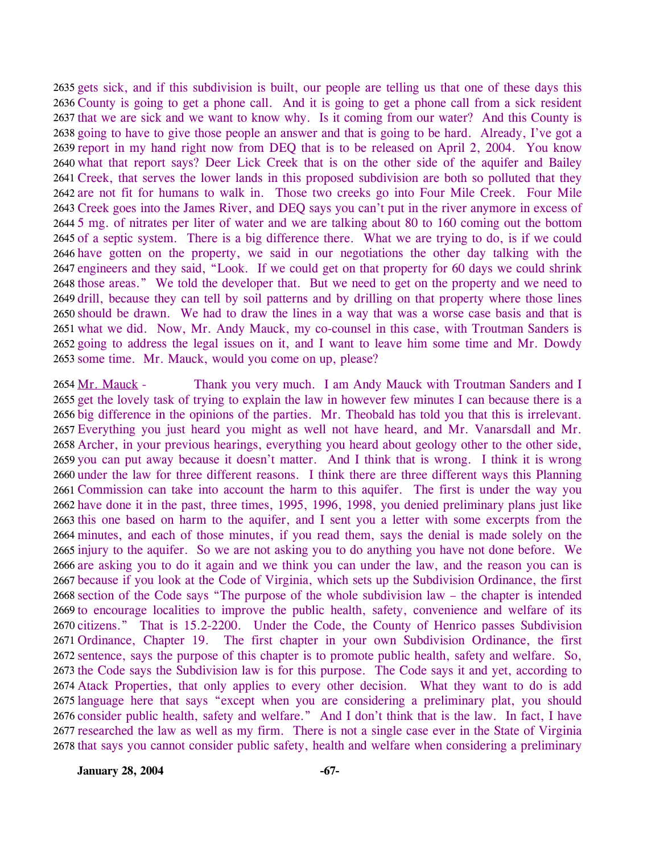2635 gets sick, and if this subdivision is built, our people are telling us that one of these days this 2636 County is going to get a phone call. And it is going to get a phone call from a sick resident 2637 that we are sick and we want to know why. Is it coming from our water? And this County is 2638 going to have to give those people an answer and that is going to be hard. Already, I've got a 2639 report in my hand right now from DEQ that is to be released on April 2, 2004. You know 2640 what that report says? Deer Lick Creek that is on the other side of the aquifer and Bailey 2641 Creek, that serves the lower lands in this proposed subdivision are both so polluted that they 2642 are not fit for humans to walk in. Those two creeks go into Four Mile Creek. Four Mile 2643 Creek goes into the James River, and DEQ says you can't put in the river anymore in excess of 2644 5 mg. of nitrates per liter of water and we are talking about 80 to 160 coming out the bottom 2645 of a septic system. There is a big difference there. What we are trying to do, is if we could 2646 have gotten on the property, we said in our negotiations the other day talking with the 2647 engineers and they said, "Look. If we could get on that property for 60 days we could shrink 2648 those areas." We told the developer that. But we need to get on the property and we need to 2649 drill, because they can tell by soil patterns and by drilling on that property where those lines 2650 should be drawn. We had to draw the lines in a way that was a worse case basis and that is 2651 what we did. Now, Mr. Andy Mauck, my co-counsel in this case, with Troutman Sanders is 2652 going to address the legal issues on it, and I want to leave him some time and Mr. Dowdy 2653 some time. Mr. Mauck, would you come on up, please?

Thank you very much. I am Andy Mauck with Troutman Sanders and I 2655 get the lovely task of trying to explain the law in however few minutes I can because there is a 2656 big difference in the opinions of the parties. Mr. Theobald has told you that this is irrelevant. 2657 Everything you just heard you might as well not have heard, and Mr. Vanarsdall and Mr. 2658 Archer, in your previous hearings, everything you heard about geology other to the other side, 2659 you can put away because it doesn't matter. And I think that is wrong. I think it is wrong 2660 under the law for three different reasons. I think there are three different ways this Planning 2661 Commission can take into account the harm to this aquifer. The first is under the way you 2662 have done it in the past, three times, 1995, 1996, 1998, you denied preliminary plans just like 2663 this one based on harm to the aquifer, and I sent you a letter with some excerpts from the 2664 minutes, and each of those minutes, if you read them, says the denial is made solely on the 2665 injury to the aquifer. So we are not asking you to do anything you have not done before. We 2666 are asking you to do it again and we think you can under the law, and the reason you can is 2667 because if you look at the Code of Virginia, which sets up the Subdivision Ordinance, the first 2668 section of the Code says "The purpose of the whole subdivision law – the chapter is intended 2669 to encourage localities to improve the public health, safety, convenience and welfare of its 2670 citizens." That is 15.2-2200. Under the Code, the County of Henrico passes Subdivision 2671 Ordinance, Chapter 19. The first chapter in your own Subdivision Ordinance, the first 2672 sentence, says the purpose of this chapter is to promote public health, safety and welfare. So, 2673 the Code says the Subdivision law is for this purpose. The Code says it and yet, according to 2674 Atack Properties, that only applies to every other decision. What they want to do is add 2675 language here that says "except when you are considering a preliminary plat, you should 2676 consider public health, safety and welfare." And I don't think that is the law. In fact, I have 2677 researched the law as well as my firm. There is not a single case ever in the State of Virginia 2678 that says you cannot consider public safety, health and welfare when considering a preliminary 2654 Mr. Mauck -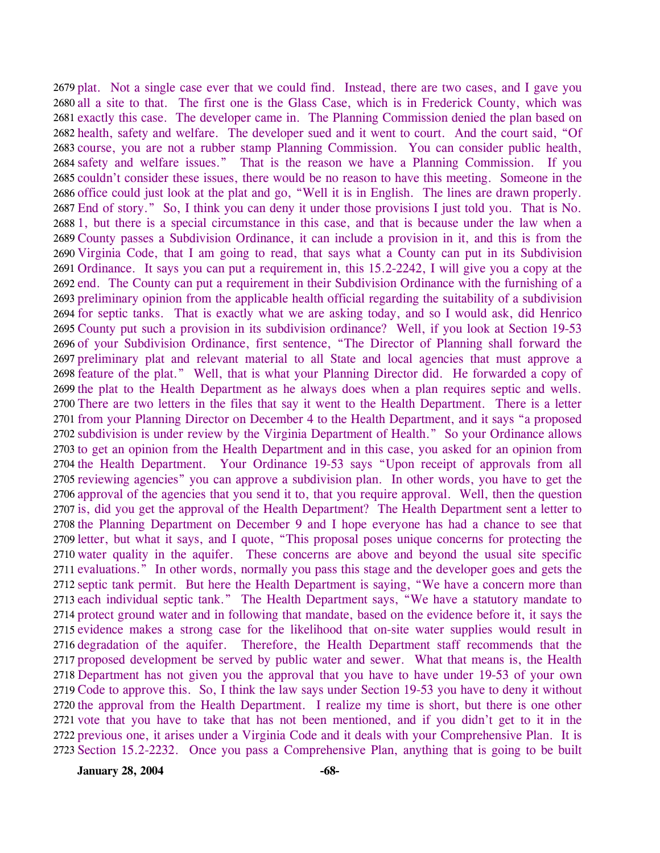2679 plat. Not a single case ever that we could find. Instead, there are two cases, and I gave you 2680 all a site to that. The first one is the Glass Case, which is in Frederick County, which was 2681 exactly this case. The developer came in. The Planning Commission denied the plan based on 2682 health, safety and welfare. The developer sued and it went to court. And the court said, "Of 2683 course, you are not a rubber stamp Planning Commission. You can consider public health, 2684 safety and welfare issues." That is the reason we have a Planning Commission. If you 2685 couldn't consider these issues, there would be no reason to have this meeting. Someone in the 2686 office could just look at the plat and go, "Well it is in English. The lines are drawn properly. 2687 End of story." So, I think you can deny it under those provisions I just told you. That is No. 2688 1, but there is a special circumstance in this case, and that is because under the law when a 2689 County passes a Subdivision Ordinance, it can include a provision in it, and this is from the 2690 Virginia Code, that I am going to read, that says what a County can put in its Subdivision 2691 Ordinance. It says you can put a requirement in, this 15.2-2242, I will give you a copy at the 2692 end. The County can put a requirement in their Subdivision Ordinance with the furnishing of a 2693 preliminary opinion from the applicable health official regarding the suitability of a subdivision 2694 for septic tanks. That is exactly what we are asking today, and so I would ask, did Henrico 2695 County put such a provision in its subdivision ordinance? Well, if you look at Section 19-53 2696 of your Subdivision Ordinance, first sentence, "The Director of Planning shall forward the 2697 preliminary plat and relevant material to all State and local agencies that must approve a 2698 feature of the plat." Well, that is what your Planning Director did. He forwarded a copy of 2699 the plat to the Health Department as he always does when a plan requires septic and wells. 2700 There are two letters in the files that say it went to the Health Department. There is a letter 2701 from your Planning Director on December 4 to the Health Department, and it says "a proposed 2702 subdivision is under review by the Virginia Department of Health." So your Ordinance allows 2703 to get an opinion from the Health Department and in this case, you asked for an opinion from 2704 the Health Department. Your Ordinance 19-53 says "Upon receipt of approvals from all 2705 reviewing agencies" you can approve a subdivision plan. In other words, you have to get the 2706 approval of the agencies that you send it to, that you require approval. Well, then the question 2707 is, did you get the approval of the Health Department? The Health Department sent a letter to 2708 the Planning Department on December 9 and I hope everyone has had a chance to see that 2709 letter, but what it says, and I quote, "This proposal poses unique concerns for protecting the 2710 water quality in the aquifer. These concerns are above and beyond the usual site specific 2711 evaluations." In other words, normally you pass this stage and the developer goes and gets the 2712 septic tank permit. But here the Health Department is saying, "We have a concern more than 2713 each individual septic tank." The Health Department says, "We have a statutory mandate to 2714 protect ground water and in following that mandate, based on the evidence before it, it says the 2715 evidence makes a strong case for the likelihood that on-site water supplies would result in 2716 degradation of the aquifer. Therefore, the Health Department staff recommends that the 2717 proposed development be served by public water and sewer. What that means is, the Health 2718 Department has not given you the approval that you have to have under 19-53 of your own 2719 Code to approve this. So, I think the law says under Section 19-53 you have to deny it without 2720 the approval from the Health Department. I realize my time is short, but there is one other 2721 vote that you have to take that has not been mentioned, and if you didn't get to it in the 2722 previous one, it arises under a Virginia Code and it deals with your Comprehensive Plan. It is 2723 Section 15.2-2232. Once you pass a Comprehensive Plan, anything that is going to be built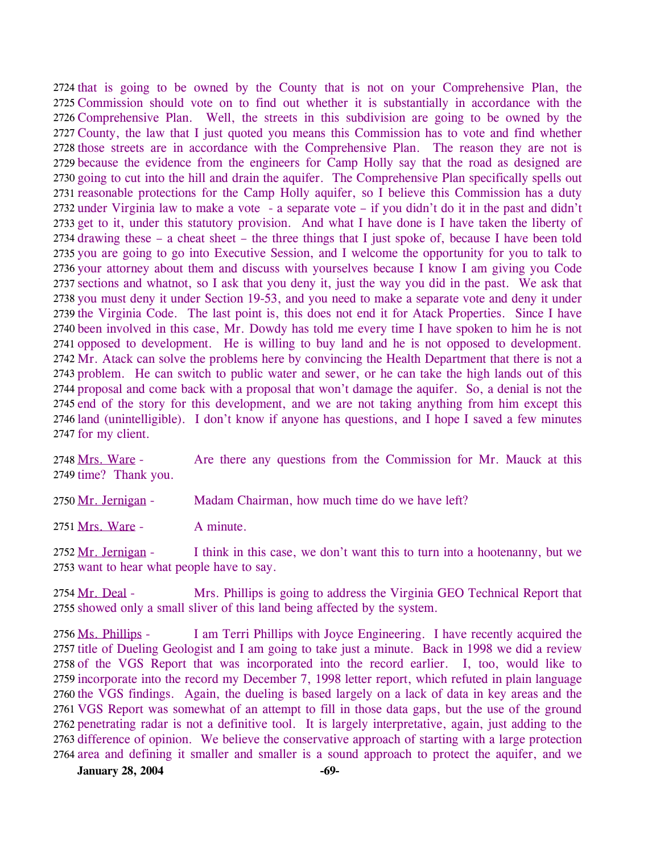2724 that is going to be owned by the County that is not on your Comprehensive Plan, the 2725 Commission should vote on to find out whether it is substantially in accordance with the 2726 Comprehensive Plan. Well, the streets in this subdivision are going to be owned by the 2727 County, the law that I just quoted you means this Commission has to vote and find whether 2728 those streets are in accordance with the Comprehensive Plan. The reason they are not is 2729 because the evidence from the engineers for Camp Holly say that the road as designed are 2730 going to cut into the hill and drain the aquifer. The Comprehensive Plan specifically spells out 2731 reasonable protections for the Camp Holly aquifer, so I believe this Commission has a duty 2732 under Virginia law to make a vote - a separate vote – if you didn't do it in the past and didn't 2733 get to it, under this statutory provision. And what I have done is I have taken the liberty of 2734 drawing these – a cheat sheet – the three things that I just spoke of, because I have been told 2735 you are going to go into Executive Session, and I welcome the opportunity for you to talk to 2736 your attorney about them and discuss with yourselves because I know I am giving you Code 2737 sections and whatnot, so I ask that you deny it, just the way you did in the past. We ask that 2738 you must deny it under Section 19-53, and you need to make a separate vote and deny it under 2739 the Virginia Code. The last point is, this does not end it for Atack Properties. Since I have 2740 been involved in this case, Mr. Dowdy has told me every time I have spoken to him he is not 2741 opposed to development. He is willing to buy land and he is not opposed to development. 2742 Mr. Atack can solve the problems here by convincing the Health Department that there is not a 2743 problem. He can switch to public water and sewer, or he can take the high lands out of this 2744 proposal and come back with a proposal that won't damage the aquifer. So, a denial is not the 2745 end of the story for this development, and we are not taking anything from him except this 2746 land (unintelligible). I don't know if anyone has questions, and I hope I saved a few minutes 2747 for my client.

Are there any questions from the Commission for Mr. Mauck at this 2749 time? Thank you. 2748 Mrs. Ware -

2750 Mr. Jernigan - Madam Chairman, how much time do we have left?

2751 Mrs. Ware - A minute.

I think in this case, we don't want this to turn into a hootenanny, but we 2753 want to hear what people have to say. 2752 Mr. Jernigan -

Mrs. Phillips is going to address the Virginia GEO Technical Report that 2755 showed only a small sliver of this land being affected by the system. 2754 Mr. Deal -

I am Terri Phillips with Joyce Engineering. I have recently acquired the 2757 title of Dueling Geologist and I am going to take just a minute. Back in 1998 we did a review 2758 of the VGS Report that was incorporated into the record earlier. I, too, would like to 2759 incorporate into the record my December 7, 1998 letter report, which refuted in plain language 2760 the VGS findings. Again, the dueling is based largely on a lack of data in key areas and the 2761 VGS Report was somewhat of an attempt to fill in those data gaps, but the use of the ground 2762 penetrating radar is not a definitive tool. It is largely interpretative, again, just adding to the 2763 difference of opinion. We believe the conservative approach of starting with a large protection 2764 area and defining it smaller and smaller is a sound approach to protect the aquifer, and we 2756 Ms. Phillips -

**January 28, 2004** -69-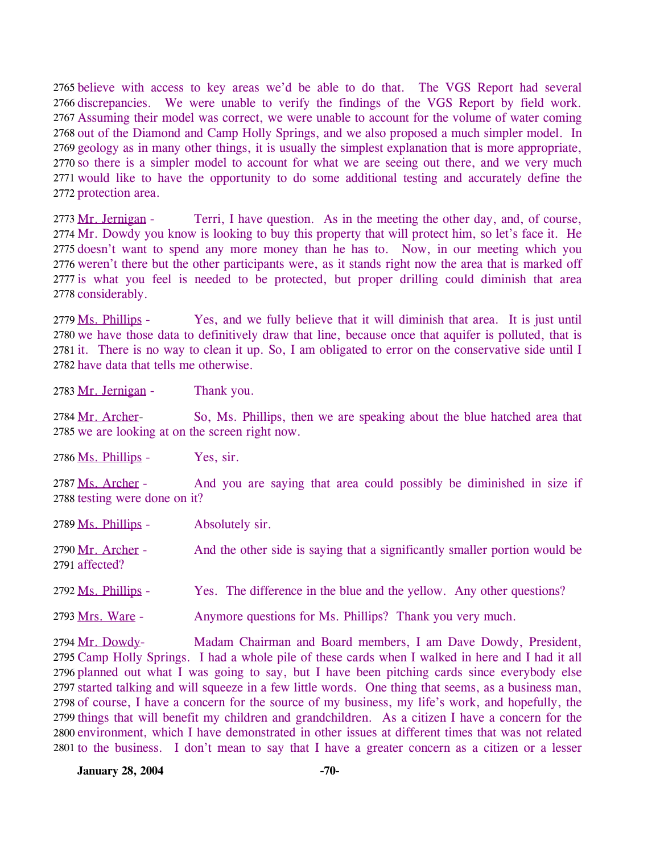2765 believe with access to key areas we'd be able to do that. The VGS Report had several 2766 discrepancies. We were unable to verify the findings of the VGS Report by field work. 2767 Assuming their model was correct, we were unable to account for the volume of water coming 2768 out of the Diamond and Camp Holly Springs, and we also proposed a much simpler model. In 2769 geology as in many other things, it is usually the simplest explanation that is more appropriate, 2770 so there is a simpler model to account for what we are seeing out there, and we very much 2771 would like to have the opportunity to do some additional testing and accurately define the 2772 protection area.

Terri, I have question. As in the meeting the other day, and, of course, 2774 Mr. Dowdy you know is looking to buy this property that will protect him, so let's face it. He 2775 doesn't want to spend any more money than he has to. Now, in our meeting which you 2776 weren't there but the other participants were, as it stands right now the area that is marked off 2777 is what you feel is needed to be protected, but proper drilling could diminish that area 2778 considerably. 2773 Mr. Jernigan -

Yes, and we fully believe that it will diminish that area. It is just until 2780 we have those data to definitively draw that line, because once that aquifer is polluted, that is 2781 it. There is no way to clean it up. So, I am obligated to error on the conservative side until I 2782 have data that tells me otherwise. 2779 Ms. Phillips -

2783 Mr. Jernigan - Thank you.

So, Ms. Phillips, then we are speaking about the blue hatched area that 2785 we are looking at on the screen right now. 2784 Mr. Archer-

2786 Ms. Phillips - Yes, sir.

And you are saying that area could possibly be diminished in size if 2788 testing were done on it? 2787 Ms. Archer -

2789 Ms. Phillips - Absolutely sir. And the other side is saying that a significantly smaller portion would be 2791 affected? 2790 Mr. Archer -

2792 Ms. Phillips - Yes. The difference in the blue and the yellow. Any other questions?

2793 Mrs. Ware - Anymore questions for Ms. Phillips? Thank you very much.

Madam Chairman and Board members, I am Dave Dowdy, President, 2795 Camp Holly Springs. I had a whole pile of these cards when I walked in here and I had it all 2796 planned out what I was going to say, but I have been pitching cards since everybody else 2797 started talking and will squeeze in a few little words. One thing that seems, as a business man, 2798 of course, I have a concern for the source of my business, my life's work, and hopefully, the 2799 things that will benefit my children and grandchildren. As a citizen I have a concern for the 2800 environment, which I have demonstrated in other issues at different times that was not related 2801 to the business. I don't mean to say that I have a greater concern as a citizen or a lesser 2794 Mr. Dowdy-

**January 28, 2004** -70-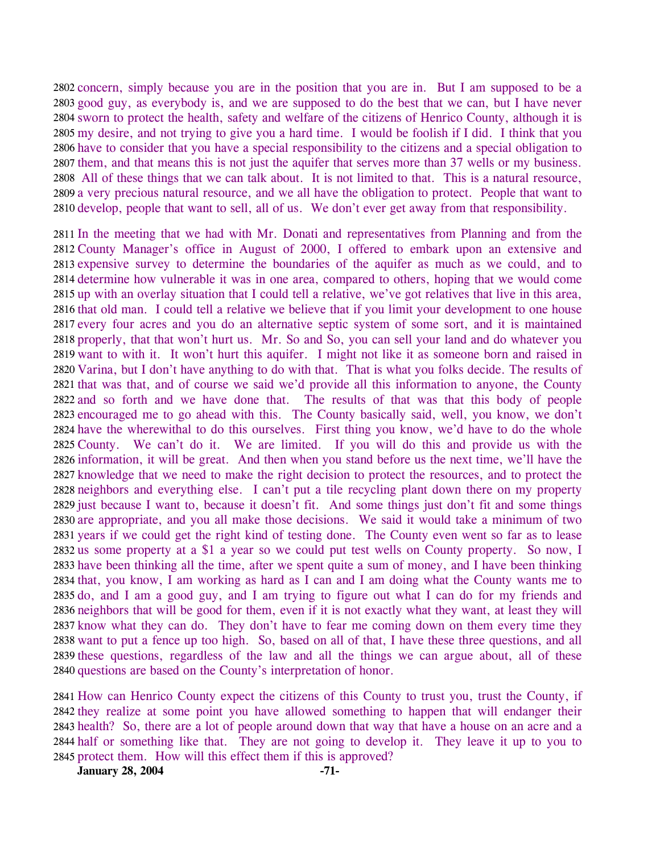2802 concern, simply because you are in the position that you are in. But I am supposed to be a 2803 good guy, as everybody is, and we are supposed to do the best that we can, but I have never 2804 sworn to protect the health, safety and welfare of the citizens of Henrico County, although it is 2805 my desire, and not trying to give you a hard time. I would be foolish if I did. I think that you 2806 have to consider that you have a special responsibility to the citizens and a special obligation to 2807 them, and that means this is not just the aquifer that serves more than 37 wells or my business. All of these things that we can talk about. It is not limited to that. This is a natural resource, 2809 a very precious natural resource, and we all have the obligation to protect. People that want to 2810 develop, people that want to sell, all of us. We don't ever get away from that responsibility.

 In the meeting that we had with Mr. Donati and representatives from Planning and from the County Manager's office in August of 2000, I offered to embark upon an extensive and expensive survey to determine the boundaries of the aquifer as much as we could, and to determine how vulnerable it was in one area, compared to others, hoping that we would come up with an overlay situation that I could tell a relative, we've got relatives that live in this area, that old man. I could tell a relative we believe that if you limit your development to one house every four acres and you do an alternative septic system of some sort, and it is maintained properly, that that won't hurt us. Mr. So and So, you can sell your land and do whatever you want to with it. It won't hurt this aquifer. I might not like it as someone born and raised in Varina, but I don't have anything to do with that. That is what you folks decide. The results of that was that, and of course we said we'd provide all this information to anyone, the County and so forth and we have done that. The results of that was that this body of people encouraged me to go ahead with this. The County basically said, well, you know, we don't have the wherewithal to do this ourselves. First thing you know, we'd have to do the whole County. We can't do it. We are limited. If you will do this and provide us with the information, it will be great. And then when you stand before us the next time, we'll have the knowledge that we need to make the right decision to protect the resources, and to protect the neighbors and everything else. I can't put a tile recycling plant down there on my property just because I want to, because it doesn't fit. And some things just don't fit and some things are appropriate, and you all make those decisions. We said it would take a minimum of two years if we could get the right kind of testing done. The County even went so far as to lease us some property at a \$1 a year so we could put test wells on County property. So now, I have been thinking all the time, after we spent quite a sum of money, and I have been thinking that, you know, I am working as hard as I can and I am doing what the County wants me to do, and I am a good guy, and I am trying to figure out what I can do for my friends and neighbors that will be good for them, even if it is not exactly what they want, at least they will know what they can do. They don't have to fear me coming down on them every time they want to put a fence up too high. So, based on all of that, I have these three questions, and all these questions, regardless of the law and all the things we can argue about, all of these questions are based on the County's interpretation of honor.

 How can Henrico County expect the citizens of this County to trust you, trust the County, if they realize at some point you have allowed something to happen that will endanger their health? So, there are a lot of people around down that way that have a house on an acre and a half or something like that. They are not going to develop it. They leave it up to you to protect them. How will this effect them if this is approved?

**January 28, 2004** -71-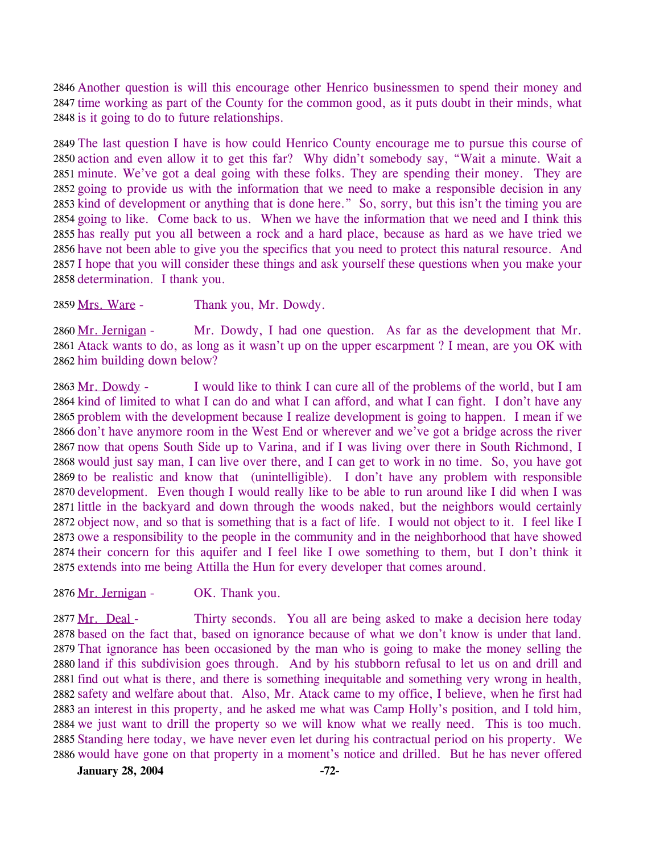2846 Another question is will this encourage other Henrico businessmen to spend their money and 2847 time working as part of the County for the common good, as it puts doubt in their minds, what 2848 is it going to do to future relationships.

 The last question I have is how could Henrico County encourage me to pursue this course of action and even allow it to get this far? Why didn't somebody say, "Wait a minute. Wait a minute. We've got a deal going with these folks. They are spending their money. They are going to provide us with the information that we need to make a responsible decision in any kind of development or anything that is done here." So, sorry, but this isn't the timing you are going to like. Come back to us. When we have the information that we need and I think this has really put you all between a rock and a hard place, because as hard as we have tried we have not been able to give you the specifics that you need to protect this natural resource. And I hope that you will consider these things and ask yourself these questions when you make your determination. I thank you.

2859 Mrs. Ware - Thank you, Mr. Dowdy.

Mr. Dowdy, I had one question. As far as the development that Mr. 2861 Atack wants to do, as long as it wasn't up on the upper escarpment ? I mean, are you OK with 2862 him building down below? 2860 Mr. Jernigan -

I would like to think I can cure all of the problems of the world, but I am 2864 kind of limited to what I can do and what I can afford, and what I can fight. I don't have any 2865 problem with the development because I realize development is going to happen. I mean if we 2866 don't have anymore room in the West End or wherever and we've got a bridge across the river 2867 now that opens South Side up to Varina, and if I was living over there in South Richmond, I 2868 would just say man, I can live over there, and I can get to work in no time. So, you have got 2869 to be realistic and know that (unintelligible). I don't have any problem with responsible 2870 development. Even though I would really like to be able to run around like I did when I was 2871 little in the backyard and down through the woods naked, but the neighbors would certainly 2872 object now, and so that is something that is a fact of life. I would not object to it. I feel like I 2873 owe a responsibility to the people in the community and in the neighborhood that have showed 2874 their concern for this aquifer and I feel like I owe something to them, but I don't think it 2875 extends into me being Attilla the Hun for every developer that comes around. 2863 Mr. Dowdy -

2876 Mr. Jernigan - OK. Thank you.

Thirty seconds. You all are being asked to make a decision here today 2878 based on the fact that, based on ignorance because of what we don't know is under that land. 2879 That ignorance has been occasioned by the man who is going to make the money selling the 2880 land if this subdivision goes through. And by his stubborn refusal to let us on and drill and 2881 find out what is there, and there is something inequitable and something very wrong in health, 2882 safety and welfare about that. Also, Mr. Atack came to my office, I believe, when he first had 2883 an interest in this property, and he asked me what was Camp Holly's position, and I told him, 2884 we just want to drill the property so we will know what we really need. This is too much. 2885 Standing here today, we have never even let during his contractual period on his property. We 2886 would have gone on that property in a moment's notice and drilled. But he has never offered 2877 Mr. Deal -

**January 28, 2004 -72-**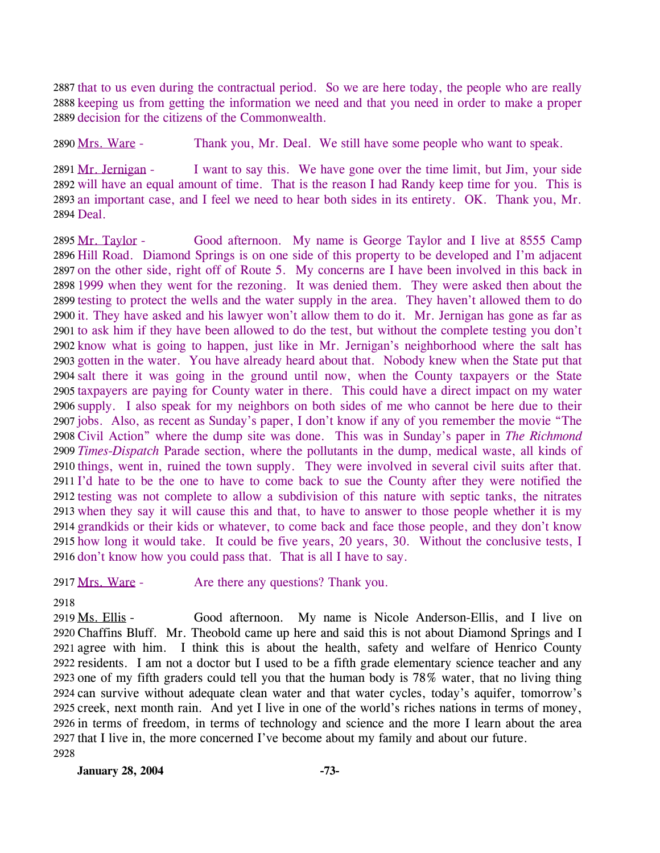2887 that to us even during the contractual period. So we are here today, the people who are really 2888 keeping us from getting the information we need and that you need in order to make a proper 2889 decision for the citizens of the Commonwealth.

2890 Mrs. Ware - Thank you, Mr. Deal. We still have some people who want to speak.

I want to say this. We have gone over the time limit, but Jim, your side 2892 will have an equal amount of time. That is the reason I had Randy keep time for you. This is 2893 an important case, and I feel we need to hear both sides in its entirety. OK. Thank you, Mr. 2894 Deal. 2891 Mr. Jernigan -

Good afternoon. My name is George Taylor and I live at 8555 Camp 2896 Hill Road. Diamond Springs is on one side of this property to be developed and I'm adjacent 2897 on the other side, right off of Route 5. My concerns are I have been involved in this back in 2898 1999 when they went for the rezoning. It was denied them. They were asked then about the 2899 testing to protect the wells and the water supply in the area. They haven't allowed them to do 2900 it. They have asked and his lawyer won't allow them to do it. Mr. Jernigan has gone as far as 2901 to ask him if they have been allowed to do the test, but without the complete testing you don't 2902 know what is going to happen, just like in Mr. Jernigan's neighborhood where the salt has 2903 gotten in the water. You have already heard about that. Nobody knew when the State put that 2904 salt there it was going in the ground until now, when the County taxpayers or the State 2905 taxpayers are paying for County water in there. This could have a direct impact on my water 2906 supply. I also speak for my neighbors on both sides of me who cannot be here due to their 2907 jobs. Also, as recent as Sunday's paper, I don't know if any of you remember the movie "The 2908 Civil Action" where the dump site was done. This was in Sunday's paper in *The Richmond* 2909 Times-Dispatch Parade section, where the pollutants in the dump, medical waste, all kinds of 2910 things, went in, ruined the town supply. They were involved in several civil suits after that. 2911 I'd hate to be the one to have to come back to sue the County after they were notified the 2912 testing was not complete to allow a subdivision of this nature with septic tanks, the nitrates 2913 when they say it will cause this and that, to have to answer to those people whether it is my 2914 grandkids or their kids or whatever, to come back and face those people, and they don't know 2915 how long it would take. It could be five years, 20 years, 30. Without the conclusive tests, I 2916 don't know how you could pass that. That is all I have to say. 2895 Mr. Taylor -

2917 Mrs. Ware - Are there any questions? Thank you.

2918

Good afternoon. My name is Nicole Anderson-Ellis, and I live on 2920 Chaffins Bluff. Mr. Theobold came up here and said this is not about Diamond Springs and I 2921 agree with him. I think this is about the health, safety and welfare of Henrico County 2922 residents. I am not a doctor but I used to be a fifth grade elementary science teacher and any 2923 one of my fifth graders could tell you that the human body is 78% water, that no living thing 2924 can survive without adequate clean water and that water cycles, today's aquifer, tomorrow's 2925 creek, next month rain. And yet I live in one of the world's riches nations in terms of money, 2926 in terms of freedom, in terms of technology and science and the more I learn about the area 2927 that I live in, the more concerned I've become about my family and about our future. 2919 Ms. Ellis -2928

**January 28, 2004 -73-**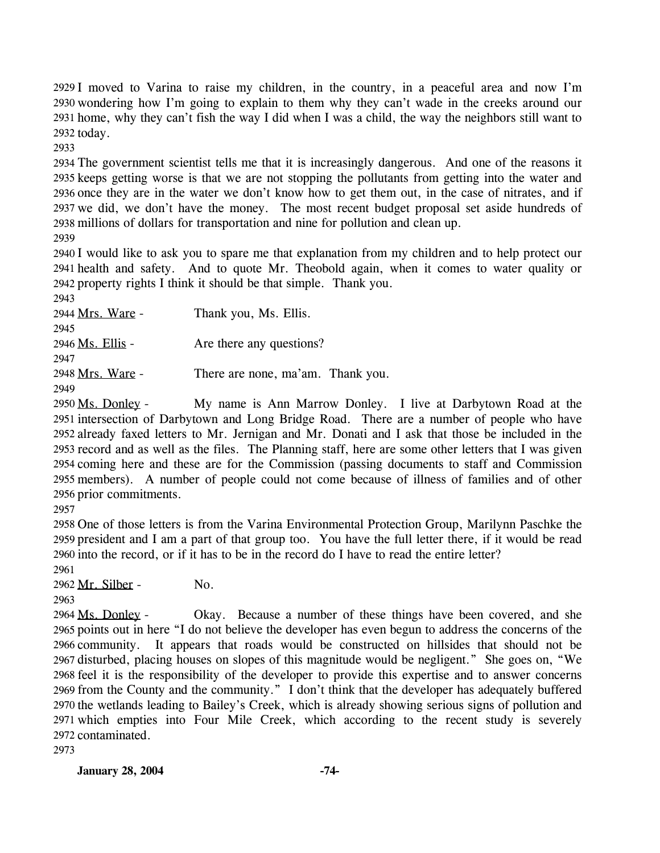2929 I moved to Varina to raise my children, in the country, in a peaceful area and now I'm 2930 wondering how I'm going to explain to them why they can't wade in the creeks around our 2931 home, why they can't fish the way I did when I was a child, the way the neighbors still want to 2932 today.

2933

 The government scientist tells me that it is increasingly dangerous. And one of the reasons it keeps getting worse is that we are not stopping the pollutants from getting into the water and once they are in the water we don't know how to get them out, in the case of nitrates, and if we did, we don't have the money. The most recent budget proposal set aside hundreds of millions of dollars for transportation and nine for pollution and clean up.

2939

2940 I would like to ask you to spare me that explanation from my children and to help protect our 2941 health and safety. And to quote Mr. Theobold again, when it comes to water quality or 2942 property rights I think it should be that simple. Thank you.

2943 2944 Mrs. Ware - Thank you, Ms. Ellis. 2945 2946 Ms. Ellis - Are there any questions? 2947 2948 Mrs. Ware - There are none, ma'am. Thank you. 2949

My name is Ann Marrow Donley. I live at Darbytown Road at the 2951 intersection of Darbytown and Long Bridge Road. There are a number of people who have 2952 already faxed letters to Mr. Jernigan and Mr. Donati and I ask that those be included in the 2953 record and as well as the files. The Planning staff, here are some other letters that I was given 2954 coming here and these are for the Commission (passing documents to staff and Commission 2955 members). A number of people could not come because of illness of families and of other 2956 prior commitments. 2950 Ms. Donley -

2957

2958 One of those letters is from the Varina Environmental Protection Group, Marilynn Paschke the 2959 president and I am a part of that group too. You have the full letter there, if it would be read 2960 into the record, or if it has to be in the record do I have to read the entire letter?

2961

2962 Mr. Silber - No.

2963

Okay. Because a number of these things have been covered, and she 2965 points out in here "I do not believe the developer has even begun to address the concerns of the 2966 community. It appears that roads would be constructed on hillsides that should not be 2967 disturbed, placing houses on slopes of this magnitude would be negligent." She goes on, "We 2968 feel it is the responsibility of the developer to provide this expertise and to answer concerns 2969 from the County and the community." I don't think that the developer has adequately buffered 2970 the wetlands leading to Bailey's Creek, which is already showing serious signs of pollution and 2971 which empties into Four Mile Creek, which according to the recent study is severely 2972 contaminated. 2964 Ms. Donley -

2973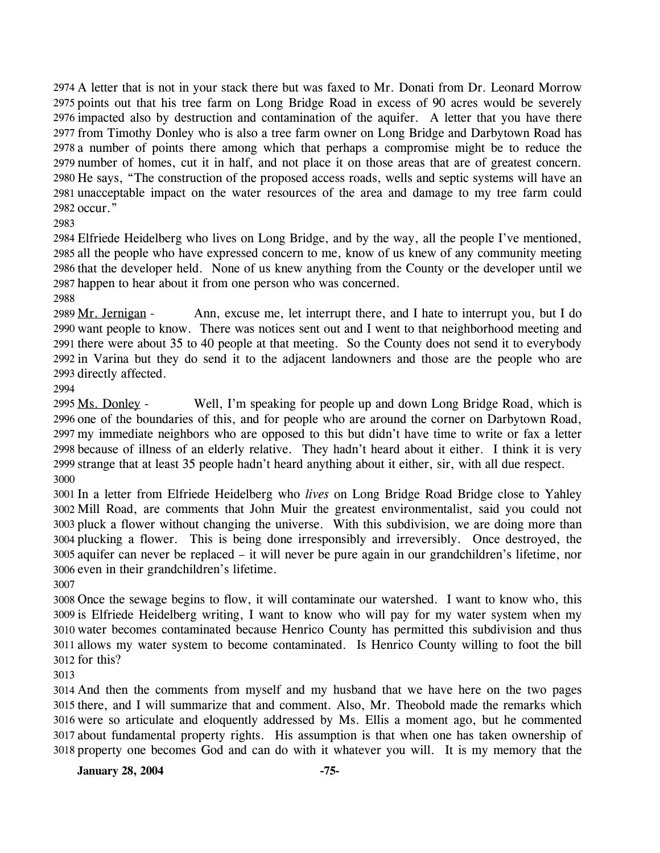2974 A letter that is not in your stack there but was faxed to Mr. Donati from Dr. Leonard Morrow 2975 points out that his tree farm on Long Bridge Road in excess of 90 acres would be severely 2976 impacted also by destruction and contamination of the aquifer. A letter that you have there 2977 from Timothy Donley who is also a tree farm owner on Long Bridge and Darbytown Road has 2978 a number of points there among which that perhaps a compromise might be to reduce the 2979 number of homes, cut it in half, and not place it on those areas that are of greatest concern. 2980 He says, "The construction of the proposed access roads, wells and septic systems will have an unacceptable impact on the water resources of the area and damage to my tree farm could 2981 2982 occur."

2983

 Elfriede Heidelberg who lives on Long Bridge, and by the way, all the people I've mentioned, all the people who have expressed concern to me, know of us knew of any community meeting that the developer held. None of us knew anything from the County or the developer until we happen to hear about it from one person who was concerned.

2988

Ann, excuse me, let interrupt there, and I hate to interrupt you, but I do 2990 want people to know. There was notices sent out and I went to that neighborhood meeting and 2991 there were about 35 to 40 people at that meeting. So the County does not send it to everybody 2992 in Varina but they do send it to the adjacent landowners and those are the people who are 2993 directly affected. 2989 Mr. Jernigan -

2994

Well, I'm speaking for people up and down Long Bridge Road, which is 2996 one of the boundaries of this, and for people who are around the corner on Darbytown Road, 2997 my immediate neighbors who are opposed to this but didn't have time to write or fax a letter 2998 because of illness of an elderly relative. They hadn't heard about it either. I think it is very 2999 strange that at least 35 people hadn't heard anything about it either, sir, with all due respect. 2995 Ms. Donley -3000

 In a letter from Elfriede Heidelberg who *lives* on Long Bridge Road Bridge close to Yahley Mill Road, are comments that John Muir the greatest environmentalist, said you could not pluck a flower without changing the universe. With this subdivision, we are doing more than plucking a flower. This is being done irresponsibly and irreversibly. Once destroyed, the aquifer can never be replaced – it will never be pure again in our grandchildren's lifetime, nor even in their grandchildren's lifetime.

3007

 Once the sewage begins to flow, it will contaminate our watershed. I want to know who, this is Elfriede Heidelberg writing, I want to know who will pay for my water system when my water becomes contaminated because Henrico County has permitted this subdivision and thus allows my water system to become contaminated. Is Henrico County willing to foot the bill for this?

3013

 And then the comments from myself and my husband that we have here on the two pages there, and I will summarize that and comment. Also, Mr. Theobold made the remarks which were so articulate and eloquently addressed by Ms. Ellis a moment ago, but he commented about fundamental property rights. His assumption is that when one has taken ownership of property one becomes God and can do with it whatever you will. It is my memory that the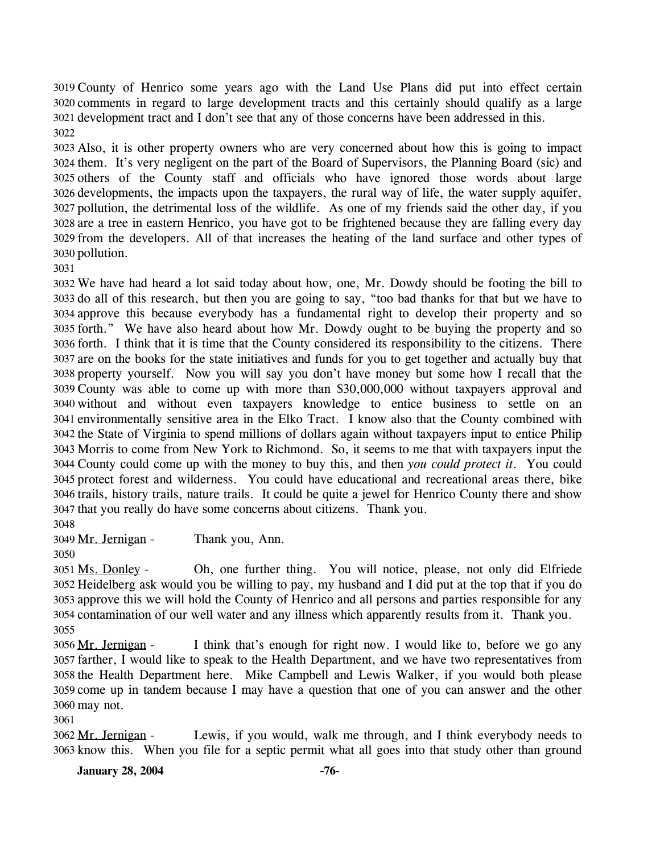3019 County of Henrico some years ago with the Land Use Plans did put into effect certain 3020 comments in regard to large development tracts and this certainly should qualify as a large 3021 development tract and I don't see that any of those concerns have been addressed in this. 

 Also, it is other property owners who are very concerned about how this is going to impact them. It's very negligent on the part of the Board of Supervisors, the Planning Board (sic) and others of the County staff and officials who have ignored those words about large developments, the impacts upon the taxpayers, the rural way of life, the water supply aquifer, pollution, the detrimental loss of the wildlife. As one of my friends said the other day, if you are a tree in eastern Henrico, you have got to be frightened because they are falling every day from the developers. All of that increases the heating of the land surface and other types of pollution.

 We have had heard a lot said today about how, one, Mr. Dowdy should be footing the bill to do all of this research, but then you are going to say, "too bad thanks for that but we have to approve this because everybody has a fundamental right to develop their property and so forth." We have also heard about how Mr. Dowdy ought to be buying the property and so forth. I think that it is time that the County considered its responsibility to the citizens. There are on the books for the state initiatives and funds for you to get together and actually buy that property yourself. Now you will say you don't have money but some how I recall that the County was able to come up with more than \$30,000,000 without taxpayers approval and without and without even taxpayers knowledge to entice business to settle on an environmentally sensitive area in the Elko Tract. I know also that the County combined with the State of Virginia to spend millions of dollars again without taxpayers input to entice Philip Morris to come from New York to Richmond. So, it seems to me that with taxpayers input the County could come up with the money to buy this, and then *you could protect it*. You could protect forest and wilderness. You could have educational and recreational areas there, bike trails, history trails, nature trails. It could be quite a jewel for Henrico County there and show that you really do have some concerns about citizens. Thank you.

3049 Mr. Jernigan - Thank you, Ann.

Oh, one further thing. You will notice, please, not only did Elfriede 3052 Heidelberg ask would you be willing to pay, my husband and I did put at the top that if you do 3053 approve this we will hold the County of Henrico and all persons and parties responsible for any 3054 contamination of our well water and any illness which apparently results from it. Thank you. 3051 Ms. Donley -

I think that's enough for right now. I would like to, before we go any 3057 farther, I would like to speak to the Health Department, and we have two representatives from 3058 the Health Department here. Mike Campbell and Lewis Walker, if you would both please 3059 come up in tandem because I may have a question that one of you can answer and the other 3060 may not. 3056 Mr. Jernigan -

Lewis, if you would, walk me through, and I think everybody needs to 3063 know this. When you file for a septic permit what all goes into that study other than ground 3062 Mr. Jernigan -

**January 28, 2004** -76-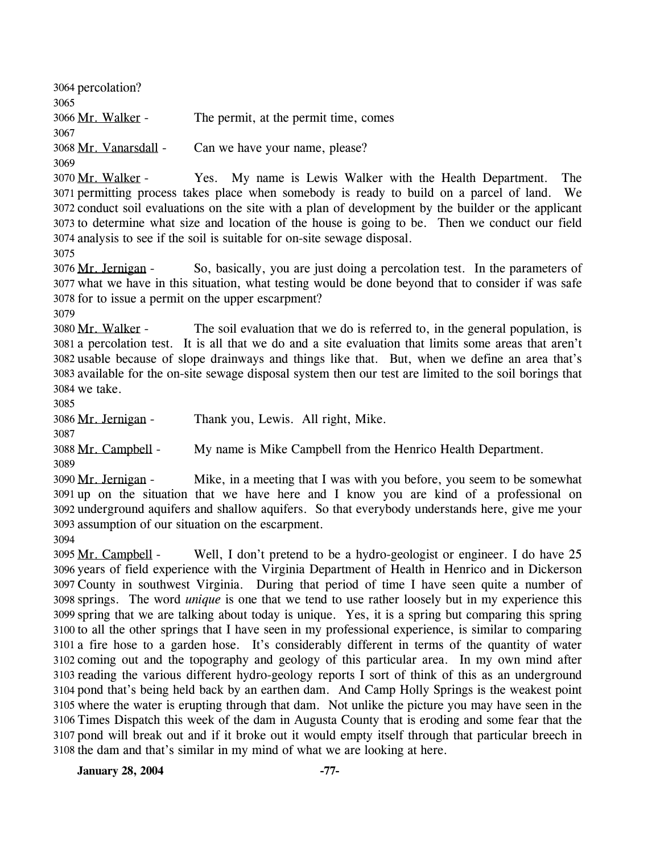3064 percolation? 3065 3066 Mr. Walker - The permit, at the permit time, comes 3067 3068 Mr. Vanarsdall - Can we have your name, please? 3069 Yes. My name is Lewis Walker with the Health Department. The permitting process takes place when somebody is ready to build on a parcel of land. We 3071 3072 conduct soil evaluations on the site with a plan of development by the builder or the applicant 3073 to determine what size and location of the house is going to be. Then we conduct our field analysis to see if the soil is suitable for on-site sewage disposal. 3074 3070 Mr. Walker -

3075

So, basically, you are just doing a percolation test. In the parameters of 3077 what we have in this situation, what testing would be done beyond that to consider if was safe 3078 for to issue a permit on the upper escarpment? 3076 Mr. Jernigan -

3079

The soil evaluation that we do is referred to, in the general population, is a percolation test. It is all that we do and a site evaluation that limits some areas that aren't 3081 3082 usable because of slope drainways and things like that. But, when we define an area that's 3083 available for the on-site sewage disposal system then our test are limited to the soil borings that 3084 we take. 3080 Mr. Walker -

3085

3086 Mr. Jernigan - Thank you, Lewis. All right, Mike.

3087 3088 Mr. Campbell - My name is Mike Campbell from the Henrico Health Department.

3089

Mike, in a meeting that I was with you before, you seem to be somewhat 3091 up on the situation that we have here and I know you are kind of a professional on 3092 underground aquifers and shallow aquifers. So that everybody understands here, give me your 3093 assumption of our situation on the escarpment. 3090 Mr. Jernigan -

3094

Well, I don't pretend to be a hydro-geologist or engineer. I do have 25 3096 years of field experience with the Virginia Department of Health in Henrico and in Dickerson County in southwest Virginia. During that period of time I have seen quite a number of 3097 3098 springs. The word *unique* is one that we tend to use rather loosely but in my experience this 3099 spring that we are talking about today is unique. Yes, it is a spring but comparing this spring 3100 to all the other springs that I have seen in my professional experience, is similar to comparing 3101 a fire hose to a garden hose. It's considerably different in terms of the quantity of water 3102 coming out and the topography and geology of this particular area. In my own mind after 3103 reading the various different hydro-geology reports I sort of think of this as an underground 3104 pond that's being held back by an earthen dam. And Camp Holly Springs is the weakest point 3105 where the water is erupting through that dam. Not unlike the picture you may have seen in the 3106 Times Dispatch this week of the dam in Augusta County that is eroding and some fear that the 3107 pond will break out and if it broke out it would empty itself through that particular breech in 3108 the dam and that's similar in my mind of what we are looking at here. 3095 Mr. Campbell -

**January 28, 2004 -77-**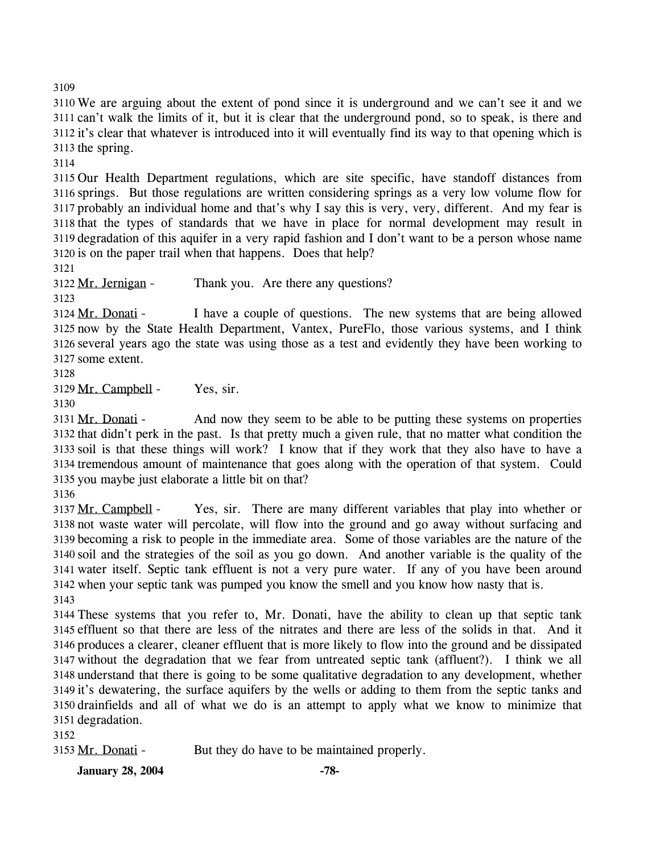3109 We are arguing about the extent of pond since it is underground and we can't see it and we can't walk the limits of it, but it is clear that the underground pond, so to speak, is there and it's clear that whatever is introduced into it will eventually find its way to that opening which is the spring.

3114

 Our Health Department regulations, which are site specific, have standoff distances from springs. But those regulations are written considering springs as a very low volume flow for probably an individual home and that's why I say this is very, very, different. And my fear is that the types of standards that we have in place for normal development may result in degradation of this aquifer in a very rapid fashion and I don't want to be a person whose name is on the paper trail when that happens. Does that help?

3121

3122 Mr. Jernigan - Thank you. Are there any questions?

3123

I have a couple of questions. The new systems that are being allowed 3125 now by the State Health Department, Vantex, PureFlo, those various systems, and I think 3126 several years ago the state was using those as a test and evidently they have been working to 3127 some extent. 3124 Mr. Donati -

3128

3129 Mr. Campbell - Yes, sir.

3130

And now they seem to be able to be putting these systems on properties 3132 that didn't perk in the past. Is that pretty much a given rule, that no matter what condition the 3133 soil is that these things will work? I know that if they work that they also have to have a 3134 tremendous amount of maintenance that goes along with the operation of that system. Could 3135 you maybe just elaborate a little bit on that? 3131 Mr. Donati -

3136

Yes, sir. There are many different variables that play into whether or 3138 not waste water will percolate, will flow into the ground and go away without surfacing and 3139 becoming a risk to people in the immediate area. Some of those variables are the nature of the 3140 soil and the strategies of the soil as you go down. And another variable is the quality of the 3141 water itself. Septic tank effluent is not a very pure water. If any of you have been around 3142 when your septic tank was pumped you know the smell and you know how nasty that is. 3137 Mr. Campbell -3143

 These systems that you refer to, Mr. Donati, have the ability to clean up that septic tank effluent so that there are less of the nitrates and there are less of the solids in that. And it produces a clearer, cleaner effluent that is more likely to flow into the ground and be dissipated without the degradation that we fear from untreated septic tank (affluent?). I think we all understand that there is going to be some qualitative degradation to any development, whether it's dewatering, the surface aquifers by the wells or adding to them from the septic tanks and drainfields and all of what we do is an attempt to apply what we know to minimize that degradation.

3152

3153 Mr. Donati - But they do have to be maintained properly.

**January 28, 2004** -78-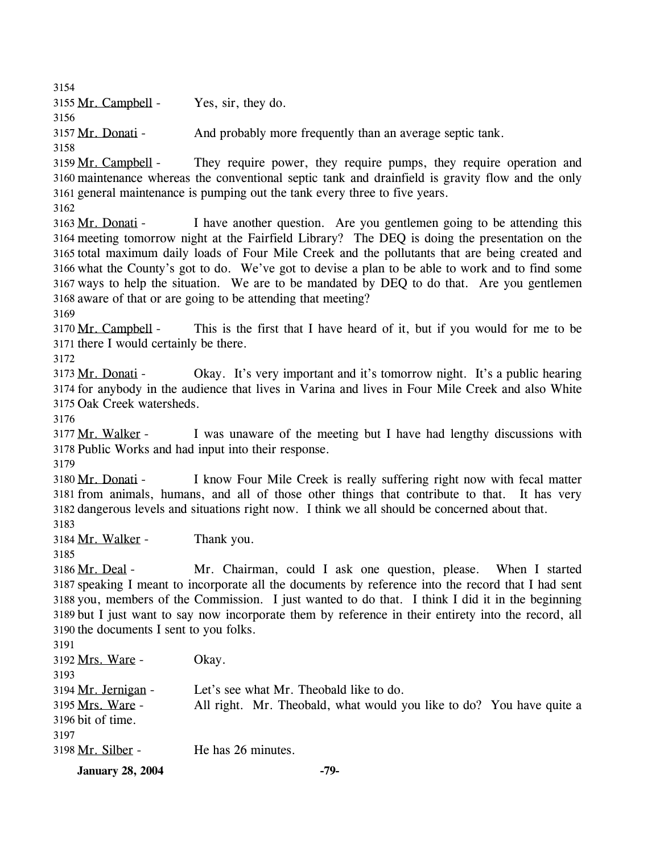3154 3155 Mr. Campbell - Yes, sir, they do. 3156 3157 Mr. Donati - And probably more frequently than an average septic tank. 3158 They require power, they require pumps, they require operation and 3160 maintenance whereas the conventional septic tank and drainfield is gravity flow and the only 3161 general maintenance is pumping out the tank every three to five years. 3159 Mr. Campbell -3162 I have another question. Are you gentlemen going to be attending this 3164 meeting tomorrow night at the Fairfield Library? The DEQ is doing the presentation on the 3165 total maximum daily loads of Four Mile Creek and the pollutants that are being created and 3166 what the County's got to do. We've got to devise a plan to be able to work and to find some 3167 ways to help the situation. We are to be mandated by DEQ to do that. Are you gentlemen 3168 aware of that or are going to be attending that meeting? 3163 Mr. Donati -3169 This is the first that I have heard of it, but if you would for me to be 3171 there I would certainly be there. 3170 Mr. Campbell -3172 Okay. It's very important and it's tomorrow night. It's a public hearing 3174 for anybody in the audience that lives in Varina and lives in Four Mile Creek and also White 3175 Oak Creek watersheds. 3173 Mr. Donati -3176 I was unaware of the meeting but I have had lengthy discussions with 3178 Public Works and had input into their response. 3177 Mr. Walker -3179 I know Four Mile Creek is really suffering right now with fecal matter 3181 from animals, humans, and all of those other things that contribute to that. It has very 3182 dangerous levels and situations right now. I think we all should be concerned about that. 3180 Mr. Donati -3183 3184 Mr. Walker - Thank you. 3185 Mr. Chairman, could I ask one question, please. When I started 3187 speaking I meant to incorporate all the documents by reference into the record that I had sent 3188 you, members of the Commission. I just wanted to do that. I think I did it in the beginning 3189 but I just want to say now incorporate them by reference in their entirety into the record, all 3190 the documents I sent to you folks. 3186 Mr. Deal -3191 3192 Mrs. Ware - Okay. 3193 3194 Mr. Jernigan - Let's see what Mr. Theobald like to do. All right. Mr. Theobald, what would you like to do? You have quite a 3196 bit of time. 3195 Mrs. Ware -3197 3198 Mr. Silber - He has 26 minutes. **January 28, 2004** -79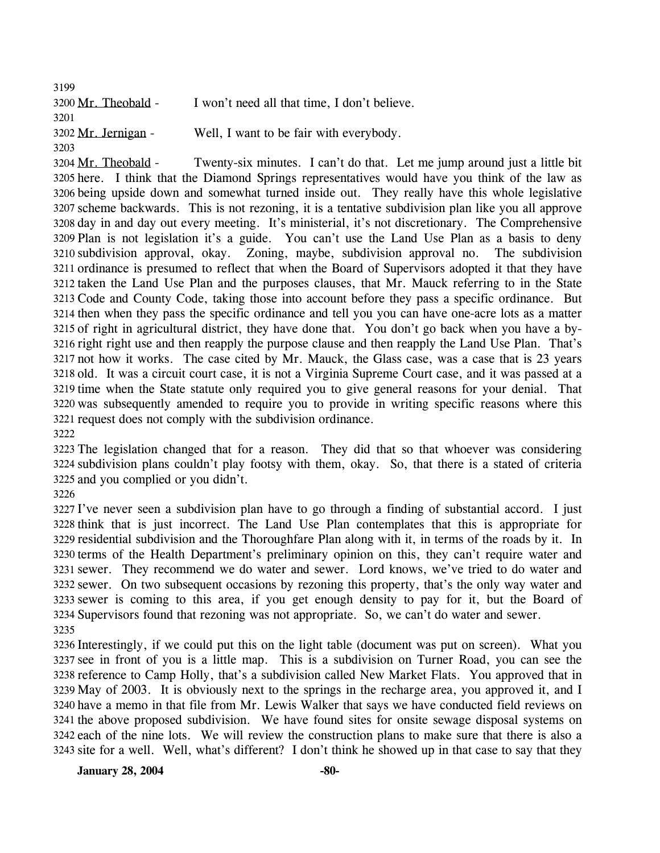3199 3200 Mr. Theobald - I won't need all that time, I don't believe. 3201 3202 Mr. Jernigan - Well, I want to be fair with everybody. 3203

Twenty-six minutes. I can't do that. Let me jump around just a little bit 3205 here. I think that the Diamond Springs representatives would have you think of the law as 3206 being upside down and somewhat turned inside out. They really have this whole legislative 3207 scheme backwards. This is not rezoning, it is a tentative subdivision plan like you all approve 3208 day in and day out every meeting. It's ministerial, it's not discretionary. The Comprehensive 3209 Plan is not legislation it's a guide. You can't use the Land Use Plan as a basis to deny Zoning, maybe, subdivision approval no. The subdivision 3211 ordinance is presumed to reflect that when the Board of Supervisors adopted it that they have 3212 taken the Land Use Plan and the purposes clauses, that Mr. Mauck referring to in the State 3213 Code and County Code, taking those into account before they pass a specific ordinance. But 3214 then when they pass the specific ordinance and tell you you can have one-acre lots as a matter 3215 of right in agricultural district, they have done that. You don't go back when you have a by-3216 right right use and then reapply the purpose clause and then reapply the Land Use Plan. That's not how it works. The case cited by Mr. Mauck, the Glass case, was a case that is 23 years 3217 3218 old. It was a circuit court case, it is not a Virginia Supreme Court case, and it was passed at a 3219 time when the State statute only required you to give general reasons for your denial. That 3220 was subsequently amended to require you to provide in writing specific reasons where this 3221 request does not comply with the subdivision ordinance. 3204 Mr. Theobald -3210 subdivision approval, okay. 3222

3223 The legislation changed that for a reason. They did that so that whoever was considering 3224 subdivision plans couldn't play footsy with them, okay. So, that there is a stated of criteria 3225 and you complied or you didn't.

3226

 I've never seen a subdivision plan have to go through a finding of substantial accord. I just think that is just incorrect. The Land Use Plan contemplates that this is appropriate for residential subdivision and the Thoroughfare Plan along with it, in terms of the roads by it. In terms of the Health Department's preliminary opinion on this, they can't require water and sewer. They recommend we do water and sewer. Lord knows, we've tried to do water and sewer. On two subsequent occasions by rezoning this property, that's the only way water and sewer is coming to this area, if you get enough density to pay for it, but the Board of Supervisors found that rezoning was not appropriate. So, we can't do water and sewer. 3235

 Interestingly, if we could put this on the light table (document was put on screen). What you see in front of you is a little map. This is a subdivision on Turner Road, you can see the reference to Camp Holly, that's a subdivision called New Market Flats. You approved that in May of 2003. It is obviously next to the springs in the recharge area, you approved it, and I have a memo in that file from Mr. Lewis Walker that says we have conducted field reviews on the above proposed subdivision. We have found sites for onsite sewage disposal systems on each of the nine lots. We will review the construction plans to make sure that there is also a site for a well. Well, what's different? I don't think he showed up in that case to say that they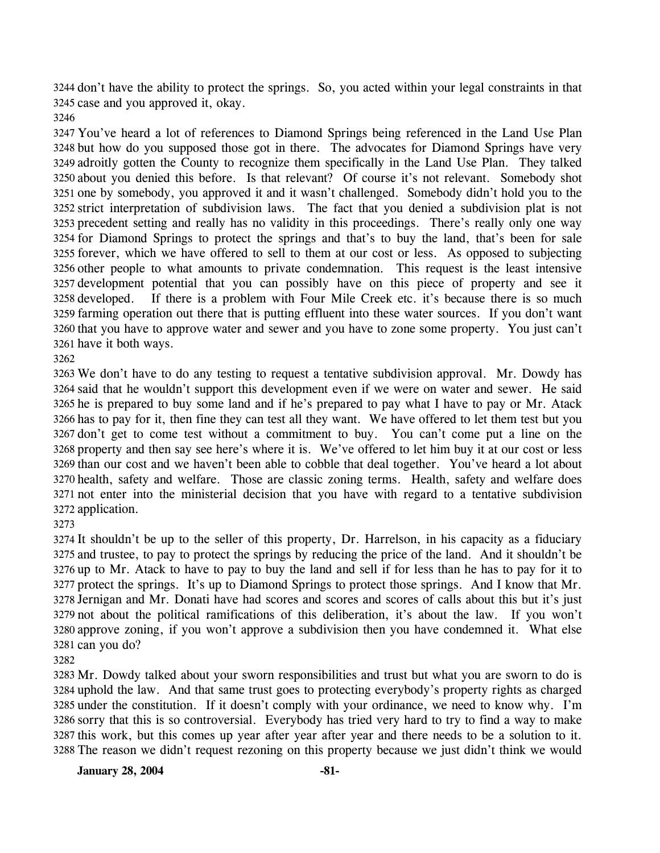3244 don't have the ability to protect the springs. So, you acted within your legal constraints in that 3245 case and you approved it, okay.

 You've heard a lot of references to Diamond Springs being referenced in the Land Use Plan but how do you supposed those got in there. The advocates for Diamond Springs have very adroitly gotten the County to recognize them specifically in the Land Use Plan. They talked about you denied this before. Is that relevant? Of course it's not relevant. Somebody shot one by somebody, you approved it and it wasn't challenged. Somebody didn't hold you to the strict interpretation of subdivision laws. The fact that you denied a subdivision plat is not precedent setting and really has no validity in this proceedings. There's really only one way for Diamond Springs to protect the springs and that's to buy the land, that's been for sale forever, which we have offered to sell to them at our cost or less. As opposed to subjecting other people to what amounts to private condemnation. This request is the least intensive development potential that you can possibly have on this piece of property and see it 3258 developed. farming operation out there that is putting effluent into these water sources. If you don't want that you have to approve water and sewer and you have to zone some property. You just can't have it both ways. If there is a problem with Four Mile Creek etc. it's because there is so much

 We don't have to do any testing to request a tentative subdivision approval. Mr. Dowdy has said that he wouldn't support this development even if we were on water and sewer. He said he is prepared to buy some land and if he's prepared to pay what I have to pay or Mr. Atack has to pay for it, then fine they can test all they want. We have offered to let them test but you don't get to come test without a commitment to buy. You can't come put a line on the property and then say see here's where it is. We've offered to let him buy it at our cost or less than our cost and we haven't been able to cobble that deal together. You've heard a lot about health, safety and welfare. Those are classic zoning terms. Health, safety and welfare does not enter into the ministerial decision that you have with regard to a tentative subdivision application.

 It shouldn't be up to the seller of this property, Dr. Harrelson, in his capacity as a fiduciary and trustee, to pay to protect the springs by reducing the price of the land. And it shouldn't be up to Mr. Atack to have to pay to buy the land and sell if for less than he has to pay for it to protect the springs. It's up to Diamond Springs to protect those springs. And I know that Mr. Jernigan and Mr. Donati have had scores and scores and scores of calls about this but it's just not about the political ramifications of this deliberation, it's about the law. If you won't approve zoning, if you won't approve a subdivision then you have condemned it. What else can you do?

 Mr. Dowdy talked about your sworn responsibilities and trust but what you are sworn to do is uphold the law. And that same trust goes to protecting everybody's property rights as charged under the constitution. If it doesn't comply with your ordinance, we need to know why. I'm sorry that this is so controversial. Everybody has tried very hard to try to find a way to make this work, but this comes up year after year after year and there needs to be a solution to it. The reason we didn't request rezoning on this property because we just didn't think we would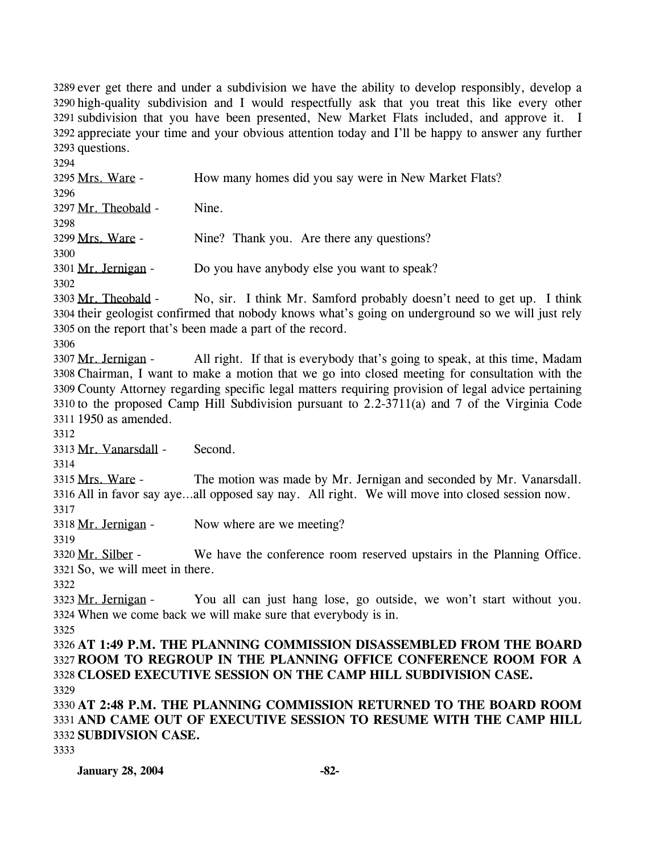3289 ever get there and under a subdivision we have the ability to develop responsibly, develop a 3290 high-quality subdivision and I would respectfully ask that you treat this like every other 3291 subdivision that you have been presented, New Market Flats included, and approve it. I 3292 appreciate your time and your obvious attention today and I'll be happy to answer any further 3293 questions.

3294 3295 Mrs. Ware - How many homes did you say were in New Market Flats? 3296 3297 Mr. Theobald - Nine. 3298 3299 Mrs. Ware - Nine? Thank you. Are there any questions? 3300 3301 Mr. Jernigan - Do you have anybody else you want to speak? 3302 No, sir. I think Mr. Samford probably doesn't need to get up. I think 3304 their geologist confirmed that nobody knows what's going on underground so we will just rely 3305 on the report that's been made a part of the record. 3303 Mr. Theobald -3306 All right. If that is everybody that's going to speak, at this time, Madam Chairman, I want to make a motion that we go into closed meeting for consultation with the 3308 County Attorney regarding specific legal matters requiring provision of legal advice pertaining 3309 3310 to the proposed Camp Hill Subdivision pursuant to  $2.2$ -3711(a) and 7 of the Virginia Code 3311 1950 as amended. 3307 Mr. Jernigan -3312 3313 Mr. Vanarsdall - Second. 3314 The motion was made by Mr. Jernigan and seconded by Mr. Vanarsdall. 3316 All in favor say aye...all opposed say nay. All right. We will move into closed session now. 3315 Mrs. Ware -3317 3318 Mr. Jernigan - Now where are we meeting? 3319 We have the conference room reserved upstairs in the Planning Office. 3321 So, we will meet in there. 3320 Mr. Silber -3322 You all can just hang lose, go outside, we won't start without you. When we come back we will make sure that everybody is in. 3324 3323 Mr. Jernigan -3325 3326 **AT 1:49 P.M. THE PLANNING COMMISSION DISASSEMBLED FROM THE BOARD**  3327 **ROOM TO REGROUP IN THE PLANNING OFFICE CONFERENCE ROOM FOR A**  3328 **CLOSED EXECUTIVE SESSION ON THE CAMP HILL SUBDIVISION CASE.**  3329 3330 **AT 2:48 P.M. THE PLANNING COMMISSION RETURNED TO THE BOARD ROOM**  3331 **AND CAME OUT OF EXECUTIVE SESSION TO RESUME WITH THE CAMP HILL**  3332 **SUBDIVSION CASE.** 

```
3333
```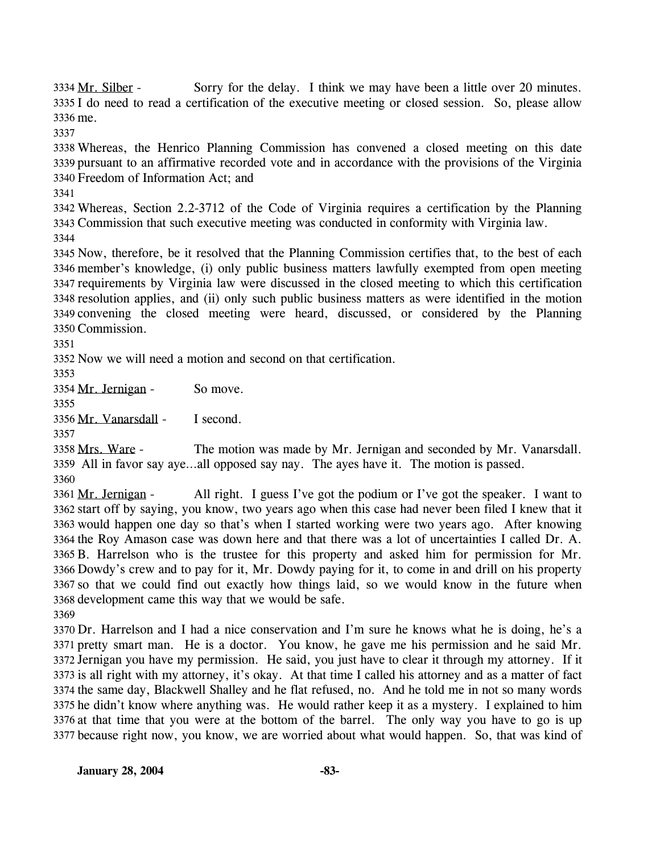Sorry for the delay. I think we may have been a little over 20 minutes. 3335 I do need to read a certification of the executive meeting or closed session. So, please allow 3336 me. 3334 Mr. Silber -

 Whereas, the Henrico Planning Commission has convened a closed meeting on this date pursuant to an affirmative recorded vote and in accordance with the provisions of the Virginia Freedom of Information Act; and

 Whereas, Section 2.2-3712 of the Code of Virginia requires a certification by the Planning Commission that such executive meeting was conducted in conformity with Virginia law. 

 Now, therefore, be it resolved that the Planning Commission certifies that, to the best of each member's knowledge, (i) only public business matters lawfully exempted from open meeting requirements by Virginia law were discussed in the closed meeting to which this certification resolution applies, and (ii) only such public business matters as were identified in the motion convening the closed meeting were heard, discussed, or considered by the Planning Commission.

Now we will need a motion and second on that certification.

3354 Mr. Jernigan - So move.

3356 Mr. Vanarsdall - I second.

The motion was made by Mr. Jernigan and seconded by Mr. Vanarsdall. All in favor say aye…all opposed say nay. The ayes have it. The motion is passed. 3358 Mrs. Ware -

All right. I guess I've got the podium or I've got the speaker. I want to 3362 start off by saying, you know, two years ago when this case had never been filed I knew that it 3363 would happen one day so that's when I started working were two years ago. After knowing 3364 the Roy Amason case was down here and that there was a lot of uncertainties I called Dr. A. 3365 B. Harrelson who is the trustee for this property and asked him for permission for Mr. 3366 Dowdy's crew and to pay for it, Mr. Dowdy paying for it, to come in and drill on his property 3367 so that we could find out exactly how things laid, so we would know in the future when 3368 development came this way that we would be safe. 3361 Mr. Jernigan -

 Dr. Harrelson and I had a nice conservation and I'm sure he knows what he is doing, he's a pretty smart man. He is a doctor. You know, he gave me his permission and he said Mr. Jernigan you have my permission. He said, you just have to clear it through my attorney. If it is all right with my attorney, it's okay. At that time I called his attorney and as a matter of fact the same day, Blackwell Shalley and he flat refused, no. And he told me in not so many words he didn't know where anything was. He would rather keep it as a mystery. I explained to him at that time that you were at the bottom of the barrel. The only way you have to go is up because right now, you know, we are worried about what would happen. So, that was kind of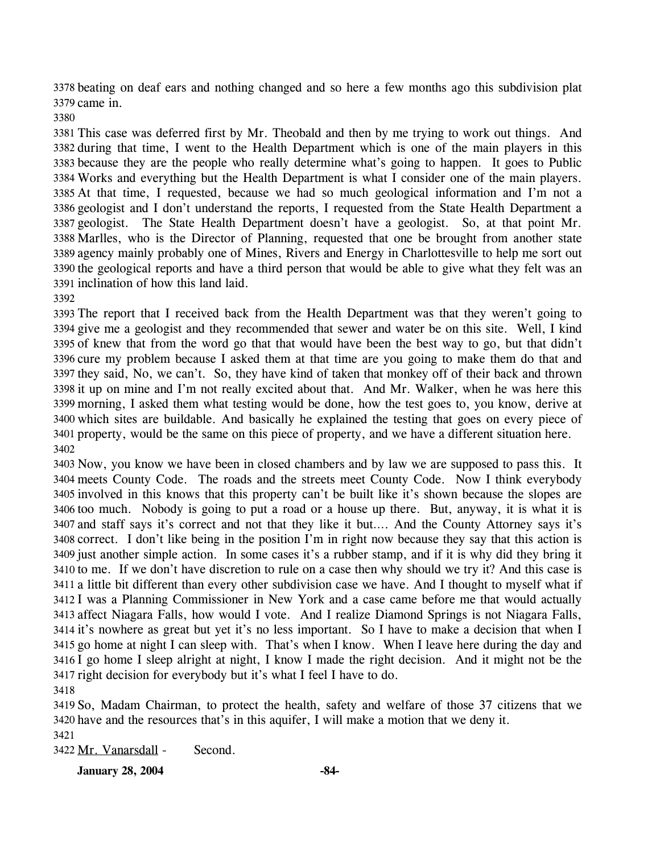3378 beating on deaf ears and nothing changed and so here a few months ago this subdivision plat 3379 came in.

 This case was deferred first by Mr. Theobald and then by me trying to work out things. And during that time, I went to the Health Department which is one of the main players in this because they are the people who really determine what's going to happen. It goes to Public Works and everything but the Health Department is what I consider one of the main players. At that time, I requested, because we had so much geological information and I'm not a geologist and I don't understand the reports, I requested from the State Health Department a geologist. The State Health Department doesn't have a geologist. So, at that point Mr. Marlles, who is the Director of Planning, requested that one be brought from another state agency mainly probably one of Mines, Rivers and Energy in Charlottesville to help me sort out the geological reports and have a third person that would be able to give what they felt was an inclination of how this land laid.

 The report that I received back from the Health Department was that they weren't going to give me a geologist and they recommended that sewer and water be on this site. Well, I kind of knew that from the word go that that would have been the best way to go, but that didn't cure my problem because I asked them at that time are you going to make them do that and they said, No, we can't. So, they have kind of taken that monkey off of their back and thrown it up on mine and I'm not really excited about that. And Mr. Walker, when he was here this morning, I asked them what testing would be done, how the test goes to, you know, derive at which sites are buildable. And basically he explained the testing that goes on every piece of property, would be the same on this piece of property, and we have a different situation here. 

 Now, you know we have been in closed chambers and by law we are supposed to pass this. It meets County Code. The roads and the streets meet County Code. Now I think everybody involved in this knows that this property can't be built like it's shown because the slopes are too much. Nobody is going to put a road or a house up there. But, anyway, it is what it is and staff says it's correct and not that they like it but…. And the County Attorney says it's correct. I don't like being in the position I'm in right now because they say that this action is just another simple action. In some cases it's a rubber stamp, and if it is why did they bring it to me. If we don't have discretion to rule on a case then why should we try it? And this case is a little bit different than every other subdivision case we have. And I thought to myself what if I was a Planning Commissioner in New York and a case came before me that would actually affect Niagara Falls, how would I vote. And I realize Diamond Springs is not Niagara Falls, it's nowhere as great but yet it's no less important. So I have to make a decision that when I go home at night I can sleep with. That's when I know. When I leave here during the day and I go home I sleep alright at night, I know I made the right decision. And it might not be the right decision for everybody but it's what I feel I have to do.

 So, Madam Chairman, to protect the health, safety and welfare of those 37 citizens that we have and the resources that's in this aquifer, I will make a motion that we deny it.

3422 Mr. Vanarsdall - Second.

**January 28, 2004 -84-**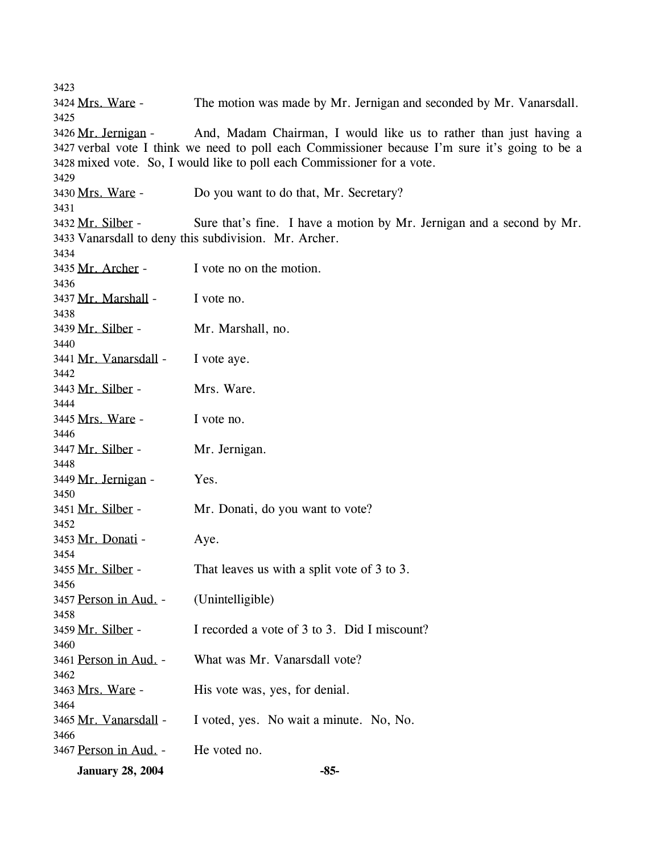3423 3424 Mrs. Ware - The motion was made by Mr. Jernigan and seconded by Mr. Vanarsdall. 3425 And, Madam Chairman, I would like us to rather than just having a 3427 verbal vote I think we need to poll each Commissioner because I'm sure it's going to be a 3428 mixed vote. So, I would like to poll each Commissioner for a vote. 3426 Mr. Jernigan -3429 3430 Mrs. Ware - Do you want to do that, Mr. Secretary? 3431 Sure that's fine. I have a motion by Mr. Jernigan and a second by Mr. 3433 Vanarsdall to deny this subdivision. Mr. Archer. 3432 Mr. Silber -3434 3435 Mr. Archer - I vote no on the motion. 3436 3437 Mr. Marshall - I vote no. 3438 3439 Mr. Silber - Mr. Marshall, no. 3440 3441 Mr. Vanarsdall - I vote aye. 3442 3443 Mr. Silber - Mrs. Ware. 3444 3445 Mrs. Ware - I vote no. 3446 3447 Mr. Silber - Mr. Jernigan. 3448 3449 Mr. Jernigan - Yes. 3450 3451 Mr. Silber - Mr. Donati, do you want to vote? 3452 3453 Mr. Donati - Aye. 3454 3455 Mr. Silber - That leaves us with a split vote of 3 to 3. 3456 3457 Person in Aud. - (Unintelligible) 3458 3459 Mr. Silber - I recorded a vote of 3 to 3. Did I miscount? 3460 3461 Person in Aud. - What was Mr. Vanarsdall vote? 3462 3463 Mrs. Ware - His vote was, yes, for denial. 3464 3465 Mr. Vanarsdall - I voted, yes. No wait a minute. No, No. 3466 3467 Person in Aud. - He voted no. **January 28, 2004 -85-**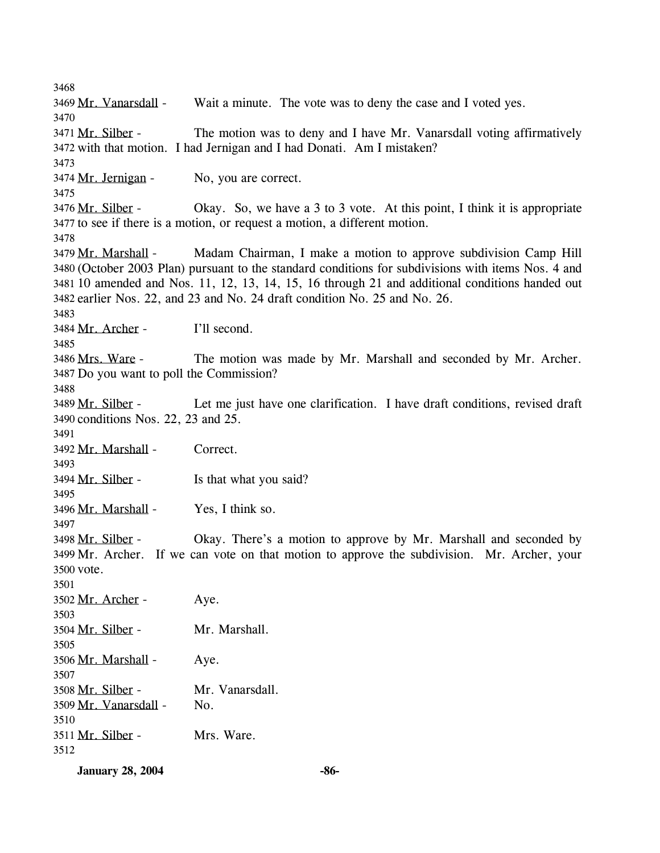3468 3469 Mr. Vanarsdall - Wait a minute. The vote was to deny the case and I voted yes. 3470 The motion was to deny and I have Mr. Vanarsdall voting affirmatively 3472 with that motion. I had Jernigan and I had Donati. Am I mistaken? 3471 Mr. Silber -3473 3474 Mr. Jernigan - No, you are correct. 3475 Okay. So, we have a 3 to 3 vote. At this point, I think it is appropriate 3477 to see if there is a motion, or request a motion, a different motion. 3476 Mr. Silber -3478 Madam Chairman, I make a motion to approve subdivision Camp Hill (October 2003 Plan) pursuant to the standard conditions for subdivisions with items Nos. 4 and 3480 10 amended and Nos. 11, 12, 13, 14, 15, 16 through 21 and additional conditions handed out 3481 3482 earlier Nos. 22, and 23 and No. 24 draft condition No. 25 and No. 26. 3479 Mr. Marshall -3483 3484 Mr. Archer - I'll second. 3485 The motion was made by Mr. Marshall and seconded by Mr. Archer. 3487 Do you want to poll the Commission? 3486 Mrs. Ware -3488 Let me just have one clarification. I have draft conditions, revised draft 3490 conditions Nos. 22, 23 and 25. 3489 Mr. Silber -3491 3492 Mr. Marshall - Correct. 3493 3494 Mr. Silber - Is that what you said? 3495 3496 Mr. Marshall - Yes, I think so. 3497 Okay. There's a motion to approve by Mr. Marshall and seconded by 3499 Mr. Archer. If we can vote on that motion to approve the subdivision. Mr. Archer, your 3500 vote. 3498 Mr. Silber -3501 3502 Mr. Archer - Aye. 3503 3504 Mr. Silber - Mr. Marshall. 3505 3506 Mr. Marshall - Aye. 3507 3508 Mr. Silber - Mr. Vanarsdall. 3509 Mr. Vanarsdall - No. 3510 3511 Mr. Silber - Mrs. Ware. 3512

**January 28, 2004** -86-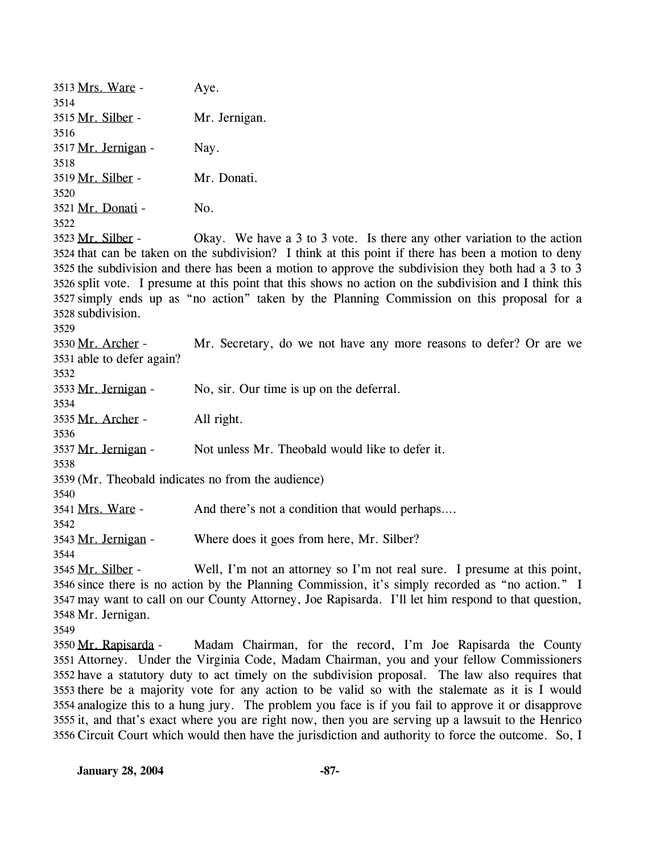3513 Mrs. Ware - Aye. 3514 3515 Mr. Silber - Mr. Jernigan. 3516 3517 Mr. Jernigan - Nay. 3518 3519 Mr. Silber - Mr. Donati. 3520 3521 Mr. Donati - No. 3522 Okay. We have a 3 to 3 vote. Is there any other variation to the action 3524 that can be taken on the subdivision? I think at this point if there has been a motion to deny 3525 the subdivision and there has been a motion to approve the subdivision they both had a 3 to 3 3526 split vote. I presume at this point that this shows no action on the subdivision and I think this simply ends up as "no action" taken by the Planning Commission on this proposal for a 3527 3528 subdivision. 3523 Mr. Silber -3529 Mr. Secretary, do we not have any more reasons to defer? Or are we 3531 able to defer again? 3530 Mr. Archer -3532 3533 Mr. Jernigan - No, sir. Our time is up on the deferral. 3534 3535 Mr. Archer - All right. 3536 3537 Mr. Jernigan - Not unless Mr. Theobald would like to defer it. 3538 3539 (Mr. Theobald indicates no from the audience) 3540 3541 Mrs. Ware - And there's not a condition that would perhaps.... 3542 3543 Mr. Jernigan - Where does it goes from here, Mr. Silber? 3544 Well, I'm not an attorney so I'm not real sure. I presume at this point, 3546 since there is no action by the Planning Commission, it's simply recorded as "no action." I may want to call on our County Attorney, Joe Rapisarda. I'll let him respond to that question, 3547 3548 Mr. Jernigan. 3545 Mr. Silber -3549 Madam Chairman, for the record, I'm Joe Rapisarda the County 3551 Attorney. Under the Virginia Code, Madam Chairman, you and your fellow Commissioners 3552 have a statutory duty to act timely on the subdivision proposal. The law also requires that 3553 there be a majority vote for any action to be valid so with the stalemate as it is I would 3550 Mr. Rapisarda -

analogize this to a hung jury. The problem you face is if you fail to approve it or disapprove 3554 3555 it, and that's exact where you are right now, then you are serving up a lawsuit to the Henrico 3556 Circuit Court which would then have the jurisdiction and authority to force the outcome. So, I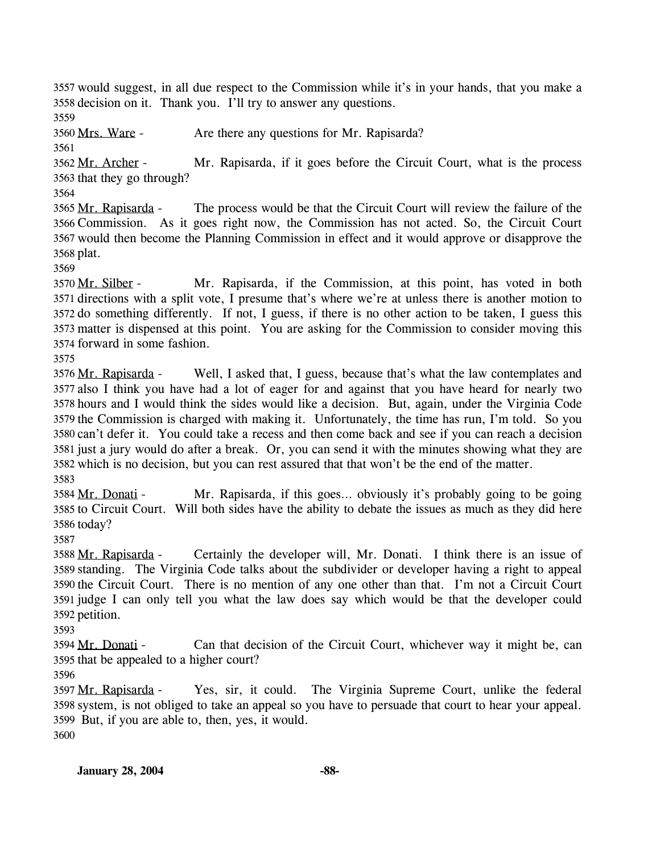3557 would suggest, in all due respect to the Commission while it's in your hands, that you make a 3558 decision on it. Thank you. I'll try to answer any questions.

3559

3560 Mrs. Ware - Are there any questions for Mr. Rapisarda?

3561

Mr. Rapisarda, if it goes before the Circuit Court, what is the process 3563 that they go through? 3562 Mr. Archer -

3564

The process would be that the Circuit Court will review the failure of the 3566 Commission. As it goes right now, the Commission has not acted. So, the Circuit Court 3567 would then become the Planning Commission in effect and it would approve or disapprove the 3568 plat. 3565 Mr. Rapisarda -

3569

Mr. Rapisarda, if the Commission, at this point, has voted in both 3571 directions with a split vote, I presume that's where we're at unless there is another motion to 3572 do something differently. If not, I guess, if there is no other action to be taken, I guess this matter is dispensed at this point. You are asking for the Commission to consider moving this 3573 3574 forward in some fashion. 3570 Mr. Silber -

3575

Well, I asked that, I guess, because that's what the law contemplates and 3577 also I think you have had a lot of eager for and against that you have heard for nearly two 3578 hours and I would think the sides would like a decision. But, again, under the Virginia Code 3579 the Commission is charged with making it. Unfortunately, the time has run, I'm told. So you 3580 can't defer it. You could take a recess and then come back and see if you can reach a decision 3581 just a jury would do after a break. Or, you can send it with the minutes showing what they are 3582 which is no decision, but you can rest assured that that won't be the end of the matter. 3576 Mr. Rapisarda -3583

Mr. Rapisarda, if this goes... obviously it's probably going to be going 3585 to Circuit Court. Will both sides have the ability to debate the issues as much as they did here 3586 today? 3584 Mr. Donati -

3587

Certainly the developer will, Mr. Donati. I think there is an issue of standing. The Virginia Code talks about the subdivider or developer having a right to appeal 3589 3590 the Circuit Court. There is no mention of any one other than that. I'm not a Circuit Court 3591 judge I can only tell you what the law does say which would be that the developer could 3592 petition. 3588 Mr. Rapisarda -

3593

Can that decision of the Circuit Court, whichever way it might be, can 3595 that be appealed to a higher court? 3594 Mr. Donati -

3596

Yes, sir, it could. The Virginia Supreme Court, unlike the federal 3598 system, is not obliged to take an appeal so you have to persuade that court to hear your appeal. 3599 But, if you are able to, then, yes, it would. 3597 Mr. Rapisarda -

3600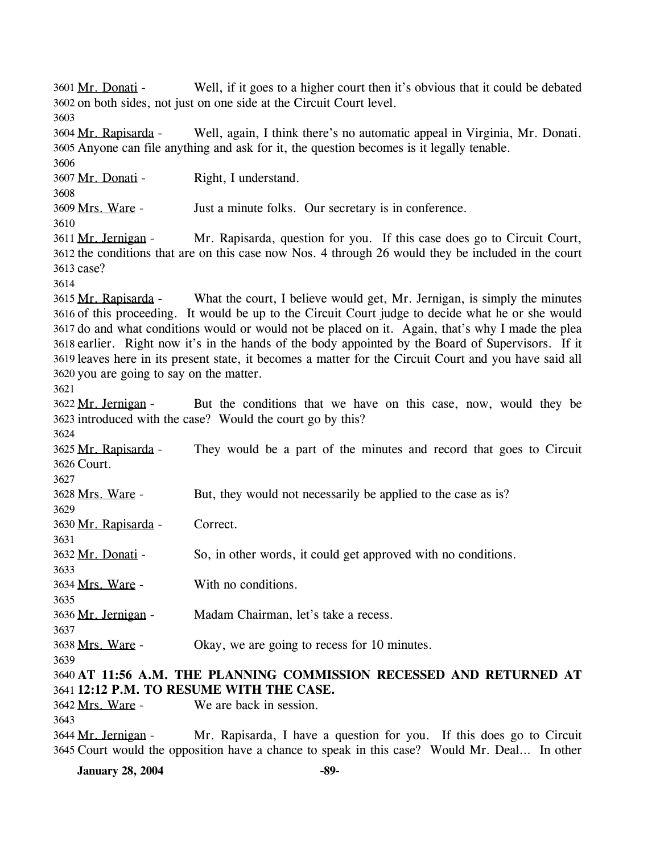Well, if it goes to a higher court then it's obvious that it could be debated 3602 on both sides, not just on one side at the Circuit Court level. 3601 Mr. Donati -3603 Well, again, I think there's no automatic appeal in Virginia, Mr. Donati. 3605 Anyone can file anything and ask for it, the question becomes is it legally tenable. 3604 Mr. Rapisarda -3606 3607 Mr. Donati - Right, I understand. 3608 3609 Mrs. Ware - Just a minute folks. Our secretary is in conference. 3610 Mr. Rapisarda, question for you. If this case does go to Circuit Court, 3612 the conditions that are on this case now Nos. 4 through 26 would they be included in the court 3613 case? 3611 Mr. Jernigan -3614 What the court, I believe would get, Mr. Jernigan, is simply the minutes 3616 of this proceeding. It would be up to the Circuit Court judge to decide what he or she would 3617 do and what conditions would or would not be placed on it. Again, that's why I made the plea 3618 earlier. Right now it's in the hands of the body appointed by the Board of Supervisors. If it 3619 leaves here in its present state, it becomes a matter for the Circuit Court and you have said all 3620 you are going to say on the matter. 3615 Mr. Rapisarda -3621 But the conditions that we have on this case, now, would they be 3623 introduced with the case? Would the court go by this? 3622 Mr. Jernigan -3624 They would be a part of the minutes and record that goes to Circuit 3626 Court. 3625 Mr. Rapisarda -3627 3628 Mrs. Ware - But, they would not necessarily be applied to the case as is? 3629 3630 Mr. Rapisarda - Correct. 3631 3632 Mr. Donati - So, in other words, it could get approved with no conditions. 3633 3634 Mrs. Ware - With no conditions. 3635 3636 Mr. Jernigan - Madam Chairman, let's take a recess. 3637 3638 Mrs. Ware - Okay, we are going to recess for 10 minutes. 3639 3640 **AT 11:56 A.M. THE PLANNING COMMISSION RECESSED AND RETURNED AT**  3641 **12:12 P.M. TO RESUME WITH THE CASE.**  3642 Mrs. Ware - We are back in session. 3643 Mr. Rapisarda, I have a question for you. If this does go to Circuit 3645 Court would the opposition have a chance to speak in this case? Would Mr. Deal... In other 3644 Mr. Jernigan -

**January 28, 2004** -89-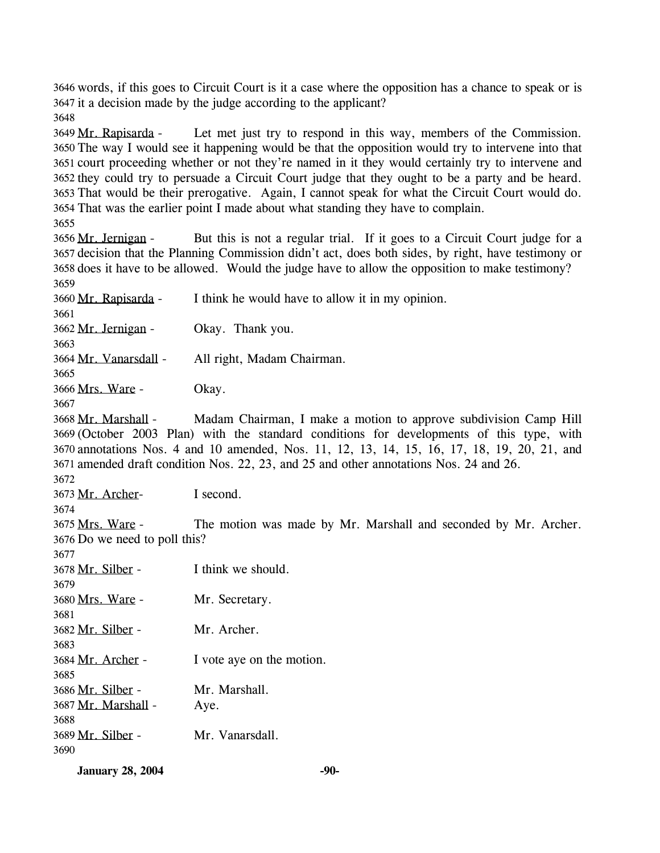3646 words, if this goes to Circuit Court is it a case where the opposition has a chance to speak or is 3647 it a decision made by the judge according to the applicant?

3648

Let met just try to respond in this way, members of the Commission. 3650 The way I would see it happening would be that the opposition would try to intervene into that 3651 court proceeding whether or not they're named in it they would certainly try to intervene and 3652 they could try to persuade a Circuit Court judge that they ought to be a party and be heard. 3653 That would be their prerogative. Again, I cannot speak for what the Circuit Court would do. 3654 That was the earlier point I made about what standing they have to complain. 3649 Mr. Rapisarda -

3655

But this is not a regular trial. If it goes to a Circuit Court judge for a 3657 decision that the Planning Commission didn't act, does both sides, by right, have testimony or 3658 does it have to be allowed. Would the judge have to allow the opposition to make testimony? 3656 Mr. Jernigan -3659

3660 Mr. Rapisarda - I think he would have to allow it in my opinion.

3661 3662 Mr. Jernigan - Okay. Thank you.

3663

3664 Mr. Vanarsdall - All right, Madam Chairman.

3665

3666 Mrs. Ware - Okay.

3667

Madam Chairman, I make a motion to approve subdivision Camp Hill (October 2003 Plan) with the standard conditions for developments of this type, with 3669 annotations Nos. 4 and 10 amended, Nos. 11, 12, 13, 14, 15, 16, 17, 18, 19, 20, 21, and 3670 3671 amended draft condition Nos. 22, 23, and 25 and other annotations Nos. 24 and 26. 3668 Mr. Marshall -

3672

3673 Mr. Archer- I second.

3674

The motion was made by Mr. Marshall and seconded by Mr. Archer. 3676 Do we need to poll this? 3675 Mrs. Ware -

3677

| 3678 Mr. Silber -   | I think we should.        |
|---------------------|---------------------------|
| 3679                |                           |
| 3680 Mrs. Ware -    | Mr. Secretary.            |
| 3681                |                           |
| 3682 Mr. Silber -   | Mr. Archer.               |
| 3683                |                           |
| 3684 Mr. Archer -   | I vote aye on the motion. |
| 3685                |                           |
| 3686 Mr. Silber -   | Mr. Marshall.             |
| 3687 Mr. Marshall - | Aye.                      |
| 3688                |                           |
| 3689 Mr. Silber -   | Mr. Vanarsdall.           |
| 3690                |                           |
|                     |                           |

**January 28, 2004** -90-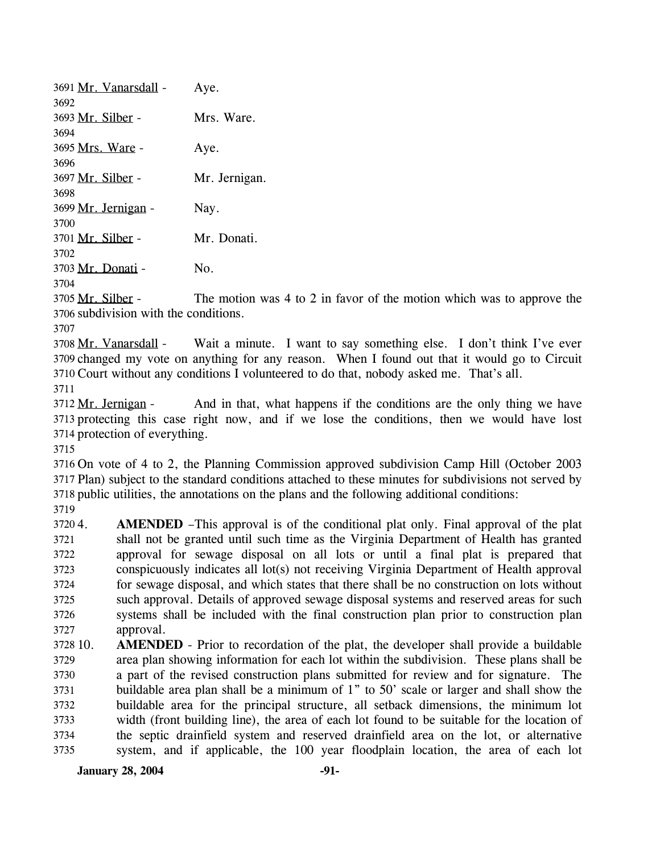| 3691 Mr. Vanarsdall - | Aye.          |
|-----------------------|---------------|
| 3692                  |               |
| 3693 Mr. Silber -     | Mrs. Ware.    |
| 3694                  |               |
| 3695 Mrs. Ware -      | Aye.          |
| 3696                  |               |
| 3697 Mr. Silber -     | Mr. Jernigan. |
| 3698                  |               |
| 3699 Mr. Jernigan -   | Nay.          |
| 3700                  |               |
| 3701 Mr. Silber -     | Mr. Donati.   |
| 3702                  |               |
| 3703 Mr. Donati -     | Nο.           |

3704

The motion was 4 to 2 in favor of the motion which was to approve the 3706 subdivision with the conditions. 3705 Mr. Silber -

3707

Wait a minute. I want to say something else. I don't think I've ever 3709 changed my vote on anything for any reason. When I found out that it would go to Circuit 3710 Court without any conditions I volunteered to do that, nobody asked me. That's all. 3708 Mr. Vanarsdall -

3711

And in that, what happens if the conditions are the only thing we have 3713 protecting this case right now, and if we lose the conditions, then we would have lost 3714 protection of everything. 3712 Mr. Jernigan -

3715

3716 On vote of 4 to 2, the Planning Commission approved subdivision Camp Hill (October 2003 3717 Plan) subject to the standard conditions attached to these minutes for subdivisions not served by 3718 public utilities, the annotations on the plans and the following additional conditions:

3719

37204 3721 3722 3723 3724 3725 3726 3727 **AMENDED** –This approval is of the conditional plat only. Final approval of the plat shall not be granted until such time as the Virginia Department of Health has granted approval for sewage disposal on all lots or until a final plat is prepared that conspicuously indicates all lot(s) not receiving Virginia Department of Health approval for sewage disposal, and which states that there shall be no construction on lots without such approval. Details of approved sewage disposal systems and reserved areas for such systems shall be included with the final construction plan prior to construction plan approval.

3728 10. 3729 3730 3731 3732 3733 3734 3735 **AMENDED** - Prior to recordation of the plat, the developer shall provide a buildable area plan showing information for each lot within the subdivision. These plans shall be a part of the revised construction plans submitted for review and for signature. The buildable area plan shall be a minimum of 1" to 50' scale or larger and shall show the buildable area for the principal structure, all setback dimensions, the minimum lot width (front building line), the area of each lot found to be suitable for the location of the septic drainfield system and reserved drainfield area on the lot, or alternative system, and if applicable, the 100 year floodplain location, the area of each lot

**January 28, 2004** -91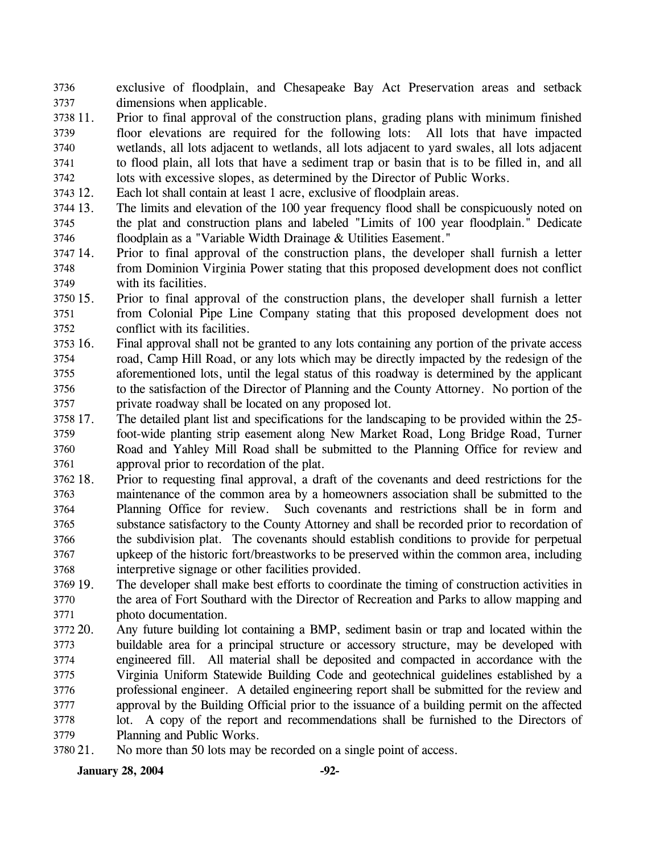exclusive of floodplain, and Chesapeake Bay Act Preservation areas and setback dimensions when applicable. 3736 3737

- 3738 11. 3739 3740 3741 3742 Prior to final approval of the construction plans, grading plans with minimum finished floor elevations are required for the following lots: All lots that have impacted wetlands, all lots adjacent to wetlands, all lots adjacent to yard swales, all lots adjacent to flood plain, all lots that have a sediment trap or basin that is to be filled in, and all lots with excessive slopes, as determined by the Director of Public Works.
- 3743 12. Each lot shall contain at least 1 acre, exclusive of floodplain areas.
- 3744 13. 3745 3746 The limits and elevation of the 100 year frequency flood shall be conspicuously noted on the plat and construction plans and labeled "Limits of 100 year floodplain." Dedicate floodplain as a "Variable Width Drainage & Utilities Easement."
- 3747 14. 3748 3749 Prior to final approval of the construction plans, the developer shall furnish a letter from Dominion Virginia Power stating that this proposed development does not conflict with its facilities.
- 3750 15. 3751 3752 15. Prior to final approval of the construction plans, the developer shall furnish a letter from Colonial Pipe Line Company stating that this proposed development does not conflict with its facilities.
- 3753 16. 3754 3755 3756 3757 16. Final approval shall not be granted to any lots containing any portion of the private access road, Camp Hill Road, or any lots which may be directly impacted by the redesign of the aforementioned lots, until the legal status of this roadway is determined by the applicant to the satisfaction of the Director of Planning and the County Attorney. No portion of the private roadway shall be located on any proposed lot.
- 3758 17. 3759 3760 3761 17. The detailed plant list and specifications for the landscaping to be provided within the 25 foot-wide planting strip easement along New Market Road, Long Bridge Road, Turner Road and Yahley Mill Road shall be submitted to the Planning Office for review and approval prior to recordation of the plat.
- 3762 18. 3763 3764 3765 3766 3767 3768 18. Prior to requesting final approval, a draft of the covenants and deed restrictions for the maintenance of the common area by a homeowners association shall be submitted to the Planning Office for review. Such covenants and restrictions shall be in form and substance satisfactory to the County Attorney and shall be recorded prior to recordation of the subdivision plat. The covenants should establish conditions to provide for perpetual upkeep of the historic fort/breastworks to be preserved within the common area, including interpretive signage or other facilities provided.
- 3769 19. 3770 3771 The developer shall make best efforts to coordinate the timing of construction activities in the area of Fort Southard with the Director of Recreation and Parks to allow mapping and photo documentation.
- 3772 20. 3773 3774 3775 3776 3777 3778 3779 Any future building lot containing a BMP, sediment basin or trap and located within the buildable area for a principal structure or accessory structure, may be developed with engineered fill. All material shall be deposited and compacted in accordance with the Virginia Uniform Statewide Building Code and geotechnical guidelines established by a professional engineer. A detailed engineering report shall be submitted for the review and approval by the Building Official prior to the issuance of a building permit on the affected lot. A copy of the report and recommendations shall be furnished to the Directors of Planning and Public Works.
- 3780 21. No more than 50 lots may be recorded on a single point of access.

**January 28, 2004** -92-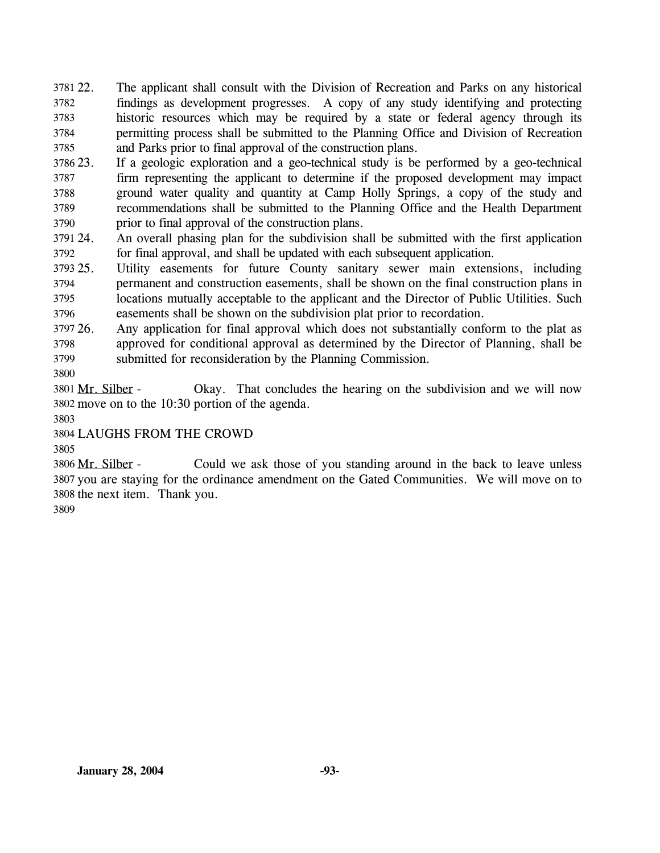22. The applicant shall consult with the Division of Recreation and Parks on any historical findings as development progresses. A copy of any study identifying and protecting historic resources which may be required by a state or federal agency through its permitting process shall be submitted to the Planning Office and Division of Recreation and Parks prior to final approval of the construction plans. 3781 22. 3782 3783 3784 3785

3786 23. 3787 3788 3789 3790 If a geologic exploration and a geo-technical study is be performed by a geo-technical firm representing the applicant to determine if the proposed development may impact ground water quality and quantity at Camp Holly Springs, a copy of the study and recommendations shall be submitted to the Planning Office and the Health Department prior to final approval of the construction plans.

3791 24. 3792 24. An overall phasing plan for the subdivision shall be submitted with the first application for final approval, and shall be updated with each subsequent application.

3793 25. 3794 3795 3796 Utility easements for future County sanitary sewer main extensions, including permanent and construction easements, shall be shown on the final construction plans in locations mutually acceptable to the applicant and the Director of Public Utilities. Such easements shall be shown on the subdivision plat prior to recordation.

3797 26. 3798 3799 26. Any application for final approval which does not substantially conform to the plat as approved for conditional approval as determined by the Director of Planning, shall be submitted for reconsideration by the Planning Commission.

3800

Okay. That concludes the hearing on the subdivision and we will now 3802 move on to the  $10:30$  portion of the agenda. 3801 Mr. Silber -

3803

3804 LAUGHS FROM THE CROWD

3805

Could we ask those of you standing around in the back to leave unless 3807 you are staying for the ordinance amendment on the Gated Communities. We will move on to 3808 the next item. Thank you. 3806 Mr. Silber -

3809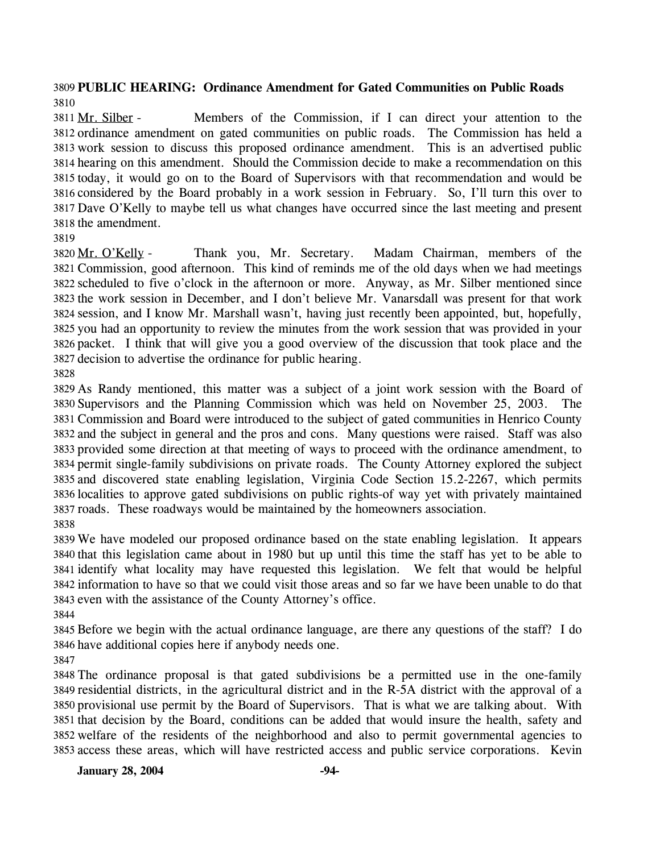## **PUBLIC HEARING: Ordinance Amendment for Gated Communities on Public Roads**

Members of the Commission, if I can direct your attention to the 3812 ordinance amendment on gated communities on public roads. The Commission has held a 3813 work session to discuss this proposed ordinance amendment. This is an advertised public 3814 hearing on this amendment. Should the Commission decide to make a recommendation on this 3815 today, it would go on to the Board of Supervisors with that recommendation and would be 3816 considered by the Board probably in a work session in February. So, I'll turn this over to 3817 Dave O'Kelly to maybe tell us what changes have occurred since the last meeting and present 3818 the amendment. 3811 Mr. Silber -

Thank you, Mr. Secretary. Madam Chairman, members of the 3821 Commission, good afternoon. This kind of reminds me of the old days when we had meetings 3822 scheduled to five o'clock in the afternoon or more. Anyway, as Mr. Silber mentioned since 3823 the work session in December, and I don't believe Mr. Vanarsdall was present for that work 3824 session, and I know Mr. Marshall wasn't, having just recently been appointed, but, hopefully, 3825 you had an opportunity to review the minutes from the work session that was provided in your 3826 packet. I think that will give you a good overview of the discussion that took place and the 3827 decision to advertise the ordinance for public hearing. 3820 Mr. O'Kelly -

 As Randy mentioned, this matter was a subject of a joint work session with the Board of Supervisors and the Planning Commission which was held on November 25, 2003. The Commission and Board were introduced to the subject of gated communities in Henrico County and the subject in general and the pros and cons. Many questions were raised. Staff was also provided some direction at that meeting of ways to proceed with the ordinance amendment, to permit single-family subdivisions on private roads. The County Attorney explored the subject and discovered state enabling legislation, Virginia Code Section 15.2-2267, which permits localities to approve gated subdivisions on public rights-of way yet with privately maintained roads. These roadways would be maintained by the homeowners association. 

 We have modeled our proposed ordinance based on the state enabling legislation. It appears that this legislation came about in 1980 but up until this time the staff has yet to be able to identify what locality may have requested this legislation. We felt that would be helpful information to have so that we could visit those areas and so far we have been unable to do that even with the assistance of the County Attorney's office.

 Before we begin with the actual ordinance language, are there any questions of the staff? I do have additional copies here if anybody needs one.

 The ordinance proposal is that gated subdivisions be a permitted use in the one-family residential districts, in the agricultural district and in the R-5A district with the approval of a provisional use permit by the Board of Supervisors. That is what we are talking about. With that decision by the Board, conditions can be added that would insure the health, safety and welfare of the residents of the neighborhood and also to permit governmental agencies to access these areas, which will have restricted access and public service corporations. Kevin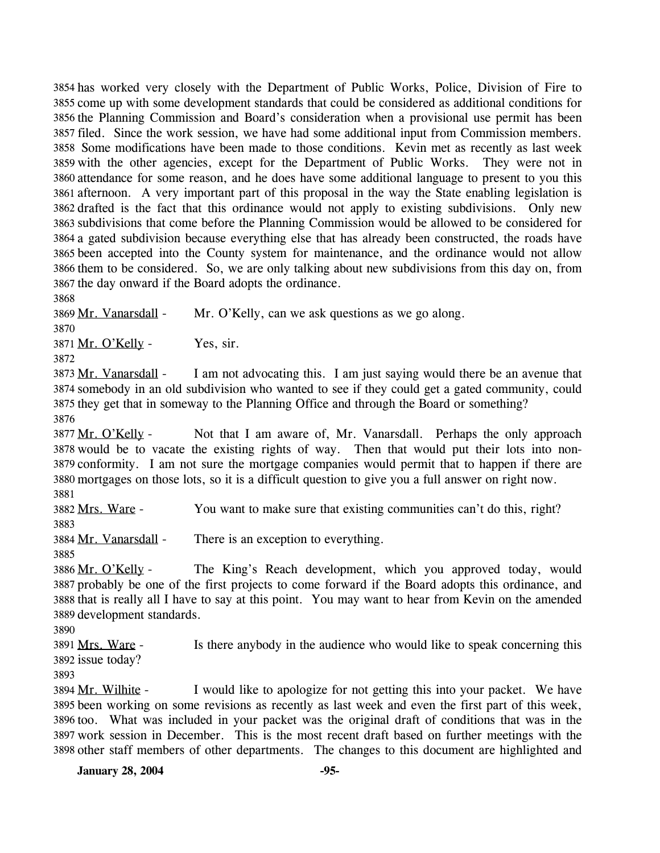3854 has worked very closely with the Department of Public Works, Police, Division of Fire to 3855 come up with some development standards that could be considered as additional conditions for 3856 the Planning Commission and Board's consideration when a provisional use permit has been 3857 filed. Since the work session, we have had some additional input from Commission members. 3858 Some modifications have been made to those conditions. Kevin met as recently as last week 3859 with the other agencies, except for the Department of Public Works. They were not in 3860 attendance for some reason, and he does have some additional language to present to you this 3861 afternoon. A very important part of this proposal in the way the State enabling legislation is 3862 drafted is the fact that this ordinance would not apply to existing subdivisions. Only new subdivisions that come before the Planning Commission would be allowed to be considered for 3863 3864 a gated subdivision because everything else that has already been constructed, the roads have 3865 been accepted into the County system for maintenance, and the ordinance would not allow 3866 them to be considered. So, we are only talking about new subdivisions from this day on, from 3867 the day onward if the Board adopts the ordinance.

3868

3869 Mr. Vanarsdall - Mr. O'Kelly, can we ask questions as we go along.

3870

 $3871$  Mr. O'Kelly - Yes, sir.

3872

I am not advocating this. I am just saying would there be an avenue that somebody in an old subdivision who wanted to see if they could get a gated community, could 3874 3875 they get that in someway to the Planning Office and through the Board or something? 3873 Mr. Vanarsdall -3876

Not that I am aware of, Mr. Vanarsdall. Perhaps the only approach 3878 would be to vacate the existing rights of way. Then that would put their lots into non-3879 conformity. I am not sure the mortgage companies would permit that to happen if there are mortgages on those lots, so it is a difficult question to give you a full answer on right now. 3880 3877 Mr. O'Kelly -3881

3882 Mrs. Ware - You want to make sure that existing communities can't do this, right? 3883

3884 Mr. Vanarsdall - There is an exception to everything.

3885

The King's Reach development, which you approved today, would 3887 probably be one of the first projects to come forward if the Board adopts this ordinance, and 3888 that is really all I have to say at this point. You may want to hear from Kevin on the amended 3889 development standards. 3886 Mr. O'Kelly -

3890

Is there anybody in the audience who would like to speak concerning this 3892 issue today? 3891 Mrs. Ware -

3893

I would like to apologize for not getting this into your packet. We have 3895 been working on some revisions as recently as last week and even the first part of this week, 3896 too. What was included in your packet was the original draft of conditions that was in the 3897 work session in December. This is the most recent draft based on further meetings with the 3898 other staff members of other departments. The changes to this document are highlighted and 3894 Mr. Wilhite -

**January 28, 2004** -95-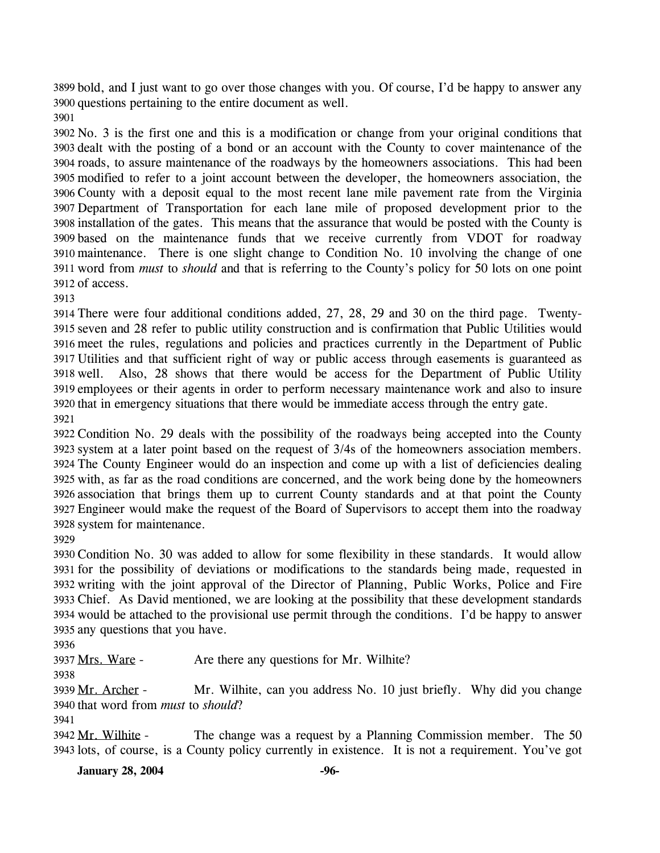3899 bold, and I just want to go over those changes with you. Of course, I'd be happy to answer any 3900 questions pertaining to the entire document as well.

 No. 3 is the first one and this is a modification or change from your original conditions that dealt with the posting of a bond or an account with the County to cover maintenance of the roads, to assure maintenance of the roadways by the homeowners associations. This had been modified to refer to a joint account between the developer, the homeowners association, the County with a deposit equal to the most recent lane mile pavement rate from the Virginia Department of Transportation for each lane mile of proposed development prior to the installation of the gates. This means that the assurance that would be posted with the County is based on the maintenance funds that we receive currently from VDOT for roadway maintenance. There is one slight change to Condition No. 10 involving the change of one word from *must* to *should* and that is referring to the County's policy for 50 lots on one point of access.

 There were four additional conditions added, 27, 28, 29 and 30 on the third page. Twenty- seven and 28 refer to public utility construction and is confirmation that Public Utilities would meet the rules, regulations and policies and practices currently in the Department of Public Utilities and that sufficient right of way or public access through easements is guaranteed as well. Also, 28 shows that there would be access for the Department of Public Utility employees or their agents in order to perform necessary maintenance work and also to insure that in emergency situations that there would be immediate access through the entry gate. 

 Condition No. 29 deals with the possibility of the roadways being accepted into the County system at a later point based on the request of 3/4s of the homeowners association members. The County Engineer would do an inspection and come up with a list of deficiencies dealing with, as far as the road conditions are concerned, and the work being done by the homeowners association that brings them up to current County standards and at that point the County Engineer would make the request of the Board of Supervisors to accept them into the roadway system for maintenance.

 Condition No. 30 was added to allow for some flexibility in these standards. It would allow for the possibility of deviations or modifications to the standards being made, requested in writing with the joint approval of the Director of Planning, Public Works, Police and Fire Chief. As David mentioned, we are looking at the possibility that these development standards would be attached to the provisional use permit through the conditions. I'd be happy to answer any questions that you have.

3937 Mrs. Ware - Are there any questions for Mr. Wilhite?

Mr. Wilhite, can you address No. 10 just briefly. Why did you change 3940 that word from *must* to *should*? 3939 Mr. Archer -

The change was a request by a Planning Commission member. The 50 3943 lots, of course, is a County policy currently in existence. It is not a requirement. You've got 3942 Mr. Wilhite -

**January 28, 2004** -96-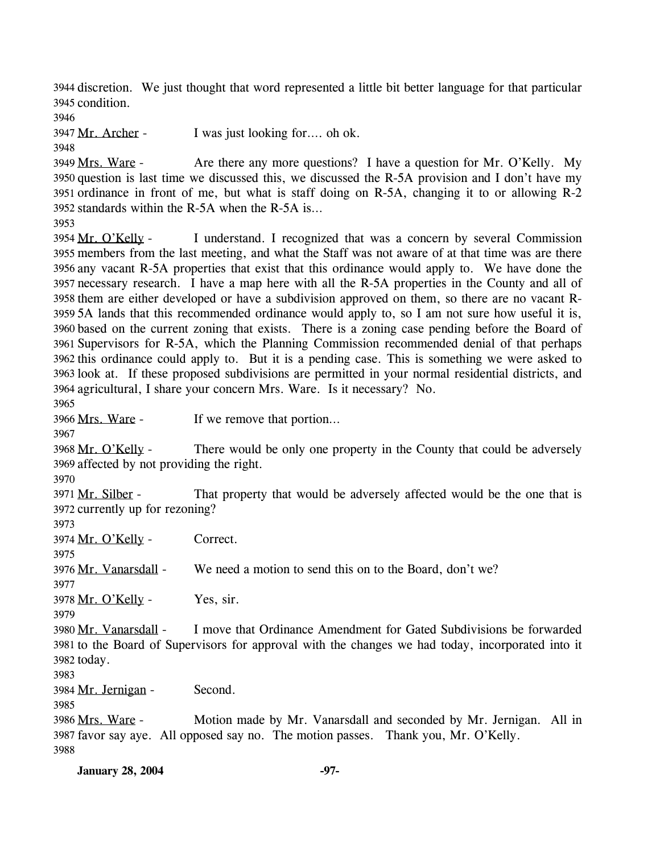3944 discretion. We just thought that word represented a little bit better language for that particular 3945 condition.

3946

3947 Mr. Archer - I was just looking for…. oh ok.

3948

Are there any more questions? I have a question for Mr. O'Kelly. My 3950 question is last time we discussed this, we discussed the R-5A provision and I don't have my 3951 ordinance in front of me, but what is staff doing on R-5A, changing it to or allowing  $R-2$ 3952 standards within the R-5A when the R-5A is... 3949 Mrs. Ware -

3953

I understand. I recognized that was a concern by several Commission 3955 members from the last meeting, and what the Staff was not aware of at that time was are there 3956 any vacant R-5A properties that exist that this ordinance would apply to. We have done the 3957 necessary research. I have a map here with all the R-5A properties in the County and all of 3958 them are either developed or have a subdivision approved on them, so there are no vacant R-3959 5A lands that this recommended ordinance would apply to, so I am not sure how useful it is, 3960 based on the current zoning that exists. There is a zoning case pending before the Board of 3961 Supervisors for R-5A, which the Planning Commission recommended denial of that perhaps 3962 this ordinance could apply to. But it is a pending case. This is something we were asked to 3963 look at. If these proposed subdivisions are permitted in your normal residential districts, and 3964 agricultural, I share your concern Mrs. Ware. Is it necessary? No. 3954 Mr. O'Kelly -

3965

3966 Mrs. Ware - If we remove that portion...

3967

There would be only one property in the County that could be adversely 3969 affected by not providing the right. 3968 Mr. O'Kelly -

3970

That property that would be adversely affected would be the one that is 3972 currently up for rezoning? 3971 Mr. Silber -

3973

3974 Mr. O'Kelly - Correct.

3975 3976 Mr. Vanarsdall - We need a motion to send this on to the Board, don't we?

3978 Mr. O'Kelly - Yes, sir.

3979

3977

I move that Ordinance Amendment for Gated Subdivisions be forwarded 3981 to the Board of Supervisors for approval with the changes we had today, incorporated into it 3982 today. 3980 Mr. Vanarsdall -

3983

3984 Mr. Jernigan - Second.

3985

Motion made by Mr. Vanarsdall and seconded by Mr. Jernigan. All in 3987 favor say aye. All opposed say no. The motion passes. Thank you, Mr. O'Kelly. 3986 Mrs. Ware -3988